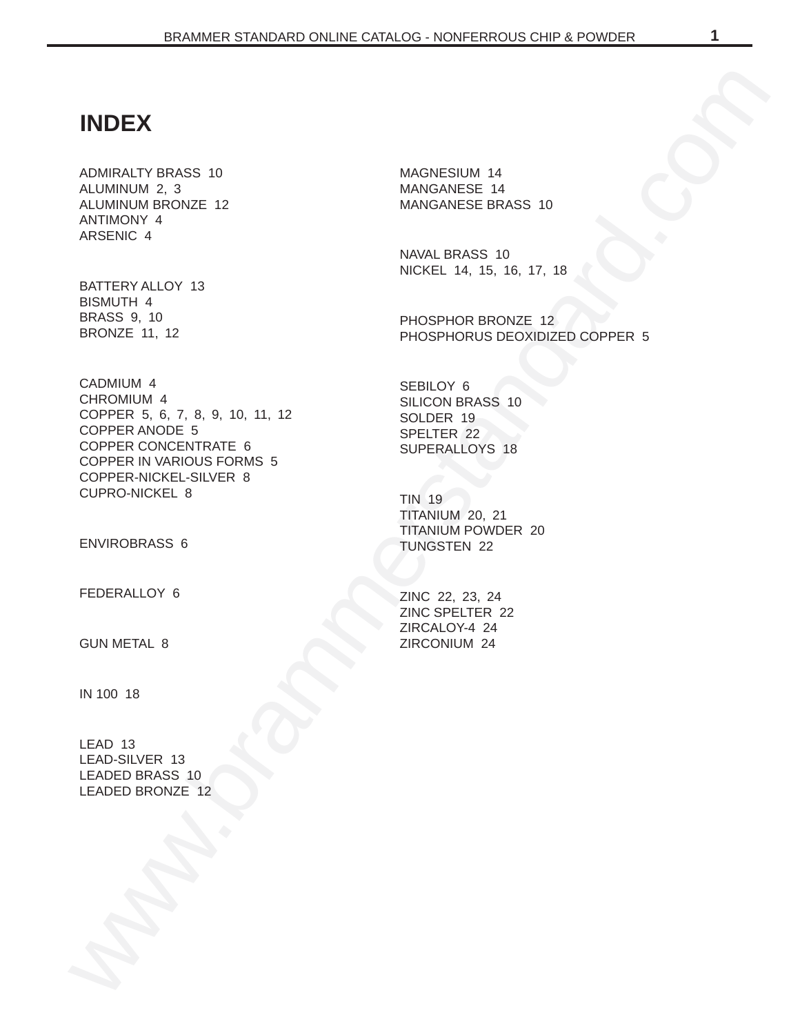# **INDEX**

ADMIRALTY BRASS 10 ALUMINUM 2, 3 ALUMINUM BRONZE 12 ANTIMONY 4 ARSENIC 4

BATTERY ALLOY 13 BISMUTH 4 BRASS 9, 10 BRONZE 11, 12

WERE THE VERTICAL CONDUCTS OF THE VERTICAL CONDUCTS CONDUCTS (SUPERVALLOR SALES CONDUCTS)<[b](#page-11-0)r>
NEW PROPERTY AND THE VERTICAL CONDUCTS OF THE VERTICAL CONDUCTS OF THE VERTICAL CONDUCTS (SUPERVALLOR SCIENCIAL CONDUCTS)<br>
CONDUCTS CADMIUM 4 CHROMIUM 4 COPPER 5, 6, 7, 8, 9, 10, 11, 12 COPPER ANODE 5 COPPER CONCENTRATE 6 COPPER IN VARIOUS FORMS 5 COPPER-NICKEL-SILVER 8 CUPRO-NICKEL 8

ENVIROBRASS 6

FEDERALLOY 6

GUN METAL 8

IN 100 18

LEAD 13 LEAD-SILVER 13 LEADED BRASS 10 LEADED BRONZE 12 MAGNESIUM 14 MANGANESE 14 MANGANESE BRASS 10

NAVAL BRASS 10 NICKEL 14, 15, 16, 17, 18

PHOSPHOR BRONZE 12 PHOSPHORUS DEOXIDIZED COPPER 5

SEBILOY 6 SILICON BRASS 10 SOLDER 19 SPELTER 22 SUPERALLOYS 18

TIN 19 TITANIUM 20, 21 TITANIUM POWDER 20 TUNGSTEN 22

ZINC 22, 23, 24 ZINC SPELTER 22 ZIRCALOY-4 24 ZIRCONIUM 24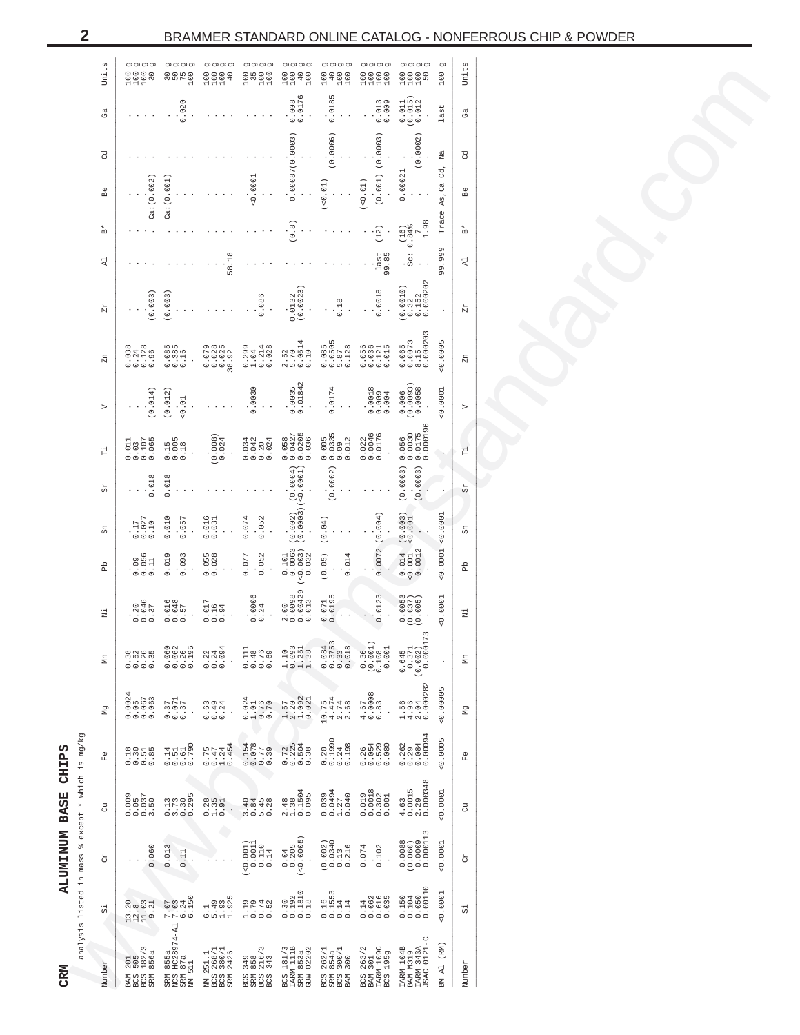|                         | Units          |                                                                                 | ਨ<br>75<br>100                                               | 1114<br>0004                                   | o moo<br>Omoo<br>H                                                                               | $\begin{matrix} 100 \\ 100 \end{matrix}$<br>100                              | 100<br>40<br>100                                                                                                                                                                                                                                                                                                                                                                                               | $\begin{array}{c}\n 0.0000 \\  0.0000 \\  0.0000\n \end{array}$   | 0000<br>0000<br>0000                                                                                                                                                                                                                                                                                                                                                                                           | তা<br>100  | Units          |
|-------------------------|----------------|---------------------------------------------------------------------------------|--------------------------------------------------------------|------------------------------------------------|--------------------------------------------------------------------------------------------------|------------------------------------------------------------------------------|----------------------------------------------------------------------------------------------------------------------------------------------------------------------------------------------------------------------------------------------------------------------------------------------------------------------------------------------------------------------------------------------------------------|-------------------------------------------------------------------|----------------------------------------------------------------------------------------------------------------------------------------------------------------------------------------------------------------------------------------------------------------------------------------------------------------------------------------------------------------------------------------------------------------|------------|----------------|
|                         | ජී             |                                                                                 | 0.020                                                        |                                                |                                                                                                  | $0.008$<br>$0.0176$                                                          | 0.0185                                                                                                                                                                                                                                                                                                                                                                                                         | $0.013$<br>$0.009$                                                | $\begin{array}{c} 0.011 \\ (0.015) \\ 0.012 \end{array}$                                                                                                                                                                                                                                                                                                                                                       | last       | යී             |
|                         | ष्ठ            |                                                                                 |                                                              |                                                |                                                                                                  | 0.00087(0.00003)                                                             | (0.0006)                                                                                                                                                                                                                                                                                                                                                                                                       | (0.001) (0.0003)                                                  | 0.0002                                                                                                                                                                                                                                                                                                                                                                                                         | Na<br>cd,  | g              |
|                         | Be             | Ca: (0.002)                                                                     | Ca:(0.001)                                                   |                                                | 0.0001                                                                                           |                                                                              | 0.01                                                                                                                                                                                                                                                                                                                                                                                                           | (0.01)                                                            | 0.00021                                                                                                                                                                                                                                                                                                                                                                                                        | As, Ca     | Be             |
|                         | $_{\rm m}^*$   |                                                                                 |                                                              |                                                |                                                                                                  | (0.8)                                                                        |                                                                                                                                                                                                                                                                                                                                                                                                                | (12)                                                              | 1.98<br>$(16)$<br>0.84%                                                                                                                                                                                                                                                                                                                                                                                        | Trace      | Å              |
|                         | է              |                                                                                 |                                                              | 58.18                                          |                                                                                                  |                                                                              |                                                                                                                                                                                                                                                                                                                                                                                                                | last<br>99.85                                                     | $\ddot{c}$<br>$\ddot{c}$                                                                                                                                                                                                                                                                                                                                                                                       | 99.999     | է              |
|                         | $Z\mathcal{L}$ | 0.003)                                                                          | 0.003                                                        |                                                | 0.086                                                                                            | 0.0023<br>0.0132                                                             | 0.18                                                                                                                                                                                                                                                                                                                                                                                                           | 0.0018                                                            | 0.000202<br>$\begin{array}{c} (0.0010) \\ 0.32 \\ 0.152 \end{array}$                                                                                                                                                                                                                                                                                                                                           |            | $Z\mathcal{L}$ |
|                         | Zn.            | $0.128$<br>$0.96$<br>0.038<br>0.24                                              | $0.385$<br>$0.385$<br>$0.16$                                 | 0.0785<br>0.0028<br>0.002<br>28.98             | $0.299$<br>$1.044$<br>$0.214$<br>$0.028$                                                         | $0.0514$<br>$0.10$<br>$2.52$<br>5.70                                         |                                                                                                                                                                                                                                                                                                                                                                                                                | 0.056<br>0.0121<br>0.015                                          | $\begin{smallmatrix} 8 & 15 \\ 0 & 000203 \end{smallmatrix}$<br>$0.065$<br>$0.0073$                                                                                                                                                                                                                                                                                                                            | 0.0005     | Zn             |
|                         | ⊳              | 0.014)                                                                          | (0.012)<br>$-0.01$                                           |                                                | 0.0030                                                                                           | $0.0035$<br>$0.01842$                                                        | 0.0174                                                                                                                                                                                                                                                                                                                                                                                                         | $0.0018$<br>$0.009$<br>$0.004$                                    | $\begin{array}{c} 0.006 \\ (0.0093) \\ 0.0058 \end{array}$                                                                                                                                                                                                                                                                                                                                                     | $-0.0001$  |                |
|                         | Ë              | $0.107$<br>$0.065$<br>.011<br>0.3                                               | $0.15$<br>$0.005$<br>0.18                                    | $(0.008)$<br>0.024                             | 0.034<br>$0.042$<br>$0.204$<br>$0.024$                                                           | $0.0427$<br>$0.0205$<br>$0.036$<br>0.058                                     | $\begin{array}{@{}c@{\hspace{1em}}c@{\hspace{1em}}c@{\hspace{1em}}c@{\hspace{1em}}c@{\hspace{1em}}c@{\hspace{1em}}c@{\hspace{1em}}c@{\hspace{1em}}c@{\hspace{1em}}c@{\hspace{1em}}c@{\hspace{1em}}c@{\hspace{1em}}c@{\hspace{1em}}c@{\hspace{1em}}c@{\hspace{1em}}c@{\hspace{1em}}c@{\hspace{1em}}c@{\hspace{1em}}c@{\hspace{1em}}c@{\hspace{1em}}c@{\hspace{1em}}c@{\hspace{1em}}c@{\hspace{1em}}c@{\hspace{$ | $0.022$<br>$0.0046$<br>$0.0176$                                   | $0.056$<br>$0.0030$<br>$0.0175$<br>$0.000196$                                                                                                                                                                                                                                                                                                                                                                  |            | Ë              |
|                         | යි             | 0.018                                                                           | 0.018                                                        |                                                |                                                                                                  | $(0.0004)$<br>(<0.0004)                                                      | (0.0002)                                                                                                                                                                                                                                                                                                                                                                                                       |                                                                   | (0.0003)<br>(0.0003)                                                                                                                                                                                                                                                                                                                                                                                           |            | RS<br>R        |
|                         | Sn             | $0.027$<br>$0.10$                                                               | 0.010<br>0.057                                               | $0.016$<br>$0.031$                             | 0.052<br>0.074                                                                                   | $(0.002)$<br>$(0.0003)$                                                      | (0.04)                                                                                                                                                                                                                                                                                                                                                                                                         |                                                                   | (0.003)                                                                                                                                                                                                                                                                                                                                                                                                        | 0.0001     | Sn             |
|                         | 움              | $0.096$<br>$0.056$                                                              | 0.019<br>0.093                                               | $0.055$<br>$0.028$                             | 0.052<br>0.077                                                                                   | $\begin{smallmatrix} 0.101 \\ 0.0063 \\ -0.0033 \\ -0.032 \end{smallmatrix}$ | (0.05)<br>0.014                                                                                                                                                                                                                                                                                                                                                                                                | 0.0072(0.004)                                                     | $\begin{array}{c} 0.014 \\ -0.001 \\ 0.0012 \end{array}$                                                                                                                                                                                                                                                                                                                                                       | 0.0001     | Вb             |
|                         | ź              | $0.046$<br>$0.37$                                                               | $0.016$<br>$0.048$<br>$0.57$                                 | $0.017$<br>$0.16$<br>$0.94$                    | $0.0006$<br>$0.24$                                                                               | $\begin{array}{c} 2.00 \\ 0.0098 \\ 0.00429 \\ 0.013 \end{array}$            | $0.071$<br>$0.0195$                                                                                                                                                                                                                                                                                                                                                                                            | 0.0123                                                            | $(0.0053$<br>$(0.0037)$<br>$(0.005)$                                                                                                                                                                                                                                                                                                                                                                           | 0.0001     | z.             |
|                         | g              | $\begin{array}{c} 0.7 \\ 0.7 \\ 0.7 \\ 0.7 \\ 0.0 \\ 0.0 \\ 0.0 \\ \end{array}$ | $0.060$<br>$0.062$<br>$0.26$<br>$0.195$                      | 0.094<br>$0.22$<br>$0.24$                      | 0.111<br>0.48<br>$0.76$<br>$0.69$                                                                | 0.093<br>$1.251$<br>$1.38$<br>1.10                                           | $\begin{array}{c} 0.3753 \\ 0.33 \\ 0.018 \end{array}$<br>0.084                                                                                                                                                                                                                                                                                                                                                | (0.001)<br>$0.108$<br>$0.001$<br>0.36                             | 73<br>$\begin{array}{c} 0.645 \\ 0.371 \\ (0.002) \\ 0.0001 \end{array}$                                                                                                                                                                                                                                                                                                                                       |            | £              |
|                         | 문              | $0.0024$<br>0.05<br>0.063<br>0.063                                              | $0.37$<br>$0.071$<br>$0.37$                                  | $0.49$<br>$0.49$<br>$0.24$                     | 0.024<br>$\begin{array}{c} 1.01 \\ 0.76 \\ 0.70 \end{array}$                                     | $\begin{array}{c} 1.57 \\ 2.20 \\ 1.092 \\ 0.021 \end{array}$                | $10.75$<br>$4.74$<br>$2.74$<br>$2.68$                                                                                                                                                                                                                                                                                                                                                                          | $\infty$<br>$\begin{array}{c} 4.67 \\ 0.0008 \\ 0.83 \end{array}$ | $1.56$<br>$4.96$<br>$2.04$<br>0.000282                                                                                                                                                                                                                                                                                                                                                                         | 00005      | ξ              |
|                         | $\mathbb{E}^0$ | $0.30$<br>$0.51$<br>$0.55$                                                      | $0.14$<br>$0.51$<br>$0.790$<br>$0.790$                       | $0.75$<br>$0.47$<br>$1.24$<br>$0.454$          | $\begin{array}{c} 0.154 \\ 0.078 \\ 0.778 \\ 0.39 \end{array}$                                   | $\begin{array}{c} 0.72 \\ 0.225 \\ 0.504 \\ 0.38 \end{array}$                | 0.1990<br>$0.24$<br>$0.198$<br>0.20                                                                                                                                                                                                                                                                                                                                                                            | $\begin{array}{c} 0.766 \\ 0.0108 \\ 0.0000 \\ 0.000 \end{array}$ | $\begin{array}{@{}c@{\hspace{1em}}c@{\hspace{1em}}c@{\hspace{1em}}c@{\hspace{1em}}c@{\hspace{1em}}c@{\hspace{1em}}c@{\hspace{1em}}c@{\hspace{1em}}c@{\hspace{1em}}c@{\hspace{1em}}c@{\hspace{1em}}c@{\hspace{1em}}c@{\hspace{1em}}c@{\hspace{1em}}c@{\hspace{1em}}c@{\hspace{1em}}c@{\hspace{1em}}c@{\hspace{1em}}c@{\hspace{1em}}c@{\hspace{1em}}c@{\hspace{1em}}c@{\hspace{1em}}c@{\hspace{1em}}c@{\hspace{$ | 0.0005     | $\mathbb{E}^0$ |
| except * which is mg/kg | 3              | $0.05$<br>$0.037$<br>$3.50$<br>000.                                             | $\begin{array}{c} 0.13 \\ 7.73 \\ 0.30 \\ 0.295 \end{array}$ | $0.28$<br>$1.35$<br>$0.91$                     | $\begin{array}{c}\n 0 \\  4 \\  0 \\  4 \\  0 \\  4 \\  0 \\  0 \\  0 \\  0 \\  0\n \end{array}$ | $\begin{array}{cccc}\n 2.48 \\  1.38 \\  0.1504 \\  0.095\n \end{array}$     | $\begin{array}{c} 0.039 \\ 0.0494 \\ 1.274 \\ 0.040 \end{array}$                                                                                                                                                                                                                                                                                                                                               | $0.019$<br>$0.0102$<br>$0.002$<br>$0.001$                         | $\begin{array}{c} 4.63 \\ 0.0015 \\ 2.39 \\ 0.00348 \end{array}$                                                                                                                                                                                                                                                                                                                                               | 0.0001     | 5              |
| olo                     | ð              | 0.060                                                                           | 0.013<br>0.11                                                |                                                | $(-0.001)$<br>0.0011<br>0.110<br>0.110                                                           | $0.04$<br>$0.205$<br>$(<0.0005)$                                             | $(0.002)$<br>0.0340<br>0.1340<br>0.1316                                                                                                                                                                                                                                                                                                                                                                        | 0.074<br>0.102                                                    |                                                                                                                                                                                                                                                                                                                                                                                                                | 0.0001     | č              |
| analysis listed in mass | 51             | $\begin{array}{c} 13.20 \\ 12.03 \\ 1.03 \end{array}$                           | $6.24$<br>$6.150$<br>7.03                                    | $6.1$<br>$5.49$<br>$1.925$<br>$1.925$          | $1.79$<br>$0.74$<br>$0.52$                                                                       | $\begin{array}{c} 0.30 \\ 0.192 \\ 0.1810 \\ 0.18 \end{array}$               | $0.16$<br>$0.14$<br>$0.14$<br>$0.14$                                                                                                                                                                                                                                                                                                                                                                           | 0.142<br>0.062<br>0.035<br>0.035                                  | $\begin{array}{c} 0.150 \\ 0.104 \\ 0.050 \\ 0.00110 \end{array}$                                                                                                                                                                                                                                                                                                                                              | 0.0001     | 岀              |
|                         | Jumber         | $182/3$<br>$856a$<br>505<br>201<br>aco<br>S<br>MAS<br><b>SRM</b><br>3           | RM 855a<br>VCS HC28974-Al<br>SRM 87a<br>MM 511               | NM 251.1<br>3CS 268/1<br>3CS 380/1<br>3RM 2426 | 3CS 349<br>SRM 858<br>3CS 216/3<br>3CS 343                                                       | 3CS 181/3<br>LARM 111B<br>SRM 853a<br>SBW 02202                              | 3CS 262/1<br>3RM 854a<br>3CS 300/1<br>3AM 300                                                                                                                                                                                                                                                                                                                                                                  | 3CS 263/2<br>3AM 301<br>IARM 109C<br>3CS 195g                     | IARM 343A<br>JSAC 0121-C<br><b>LARM 104B</b><br>BAM M319                                                                                                                                                                                                                                                                                                                                                       | (RM) LA NE | Jumber         |

<span id="page-1-0"></span> $\overline{\mathbf{2}}$ 

CRM

ALUMINUM BASE CHIPS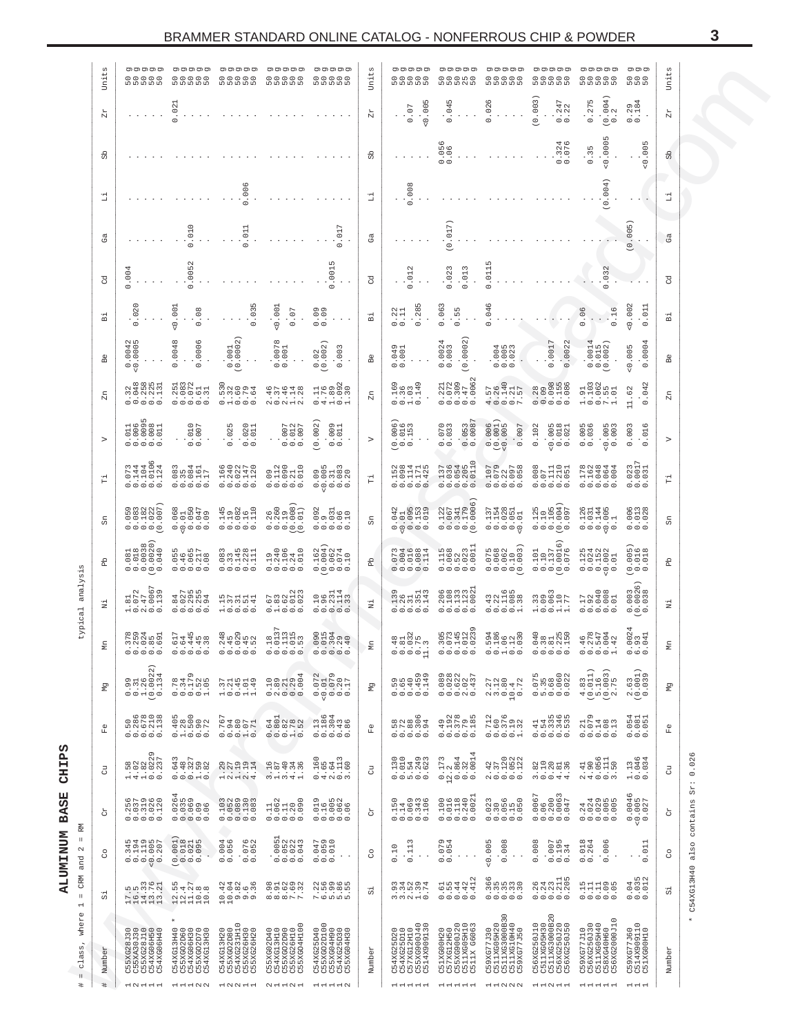<span id="page-2-0"></span>

|                                                 | $\frac{5}{5}$<br><b>Uni</b>        | וס וס וס וס וס<br><b>ួ</b> ួ ួ ួ ួ                                                                                                                                                                                                                                                                                                                    | וס וס וס וס וס<br><b>00000</b>                                                           | וס וס וס וס וס<br>00000<br>50000                                                                                                                                                                                                                                                                                              | וס וס וס וס וס<br>00000<br>50000                                                                              | ס וס וס וס וס<br><b>CCCCC</b>                                                                                                                                                                                                                                                                                                                                                                                                             | Uni                             | וס וס וס וס וס<br>00000<br>ពេលពណ៌                                                                                                                                                                                                                                                                                                              | וס וס וס וס וס                                                                                                                                                                                                                                                                                                                                              | וס וס וס וס וס<br><b>00000</b>                                                                                                                                                                                                                                                                                                        | וס וס וס וס וס<br>00000<br><b>D</b> DDDD                                                                                              | וס וס וס וס וס                                                                                                              | ס וס וס<br><b>600</b>                                         | £3<br>Uni        |                                        |
|-------------------------------------------------|------------------------------------|-------------------------------------------------------------------------------------------------------------------------------------------------------------------------------------------------------------------------------------------------------------------------------------------------------------------------------------------------------|------------------------------------------------------------------------------------------|-------------------------------------------------------------------------------------------------------------------------------------------------------------------------------------------------------------------------------------------------------------------------------------------------------------------------------|---------------------------------------------------------------------------------------------------------------|-------------------------------------------------------------------------------------------------------------------------------------------------------------------------------------------------------------------------------------------------------------------------------------------------------------------------------------------------------------------------------------------------------------------------------------------|---------------------------------|------------------------------------------------------------------------------------------------------------------------------------------------------------------------------------------------------------------------------------------------------------------------------------------------------------------------------------------------|-------------------------------------------------------------------------------------------------------------------------------------------------------------------------------------------------------------------------------------------------------------------------------------------------------------------------------------------------------------|---------------------------------------------------------------------------------------------------------------------------------------------------------------------------------------------------------------------------------------------------------------------------------------------------------------------------------------|---------------------------------------------------------------------------------------------------------------------------------------|-----------------------------------------------------------------------------------------------------------------------------|---------------------------------------------------------------|------------------|----------------------------------------|
|                                                 | 넢                                  |                                                                                                                                                                                                                                                                                                                                                       | .021                                                                                     |                                                                                                                                                                                                                                                                                                                               |                                                                                                               |                                                                                                                                                                                                                                                                                                                                                                                                                                           | $Z\mathcal{L}$                  | 0.005<br>0.07                                                                                                                                                                                                                                                                                                                                  | 0.045                                                                                                                                                                                                                                                                                                                                                       | .026                                                                                                                                                                                                                                                                                                                                  | (0.003)<br>$0.247$<br>$0.22$                                                                                                          | (0.004)<br>0.275                                                                                                            | 0.94<br>$\ddot{\gamma}$<br>$\circ$                            | Zr               |                                        |
|                                                 | සි                                 |                                                                                                                                                                                                                                                                                                                                                       |                                                                                          |                                                                                                                                                                                                                                                                                                                               |                                                                                                               |                                                                                                                                                                                                                                                                                                                                                                                                                                           | 읎                               |                                                                                                                                                                                                                                                                                                                                                | $0.056$<br>$0.06$                                                                                                                                                                                                                                                                                                                                           |                                                                                                                                                                                                                                                                                                                                       | $.324$<br>$.076$                                                                                                                      | 0.0005<br>0.35                                                                                                              | $\sqrt{2}$<br>$\overline{0}$<br>$\frac{0}{\sqrt{2}}$          | 9p               |                                        |
|                                                 | 급                                  |                                                                                                                                                                                                                                                                                                                                                       |                                                                                          | .006                                                                                                                                                                                                                                                                                                                          |                                                                                                               |                                                                                                                                                                                                                                                                                                                                                                                                                                           | 뛉                               | 0.008                                                                                                                                                                                                                                                                                                                                          |                                                                                                                                                                                                                                                                                                                                                             |                                                                                                                                                                                                                                                                                                                                       |                                                                                                                                       | (0.004)                                                                                                                     |                                                               | o<br>1           |                                        |
|                                                 | ී                                  |                                                                                                                                                                                                                                                                                                                                                       | 0.010                                                                                    | 0.011                                                                                                                                                                                                                                                                                                                         |                                                                                                               | $0.017$                                                                                                                                                                                                                                                                                                                                                                                                                                   | ගී                              |                                                                                                                                                                                                                                                                                                                                                | (0.017)                                                                                                                                                                                                                                                                                                                                                     |                                                                                                                                                                                                                                                                                                                                       |                                                                                                                                       |                                                                                                                             | 0.005                                                         | ගී               |                                        |
|                                                 | ह                                  | .004                                                                                                                                                                                                                                                                                                                                                  | .0052<br>$\circ$                                                                         |                                                                                                                                                                                                                                                                                                                               |                                                                                                               | .001<br>$\circ$                                                                                                                                                                                                                                                                                                                                                                                                                           | ह                               | .012<br>$\circ$                                                                                                                                                                                                                                                                                                                                | 0.023<br>0.013                                                                                                                                                                                                                                                                                                                                              | .011<br>$\circ$                                                                                                                                                                                                                                                                                                                       |                                                                                                                                       | .032<br>$\circ$                                                                                                             |                                                               | षु               |                                        |
|                                                 | 긂                                  | 0.020                                                                                                                                                                                                                                                                                                                                                 | 0.001<br>0.08                                                                            | 0.03                                                                                                                                                                                                                                                                                                                          | 0.001<br>$0.07$                                                                                               | 0.09                                                                                                                                                                                                                                                                                                                                                                                                                                      | $\Xi$                           | 0.285<br>0.22                                                                                                                                                                                                                                                                                                                                  | 0.063<br>0.55                                                                                                                                                                                                                                                                                                                                               | 0.046                                                                                                                                                                                                                                                                                                                                 |                                                                                                                                       | 0.06<br>$\frac{16}{16}$                                                                                                     | 0.002<br>$\Xi$<br>$\dot{\circ}$                               | Ä                |                                        |
|                                                 | å                                  | .0042<br>$\circ$                                                                                                                                                                                                                                                                                                                                      | .0048<br>0006<br>$\frac{1}{\circ}$                                                       | $.001$<br>$.0002$<br>$\frac{1}{2}$                                                                                                                                                                                                                                                                                            | 0078<br>$\dot{\circ} \dot{\circ}$                                                                             | $0.02$<br>$0.002$<br>003<br>$\cdot$ . $\cdot$                                                                                                                                                                                                                                                                                                                                                                                             | $_{\rm B}^{\oplus}$             | $\circ$ $\rightarrow$<br>00<br>00<br>$\circ$                                                                                                                                                                                                                                                                                                   | : 0.0002<br>$0.0024$<br>$0.003$                                                                                                                                                                                                                                                                                                                             | 00033<br>$\circ$ $\circ$                                                                                                                                                                                                                                                                                                              | 0.0022<br>0017<br>$\dot{\circ}$                                                                                                       | 0014<br>015<br>002)<br>$\cdot \cdot \cdot \cdot$                                                                            | 0004<br>0.005<br>$\dot{\circ}$                                | Вe               |                                        |
|                                                 | £                                  | 2 3 3 5 5 7<br>2 5 6 7 7<br>ÿġğğü<br>00000                                                                                                                                                                                                                                                                                                            | 00000                                                                                    | $\begin{array}{c} 0.70000 \\ 0.70000 \\ 0.0000 \\ \end{array}$                                                                                                                                                                                                                                                                | $\mathcal{N} \subset \mathcal{N} \to \mathcal{N}$                                                             | $\begin{array}{c}\n\stackrel{1}{\cancel{1}}\stackrel{0}{\cancel{0}}\stackrel{0}{\cancel{0}}\stackrel{0}{\cancel{0}}\stackrel{0}{\cancel{0}}\n\end{array}$<br>$\bigcirc \neg \neg \neg \neg$                                                                                                                                                                                                                                               | $_{\rm Zn}$                     | $1,000$<br>$-1,000$<br>$-1,000$<br>$\circ$ $\circ$ $\circ$                                                                                                                                                                                                                                                                                     | $.221$<br>$.072$<br>$.079$<br>$.062$<br>$.0062$<br>$\circ\circ\circ\circ\circ$                                                                                                                                                                                                                                                                              |                                                                                                                                                                                                                                                                                                                                       |                                                                                                                                       | 910101<br>1002<br>1003<br>$\begin{array}{c} \sqcup \circ \circ \mathop{\triangleright} \dashv \end{array}$                  | $\cdot$ 62<br>04<br>$\Box$<br>$\circ$                         | £                |                                        |
|                                                 | $\triangleright$                   | $\circ\circ\circ\circ\circ$                                                                                                                                                                                                                                                                                                                           | $\frac{1007}{0007}$<br>$\circ$ $\circ$                                                   | $.025$<br>$.020$<br>$.011$<br>$\circ$<br>$\circ$                                                                                                                                                                                                                                                                              | $0.007$<br>0.012<br>0.012                                                                                     | 0.002<br>.001<br>$\circ$                                                                                                                                                                                                                                                                                                                                                                                                                  | $\,>$                           | $.006$<br>$.016$<br>$.153$<br>$\circ$ $\circ$ $\circ$                                                                                                                                                                                                                                                                                          | $0.053$<br>$0.0087$<br>$.070$<br>$0.070$<br>$\circ$ $\circ$                                                                                                                                                                                                                                                                                                 | $(0.0000)$<br>$(0.0001)$<br>$(0.0001)$                                                                                                                                                                                                                                                                                                | 0.102<br>$\begin{array}{c} .0018 \\ 0.018 \\ 0.021 \end{array}$                                                                       | $.005$<br>300.<br>$-0.005$<br>$\circ$ $\circ$                                                                               | .003<br>LO<br>$\overline{5}$                                  | $\triangleright$ |                                        |
|                                                 | Ë                                  | うちゅうきつき<br>$-1101$<br>$\circ\circ\circ\circ\circ$                                                                                                                                                                                                                                                                                                     | 0.00111<br>0.00111<br>$\circ \circ \circ \circ \circ$                                    | $1,0011$<br>$-1,0011$<br>$-1,0011$<br>$\circ \circ \circ \circ \circ \circ$                                                                                                                                                                                                                                                   | $0,10,00$<br>$0,10,00$<br>$0,00,00$<br>$0,00,00$<br>$\circ \circ \circ \circ \circ \circ$                     | $0.0180$<br>$0.0180$<br>$0.0030$<br>000000                                                                                                                                                                                                                                                                                                                                                                                                | 쀱                               | $10114$<br>$10114$<br>$10114$<br>00000                                                                                                                                                                                                                                                                                                         | $\circ$<br>$100001$<br>$100001$<br>00000                                                                                                                                                                                                                                                                                                                    | $\begin{smallmatrix} 0.107 \\ -0.79 \\ -0.209 \\ -0.097 \\ -0.097 \\ -0.097 \\ -0.097 \\ -0.097 \\ -0.097 \\ -0.097 \\ -0.097 \\ -0.097 \\ -0.097 \\ -0.097 \\ -0.097 \\ -0.097 \\ -0.097 \\ -0.097 \\ -0.097 \\ -0.097 \\ -0.097 \\ -0.097 \\ -0.097 \\ -0.097 \\ -0.097 \\ -0.097 \\ -0.097 \\ -0.097 \\ -0.097 \\ -0.097 \\ -0.09$ | $\begin{array}{c} 0.0000 \\ 0.0110 \\ 0.1110 \\ 0.0110 \\ 0.0110 \\ \end{array}$                                                      | 11000<br>10000<br>10000<br>00000                                                                                            | $.023$<br>$.001$<br>$.01$<br>$\circ$ $\circ$                  | 뜁                |                                        |
|                                                 | සි                                 | $\begin{array}{c} 0.00000 \\ 0.00000 \\ 0.00000 \\ 0.00000 \\ \end{array}$                                                                                                                                                                                                                                                                            |                                                                                          | $\begin{array}{c} 0.145 \\ 0.1082 \\ 0.0116 \\ 0.116 \\ \end{array}$                                                                                                                                                                                                                                                          |                                                                                                               |                                                                                                                                                                                                                                                                                                                                                                                                                                           | සි                              | $\begin{smallmatrix} 0.042 \\ -0.01 \\ 0.095 \\ 0.153 \\ 0.153 \end{smallmatrix}$                                                                                                                                                                                                                                                              | $\begin{bmatrix} 0.122 \\ 0.067 \\ 0.341 \\ 0.179 \\ 0.179 \\ 0.0006 \end{bmatrix}$                                                                                                                                                                                                                                                                         | $\begin{array}{c} 0.137 \\ 0.158 \\ 0.028 \\ 0.051 \\ 0.051 \\ \end{array}$                                                                                                                                                                                                                                                           | $\begin{array}{c} 0.125 \\ 0.10 \\ 0.105 \\ 0.004 \\ 0.094 \end{array}$                                                               | $\begin{array}{c} 0.1040 \\ 0.0144 \\ 0.0144 \\ 0.0144 \\ \end{array}$                                                      | $0.006$<br>$0.013$<br>$0.028$                                 | සි               |                                        |
|                                                 | 읎                                  | $\begin{bmatrix} 0.081 \\ 0.018 \\ 0.0138 \\ 0.0030 \\ 0.0020 \end{bmatrix}$                                                                                                                                                                                                                                                                          | 055<br>046657<br>000000<br>00000                                                         | $\begin{array}{c} 0.00000 \\ 0.00000 \\ 0.00000 \\ \end{array}$                                                                                                                                                                                                                                                               | $\begin{array}{c} 0.140 \\ 0.240 \\ 0.011 \\ 0.000 \\ \end{array}$                                            | $\begin{array}{c} 0.0000 \\ 0.0000 \\ 0.0000 \\ 0.001 \\ 0.000 \\ \end{array}$                                                                                                                                                                                                                                                                                                                                                            | 윤                               | 000001<br>000001<br>000001                                                                                                                                                                                                                                                                                                                     | $\begin{array}{c} 0.115 \\ 0.083 \\ 0.023 \\ 0.001 \\ \end{array}$                                                                                                                                                                                                                                                                                          | $\begin{array}{c} 0.075 \\ 0.068 \\ 0.062 \\ 0.1063 \\ 0.1003 \end{array}$                                                                                                                                                                                                                                                            | $\widehat{\circ}$<br>$\begin{array}{c} 0.101 \\ 0.110 \\ 0.001 \\ 0.001 \\ \end{array}$                                               | $\begin{array}{c} 0.128 \\ 0.1024 \\ 0.1002 \\ 0.001 \\ \end{array}$                                                        | 0018<br>$\ddot{\circ} \ddot{\circ} \ddot{\circ}$              | 읎                |                                        |
| analysis                                        | Ë                                  | $\begin{smallmatrix} 2 & 2 \\ 2 & 2 \\ 2 & 2 \\ 2 & 2 \\ 2 & 2 \\ 2 & 2 \\ 2 & 2 \\ 2 & 2 \\ 2 & 2 \\ 2 & 2 \\ 2 & 2 \\ 2 & 2 \\ 2 & 2 \\ 2 & 2 \\ 2 & 2 \\ 2 & 2 \\ 2 & 2 \\ 2 & 2 \\ 2 & 2 \\ 2 & 2 \\ 2 & 2 \\ 2 & 2 \\ 2 & 2 \\ 2 & 2 \\ 2 & 2 \\ 2 & 2 \\ 2 & 2 \\ 2 & 2 \\ 2 & 2 \\ 2 & 2 \\ 2 & 2 \\ 2 & 2 \\ 2 & 2 \\ 2 & 2 \\ 2 & 2 \\ 2 & $ | 000000                                                                                   | $\begin{array}{c} 1 & 0 & 0 & 0 \\ 0 & 0 & 0 & 0 \\ 0 & 0 & 0 & 0 \\ 0 & 0 & 0 & 0 \\ 0 & 0 & 0 & 0 \\ 0 & 0 & 0 & 0 \\ 0 & 0 & 0 & 0 \\ 0 & 0 & 0 & 0 \\ 0 & 0 & 0 & 0 \\ 0 & 0 & 0 & 0 & 0 \\ 0 & 0 & 0 & 0 & 0 \\ 0 & 0 & 0 & 0 & 0 \\ 0 & 0 & 0 & 0 & 0 & 0 \\ 0 & 0 & 0 & 0 & 0 & 0 \\ 0 & 0 & 0 & 0 & 0 & 0 & 0 \\ 0 &$ | caggia<br>$\circ \rightarrow \circ \circ \circ$                                                               | $-38714$<br>$\circ\circ\circ\circ\circ$                                                                                                                                                                                                                                                                                                                                                                                                   | $\rm \ddot{z}$                  | $\begin{array}{c} 0.139 \\ 0.241 \\ 0.311 \\ 0.143 \\ 0.0143 \end{array}$                                                                                                                                                                                                                                                                      | $\begin{array}{c} 0 & 0 & 0 & 0 & 0 \\ 0 & 0 & 0 & 0 & 0 \\ 0 & 0 & 0 & 0 & 0 \\ 0 & 0 & 0 & 0 & 0 \\ 0 & 0 & 0 & 0 & 0 \\ 0 & 0 & 0 & 0 & 0 \\ 0 & 0 & 0 & 0 & 0 \\ 0 & 0 & 0 & 0 & 0 \\ 0 & 0 & 0 & 0 & 0 \\ 0 & 0 & 0 & 0 & 0 \\ 0 & 0 & 0 & 0 & 0 \\ 0 & 0 & 0 & 0 & 0 \\ 0 & 0 & 0 & 0 & 0 \\ 0 & 0 & 0 & 0 & 0 \\ 0 &$<br>$\circ\circ\circ\circ\circ$ | $\circ \circ \circ \circ \circ \dashv$                                                                                                                                                                                                                                                                                                |                                                                                                                                       | $7,0000$<br>$70000$<br>$7000$<br>$\circ\circ\circ\circ\circ$                                                                | O<br>$0.003$<br>$0.0028$                                      | E.               |                                        |
| typical                                         | Ξ                                  | 5524<br>552551<br>5586                                                                                                                                                                                                                                                                                                                                | $64458$<br>$64458$<br>$64458$                                                            | $\begin{array}{c} 2450 \\ 2450 \\ 2450 \\ 2450 \\ \end{array}$                                                                                                                                                                                                                                                                | $18$<br>$0137$<br>$0133$<br>$0135$<br>$0135$<br>00000 00000 00000 00000 00000                                 | 005390<br>005390                                                                                                                                                                                                                                                                                                                                                                                                                          | ΕĤ                              | $48122$<br>$732$<br>$792$<br>$\begin{array}{ccc} & \circ & \circ & \circ & \circ & \circ \end{array}$                                                                                                                                                                                                                                          | 8034523<br>OOOOO OOHOO OOOOO OOOOH                                                                                                                                                                                                                                                                                                                          | 59466                                                                                                                                                                                                                                                                                                                                 | $040$ $048$ $040$ $040$ $040$ $040$                                                                                                   | $4687874$<br>$74044$<br>$0042$                                                                                              | $\frac{2}{9}$ $\frac{41}{9}$<br>$\circ \circ \circ$           | Μn               |                                        |
|                                                 | Σğ                                 | $\widehat{\alpha}$<br>$0.31$<br>$0.34$<br>$0.34$<br>$0.34$<br>$0.34$                                                                                                                                                                                                                                                                                  | $\begin{array}{c} 0.78 \\ 0.747 \\ 0.000 \\ 0.000 \\ \end{array}$                        | $1.3749$<br>$1.49149$<br>$1.149$                                                                                                                                                                                                                                                                                              | $0.10004$<br>$0.0004$                                                                                         | $\begin{array}{c} 0.072 \\ -0.01 \\ -0.079 \\ 0.20 \\ -0.17 \end{array}$                                                                                                                                                                                                                                                                                                                                                                  | Σğ                              |                                                                                                                                                                                                                                                                                                                                                | $\begin{array}{c} 0 & 0 & 0 & 0 \\ 0 & 0 & 0 & 0 & 0 \\ 0 & 0 & 0 & 0 & 0 \\ 0 & 0 & 0 & 0 & 0 \\ 0 & 0 & 0 & 0 & 0 \\ 0 & 0 & 0 & 0 & 0 \\ 0 & 0 & 0 & 0 & 0 \\ 0 & 0 & 0 & 0 & 0 \\ 0 & 0 & 0 & 0 & 0 \\ 0 & 0 & 0 & 0 & 0 \\ 0 & 0 & 0 & 0 & 0 \\ 0 & 0 & 0 & 0 & 0 \\ 0 & 0 & 0 & 0 & 0 \\ 0 & 0 & 0 & 0 & 0 \\ 0 & 0 &$                                | $2.180$<br>$2.180$<br>$3.180$<br>$2.180$<br>$2.180$<br>$\overline{\phantom{a}}$                                                                                                                                                                                                                                                       | $\begin{array}{c} 0.75 \\ -0.88 \\ -0.060 \\ -0.022 \\ -0.022 \end{array}$                                                            | $\begin{array}{c} 4.83 \\ 0.011 \\ 0.16 \\ 0.03 \\ 0.03 \end{array}$                                                        | $2.63$<br>$0.001$<br>$0.039$                                  | ΣÅ               |                                        |
|                                                 | $\mathop{\mathbb{C}}_1^\mathbb{O}$ | $\circ \circ \circ \circ$<br>58713<br>$\begin{array}{ccc}\n\cdot & \cdot & \cdot & \cdot \\ \circ & \circ & \circ & \circ\n\end{array}$                                                                                                                                                                                                               | $\begin{array}{c} 1.405 \\ -1.2800 \\ -1.500 \\ 0.72 \\ \end{array}$                     | $0.767$ $0.94$ $0.080$ $0.71$ $0.071$                                                                                                                                                                                                                                                                                         | $0.801$<br>$0.802$<br>$0.0078$<br>$0.004$                                                                     | $\begin{array}{c} . & . & . & . \\ 0 & . & . & . & . \\ 0 & . & . & . & . \\ 0 & . & . & . & . \\ 0 & . & . & . & . \\ 0 & . & . & . & . \\ 0 & . & . & . & . \\ 0 & . & . & . & . \\ 0 & . & . & . & . \\ 0 & . & . & . & . \\ 0 & . & . & . & . \\ 0 & . & . & . & . \\ 0 & . & . & . & . \\ 0 & . & . & . & . \\ 0 & . & . & . & . \\ 0 & . & . & . & . \\ 0 & . & . & . & . \\ 0 & . & . & . & . \\ 0 & . & . & . & . \\ 0 & . & . &$ | $\stackrel{\oplus}{\mathbb{H}}$ | $\circ$<br>$\begin{array}{c}\n 0.78884 \\  -0.00000 \\  -0.00000\n \end{array}$                                                                                                                                                                                                                                                                | $\sim$ $\infty$<br>LO.<br>$0.1780$ $0.1778$ $0.0000$ $0.0000$                                                                                                                                                                                                                                                                                               | $\circ$<br>$\sim$<br>$0.712$<br>$0.379$<br>$0.379$<br>$0.132$                                                                                                                                                                                                                                                                         | $\begin{array}{cccc}\n 1 & 4 & 5 & 6 & 6 \\  - & 5 & 4 & 3 & 6 & 6 \\  - & 5 & 3 & 3 & 4 & 6 \\  - & 5 & 3 & 3 & 6 & 6\n \end{array}$ | $\sigma$<br>$\frac{1}{2000000}$                                                                                             | 051<br>081<br>051<br>$\ddot{\circ} \ddot{\circ} \ddot{\circ}$ | $0$<br>區         |                                        |
|                                                 | ੌ                                  | $-4 - 0 - 0$                                                                                                                                                                                                                                                                                                                                          | $6487$<br>$648798$<br>$082$<br>.<br>$\circ \circ \circ \circ \circ \circ$                | $-1 0 0 0 0 0 0$                                                                                                                                                                                                                                                                                                              | $377994$ $40794$<br>$M \rightarrow M$                                                                         | $\infty$<br>$\circ$<br>56318<br>04N0M                                                                                                                                                                                                                                                                                                                                                                                                     | $\vec{c}$                       | 200<br>2014<br>2022                                                                                                                                                                                                                                                                                                                            | $173$<br>$2864$<br>$862014$<br>$\overrightarrow{0}$                                                                                                                                                                                                                                                                                                         | $\circ$ $\circ$ $\circ$<br>NOOOO                                                                                                                                                                                                                                                                                                      | $87000000$<br>$\begin{array}{c}\n\cdots \\ \vdots \\ \vdots \\ \vdots\n\end{array}$                                                   | $100010$<br>$10010$<br>$\mathcal{O} \nightharpoonup \mathcal{O} \nightharpoonup \mathcal{O}$                                | $\varphi$ 4<br>1300<br>$\lnot$ $\lnot$ $\lnot$                | ੌ                | .026<br>$\circ$                        |
|                                                 | č                                  | $\circ \circ \circ \circ \circ$                                                                                                                                                                                                                                                                                                                       | დ<br>ო<br>დ<br>$\begin{array}{c}\n 88888 \\  0.0000 \\  \hline\n 0.0000 \\  \end{array}$ | $1000000$<br>$1000000$<br>$\circ\circ\circ\circ\circ$                                                                                                                                                                                                                                                                         | $1362$<br>$1962$<br>$1300$<br>$\circ \circ \circ \circ \circ$                                                 | $M \alpha$<br>$\sigma$<br>$\begin{array}{c}\n\ddots \\ \ddots\n\end{array}$<br>00000                                                                                                                                                                                                                                                                                                                                                      | č                               | $11000$<br>$110000$<br>$110000$<br>$\circ\circ\circ\circ\circ$                                                                                                                                                                                                                                                                                 | $\overline{ }$<br>$\circ \circ \circ \circ \circ$                                                                                                                                                                                                                                                                                                           |                                                                                                                                                                                                                                                                                                                                       | $\begin{array}{l} 0.0067 \\ 0.060 \\ 0.200 \\ 0.0063 \\ 0.0047 \end{array}$                                                           | 000000                                                                                                                      | $.0046$<br>$.005$<br>$.027$<br>$\circ$ $\circ$ $\circ$        | č                | $\ddot{\phantom{0}}$<br>55<br>contains |
| 횭<br>$\mathbf{H}$<br>$\scriptstyle\sim$         | $_{\rm c}^{\rm o}$                 | 0.345<br>0.1110<br>0.11005<br>0.2007                                                                                                                                                                                                                                                                                                                  | $\begin{array}{c} 0.001 \\ 0.018 \\ 0.021 \\ 0.095 \end{array}$                          | $0.004$<br>$0.056$<br>$0.076$<br>$0.052$                                                                                                                                                                                                                                                                                      | $\begin{array}{c} 0.0051 \\ 0.052 \\ 0.043 \\ 0.043 \end{array}$                                              | $0.047$<br>$0.059$<br>$0.010$<br>$\ddotsc$                                                                                                                                                                                                                                                                                                                                                                                                | S                               | 0.113<br>0.10<br>$\sim$ $\sim$                                                                                                                                                                                                                                                                                                                 | $0.079$<br>0.054<br>$\sim$ $\sim$ $\sim$                                                                                                                                                                                                                                                                                                                    | 0.005<br>0.008<br>$\sim$ $\sim$                                                                                                                                                                                                                                                                                                       | 0.008<br>$0.195$<br>0.195                                                                                                             | $0.018$<br>0.264<br>0.006<br>$\lambda$                                                                                      | $\vee$<br>011<br>$\ddotsc$<br>$\dot{\circ}$                   | °                | also                                   |
| and<br>CRM<br>$\mathbf{H}$                      | 51                                 |                                                                                                                                                                                                                                                                                                                                                       |                                                                                          |                                                                                                                                                                                                                                                                                                                               |                                                                                                               | $\mathcal{U}\varpi\otimes\mathcal{U}$<br>$\ddot{\omega}$ in $\dot{\omega}$ is $\ddot{\omega}$ in<br>$P$ $Q$ $D$ $D$ $D$                                                                                                                                                                                                                                                                                                                   | $\frac{1}{2}$                   | m 4 0 0 4<br>$\ddot{o}$ , $\ddot{o}$ , $\ddot{o}$ , $\ddot{o}$ , $\ddot{o}$ , $\ddot{o}$ , $\ddot{o}$ , $\ddot{o}$ , $\ddot{o}$ , $\ddot{o}$ , $\ddot{o}$ , $\ddot{o}$ , $\ddot{o}$ , $\ddot{o}$ , $\ddot{o}$ , $\ddot{o}$ , $\ddot{o}$ , $\ddot{o}$ , $\ddot{o}$ , $\ddot{o}$ , $\ddot{o}$ , $\ddot{o}$ , $\ddot{o}$ , $\ddot{o}$ , $\ddot{o$ | 00000                                                                                                                                                                                                                                                                                                                                                       | $\vee$<br>$. 7.70$<br>$. 7.70$<br>$. 7.70$<br>$. 7.70$<br>00000                                                                                                                                                                                                                                                                       | $\begin{array}{c} 0 & 4 & 0 \\ 0 & 4 & 0 \\ 0 & 0 & 0 \\ 0 & 0 & 0 \\ 0 & 0 & 0 \\ \end{array}$<br>000000                             | $11100$<br>$11100$<br>00000                                                                                                 | $.045$<br>$.012$<br>$.012$<br>$\circ \circ \circ$             | 51               | C54XG13H40                             |
| $\overline{\phantom{0}}$<br>$\mathbb U$<br>wher |                                    |                                                                                                                                                                                                                                                                                                                                                       | $\star$                                                                                  |                                                                                                                                                                                                                                                                                                                               | $\circ$                                                                                                       | $\circ$                                                                                                                                                                                                                                                                                                                                                                                                                                   |                                 | $\circ$ $\circ$                                                                                                                                                                                                                                                                                                                                | O O M                                                                                                                                                                                                                                                                                                                                                       | 159XG77J30<br>1511XG05H20<br>1511XG3000B30<br>1511XG10H40<br>159XG77J50                                                                                                                                                                                                                                                               | $\circ$                                                                                                                               |                                                                                                                             | $\circ$                                                       |                  | $\star$                                |
| class<br>$\mathbb H$ .<br>$\#$                  | Number<br>#                        | 355xG28030<br>355xA30030<br>355xG28010<br>354xG06H50<br>34xG06H40<br><b>00000</b>                                                                                                                                                                                                                                                                     | 54XG13H40<br>255XG02D60<br>254XG06H30<br>255XG02D70<br>254XG13H30<br>00000               | 354XG13H20<br>255XGO2D80<br>254XG231H10<br>255XG26H30<br>255XG26H20<br>UUUUU                                                                                                                                                                                                                                                  | 355XG02D40<br>254XG13H10<br>255XGC2D90<br>255XG26H10<br>255XG04H100<br>UUUUU<br>HNHHH HHHNN HNNHH NHHNH HHHHN | 54XG25D40<br>255XG02D100<br>255XG04H90<br>254XG25D30<br>255XG04H30<br>00000                                                                                                                                                                                                                                                                                                                                                               | Number                          | 554XG25D20<br>254XG25D10<br>257XG12H10<br>255XG900J40<br>2514X909130<br>UUUUU                                                                                                                                                                                                                                                                  | 551XG00H20<br>557XG12H50<br>555XG900J20<br>5511XG05H10<br>5511XG6063<br>00000                                                                                                                                                                                                                                                                               | UUUUU                                                                                                                                                                                                                                                                                                                                 | 356XG250J10<br>3511XGO5H30<br>3511XG3000B20<br>356XG250J50<br>356XG250J50<br>UUUUU                                                    | 159XG77J10<br>156XG250J30<br>1511XG05H40<br>158XG40H60<br>156XG2000J10<br><b>UUUUU</b><br>HHHHH HHHHH HHNNN HHNHH HHHHH HHH | 359XG77J60<br>3514X909110<br>351XG00H10<br>$\cup$ $\cup$      | Number           |                                        |

ALUMINUM BASE CHIPS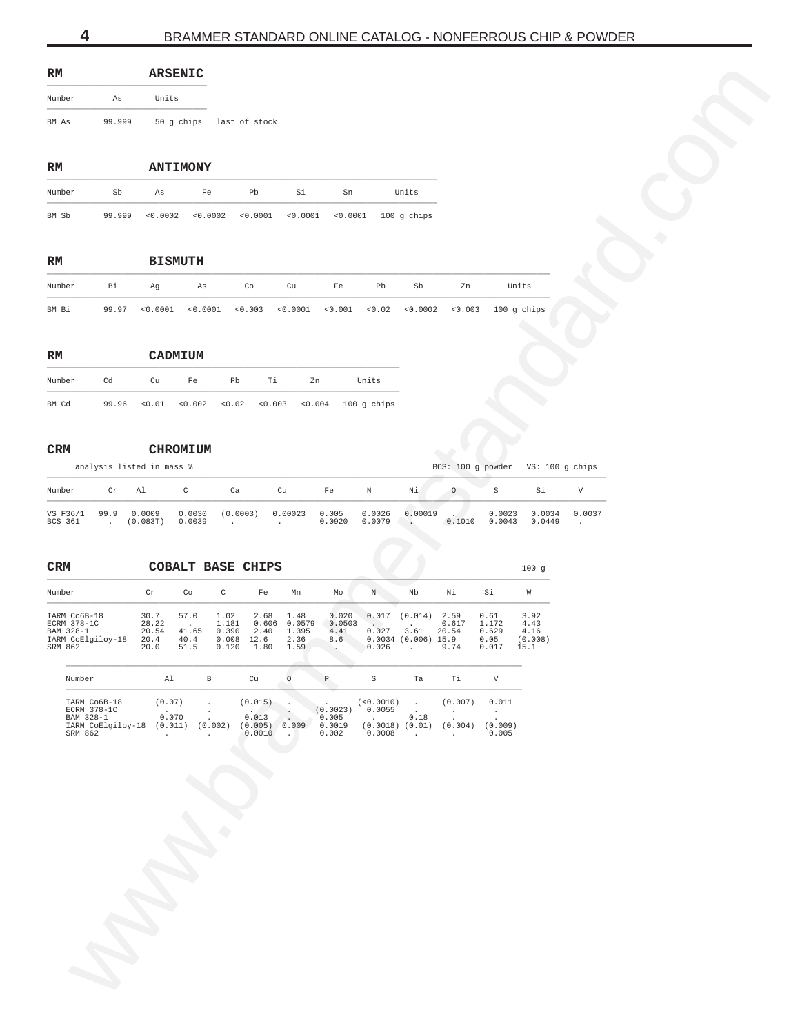<span id="page-3-0"></span>

| RМ     |        | ARSENIC |                          |
|--------|--------|---------|--------------------------|
| Number | Αs     | Units   |                          |
| BM As  | 99.999 |         | 50 q chips last of stock |

| $_{\rm RM}$ |        | <b>ANTIMONY</b> |    |    |    |    |                                                          |
|-------------|--------|-----------------|----|----|----|----|----------------------------------------------------------|
| Number      | Sb     | As              | Fe | Ph | Si | Sn | Units                                                    |
| BM Sb       | 99.999 | <0.0002         |    |    |    |    | $0.0002$ $0.0001$ $0.0001$ $0.0001$ $0.0001$ 100 q chips |

| $\mathbf{RM}$ |       | <b>BISMUTH</b> |    |    |    |    |    |      |    |                                                                              |
|---------------|-------|----------------|----|----|----|----|----|------|----|------------------------------------------------------------------------------|
| Number        | Bi Bi | Aq             | As | Co | Cu | Fe | Pb | - Sb | Zn | Units                                                                        |
| BM Bi         |       |                |    |    |    |    |    |      |    | 99.97 <0.0001 <0.0001 <0.003 <0.0001 <0.001 <0.02 <0.0002 <0.003 100 q chips |

| RM     |       |    | CADMIUM |    |    |    |                                                          |
|--------|-------|----|---------|----|----|----|----------------------------------------------------------|
| Number | Cd    | Cu | Fe      | Ph | Τi | 7m | Units                                                    |
| BM Cd  | 99.96 |    |         |    |    |    | $0.01$ $0.002$ $0.02$ $0.03$ $0.003$ $0.004$ 100 q chips |

### **CRM CHROMIUM**

|                          |    | analysis listed in mass % |                  |          |         |                 | BCS: 100 q powder VS: 100 q chips |         |         |                  |                  |        |
|--------------------------|----|---------------------------|------------------|----------|---------|-----------------|-----------------------------------|---------|---------|------------------|------------------|--------|
| Number                   | Cr | - Al                      | C                | Ca       | Cu      | Fe              | N                                 | Νi      | $\circ$ |                  | Si               |        |
| VS F36/1 99.9<br>BCS 361 |    | 0.0009<br>(0.083T)        | 0.0030<br>0.0039 | (0.0003) | 0.00023 | 0.005<br>0.0920 | 0.0026<br>0.0079                  | 0.00019 | 0.1010  | 0.0023<br>0.0043 | 0.0034<br>0.0449 | 0.0037 |

| RM                                            |                                 |                         | ARSENIC                        |                                     |                                       |                       |                          |                                      |                                          |                        |                                   |                                 |  |
|-----------------------------------------------|---------------------------------|-------------------------|--------------------------------|-------------------------------------|---------------------------------------|-----------------------|--------------------------|--------------------------------------|------------------------------------------|------------------------|-----------------------------------|---------------------------------|--|
| Number                                        | As                              | Units                   |                                |                                     |                                       |                       |                          |                                      |                                          |                        |                                   |                                 |  |
| BM As                                         | 99.999                          |                         |                                | 50 g chips last of stock            |                                       |                       |                          |                                      |                                          |                        |                                   |                                 |  |
|                                               |                                 |                         |                                |                                     |                                       |                       |                          |                                      |                                          |                        |                                   |                                 |  |
| RM                                            |                                 |                         | <b>ANTIMONY</b>                |                                     |                                       |                       |                          |                                      |                                          |                        |                                   |                                 |  |
| Number                                        | Sb                              | As                      | Fe                             | Pb                                  | Si                                    | Sn                    |                          | Units                                |                                          |                        |                                   |                                 |  |
| BM Sb                                         | 99.999                          | < 0.0002                | < 0.0002                       | < 0.0001                            | < 0.0001                              | < 0.0001              |                          | 100 g chips                          |                                          |                        |                                   |                                 |  |
|                                               |                                 |                         |                                |                                     |                                       |                       |                          |                                      |                                          |                        |                                   |                                 |  |
| RM                                            |                                 |                         | <b>BISMUTH</b>                 |                                     |                                       |                       |                          |                                      |                                          |                        |                                   |                                 |  |
| Number                                        | Bi                              | Ag                      | As                             | Co                                  | Cu                                    | Fe                    | Pb                       | Sb                                   | Zn                                       |                        | Units                             |                                 |  |
| BM Bi                                         | 99.97                           | < 0.0001                | < 0.0001                       | < 0.003                             | < 0.0001                              | < 0.001               | < 0.02                   | < 0.0002                             | < 0.003                                  |                        | 100 g chips                       |                                 |  |
| RM                                            |                                 |                         | CADMIUM                        |                                     |                                       |                       |                          |                                      |                                          |                        |                                   |                                 |  |
| Number                                        | Cd                              | Cu                      | Fe                             | Pb                                  | Τi                                    | Zn                    | Units                    |                                      |                                          |                        |                                   |                                 |  |
| BM Cd                                         | 99.96                           | < 0.01                  | < 0.002                        | < 0.02                              | < 0.003                               | 0.004                 | $100$ g chips            |                                      |                                          |                        |                                   |                                 |  |
|                                               |                                 |                         |                                |                                     |                                       |                       |                          |                                      |                                          |                        |                                   |                                 |  |
| CRM                                           | analysis listed in mass %       |                         | <b>CHROMIUM</b>                |                                     |                                       |                       |                          |                                      |                                          |                        | BCS: 100 g powder VS: 100 g chips |                                 |  |
|                                               |                                 |                         |                                |                                     |                                       |                       |                          |                                      |                                          |                        |                                   |                                 |  |
| Number<br>VS F36/1                            | $\operatorname{\sf Cr}$<br>99.9 | Al<br>0.0009            | $\rm C$<br>0.0030              | Ca<br>(0.0003)                      | Cu<br>0.00023                         | $_{\rm Fe}$<br>0.005  | N<br>0.0026              | Νi<br>0.00019                        | $\circ$                                  | $\rm S$<br>0.0023      | Si<br>0.0034                      | $\boldsymbol{\nabla}$<br>0.0037 |  |
| CRM<br>Number                                 |                                 | $\operatorname{\sf Cr}$ | Co                             | <b>COBALT BASE CHIPS</b><br>$\rm C$ | Fe<br>Mn                              | Mo                    | $\,$ N $\,$              | Nb                                   | Νi                                       | Si                     | 100g<br>W                         |                                 |  |
| IARM Co6B-18                                  |                                 | 30.7                    | 57.0                           | 1.02                                | 2.68<br>1.48                          | 0.020                 |                          | $0.017$ $(0.014)$ 2.59               |                                          | 0.61                   | 3.92                              |                                 |  |
| ECRM 378-1C<br>BAM 328-1<br>IARM CoElgiloy-18 |                                 | 28.22<br>20.54<br>20.4  | $\sim$<br>41.65<br>40.4        | 1.181<br>0.390<br>$0.008$ 12.6      | 0.606 0.0579<br>2.40<br>1.395<br>2.36 | 0.0503<br>4.41<br>8.6 | $\sim$<br>0.027          | $\cdot$<br>3.61<br>0.0034(0.006)15.9 | 0.617<br>20.54                           | 1.172<br>0.629<br>0.05 | 4.43<br>4.16<br>(0.008)           |                                 |  |
| SRM 862                                       |                                 | 20.0                    | 51.5                           | 0.120<br>1.80                       | 1.59                                  | $\ddot{\phantom{1}}$  | 0.026                    | <b>Contract</b>                      | 9.74                                     | 0.017                  | 15.1                              |                                 |  |
| Number                                        |                                 | Al                      | $\, {\bf B}$                   | Cu                                  | $\circ$                               | $\, {\mathbb P}$      | $\mathbf S$              | Ta                                   | Τi                                       | $\mathbf {V}$          |                                   |                                 |  |
|                                               | IARM Co6B-18<br>ECRM 378-1C     | (0.07)                  | $\cdot$                        |                                     | $(0.015)$<br>0.013                    | $(0.0023)$ 0.0055     | (<0.0010)                | $\sim 10^{-1}$                       | (0.007)                                  | 0.011                  |                                   |                                 |  |
| SRM 862                                       | BAM 328-1<br>IARM CoElgiloy-18  | 0.070                   | $\cdot$<br>$(0.011)$ $(0.002)$ |                                     | (0.005) 0.009                         | 0.005<br>0.0019       | <b>Contract Contract</b> | $\sim 10^{-1}$<br>0.18               | $\cdot$<br>$(0.0018)$ $(0.01)$ $(0.004)$ | $\sim$<br>(0.009)      |                                   |                                 |  |
|                                               |                                 | $\sim$                  | $\ddot{\phantom{a}}$           | 0.0010                              | <b>Contract</b>                       | 0.002                 | 0.0008                   | $\sim 10^{-11}$                      | $\sim 100$                               | 0.005                  |                                   |                                 |  |
|                                               |                                 |                         |                                |                                     |                                       |                       |                          |                                      |                                          |                        |                                   |                                 |  |
|                                               |                                 |                         |                                |                                     |                                       |                       |                          |                                      |                                          |                        |                                   |                                 |  |
|                                               |                                 |                         |                                |                                     |                                       |                       |                          |                                      |                                          |                        |                                   |                                 |  |
|                                               |                                 |                         |                                |                                     |                                       |                       |                          |                                      |                                          |                        |                                   |                                 |  |
|                                               |                                 |                         |                                |                                     |                                       |                       |                          |                                      |                                          |                        |                                   |                                 |  |
|                                               |                                 |                         |                                |                                     |                                       |                       |                          |                                      |                                          |                        |                                   |                                 |  |
|                                               |                                 |                         |                                |                                     |                                       |                       |                          |                                      |                                          |                        |                                   |                                 |  |
|                                               |                                 |                         |                                |                                     |                                       |                       |                          |                                      |                                          |                        |                                   |                                 |  |
|                                               |                                 |                         |                                |                                     |                                       |                       |                          |                                      |                                          |                        |                                   |                                 |  |
|                                               |                                 |                         |                                |                                     |                                       |                       |                          |                                      |                                          |                        |                                   |                                 |  |
|                                               |                                 |                         |                                |                                     |                                       |                       |                          |                                      |                                          |                        |                                   |                                 |  |

| Number            | Αl      |         | C11     |       | Р        |          | Ta   | Τi      |         |
|-------------------|---------|---------|---------|-------|----------|----------|------|---------|---------|
| IARM Co6B-18      | (0.07)  |         | (0.015) |       |          | < 0.0010 |      | (0.007) | 0.011   |
| ECRM 378-1C       |         |         |         |       | (0.0023) | 0.0055   |      |         |         |
| BAM 328-1         | 0.070   |         | 0.013   |       | 0.005    |          | 0.18 |         |         |
| IARM CoElgiloy-18 | (0.011) | (0.002) | (0.005) | 0.009 | 0.0019   | (0.0018) | 0.01 | (0.004) | (0.009) |
| SRM 862           |         |         | 0.0010  |       | 0.002    | 0.0008   |      |         | 0.005   |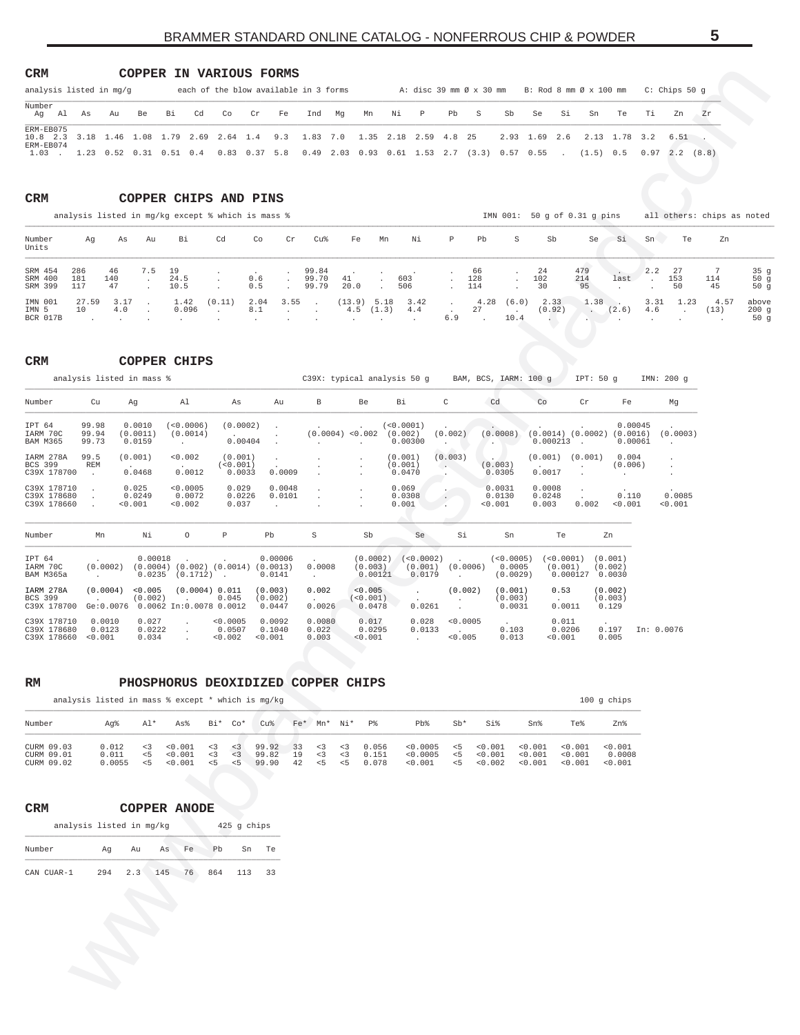# BRAMMER STANDARD ONLINE CATALOG - NONFERROUS CHIP & POWDER **5**

### <span id="page-4-0"></span>**CRM COPPER IN VARIOUS FORMS**

| each of the blow available in 3 forms<br>analysis listed in mg/g                           |  |    |    |       |  |    |    |    |    |        |    |      |    | A: disc 39 mm Ø x 30 mm B: Rod 8 mm Ø x 100 mm                                                                       |               |    |    |                      |       | C: Chips 50 q |       |
|--------------------------------------------------------------------------------------------|--|----|----|-------|--|----|----|----|----|--------|----|------|----|----------------------------------------------------------------------------------------------------------------------|---------------|----|----|----------------------|-------|---------------|-------|
| Number<br>Aq Al                                                                            |  | As | Au | Be Bi |  | Cd | Co | Cr | Fe | Ind Mg | Mn | Ni P | Pb | S                                                                                                                    | Sb            | Se | Si | Sn                   | Te Ti | Zn            | Zr    |
| ERM-EB075<br>10.8 2.3 3.18 1.46 1.08 1.79 2.69 2.64 1.4 9.3 1.83 7.0 1.35 2.18 2.59 4.8 25 |  |    |    |       |  |    |    |    |    |        |    |      |    |                                                                                                                      | 2.93 1.69 2.6 |    |    | 2.13 1.78 3.2        |       | 6.51          |       |
| ERM-EB074<br>1.03                                                                          |  |    |    |       |  |    |    |    |    |        |    |      |    | $1.23$ $0.52$ $0.31$ $0.51$ $0.4$ $0.83$ $0.37$ 5.8 $0.49$ $2.03$ $0.93$ $0.61$ $1.53$ $2.7$ $(3.3)$ $0.57$ $0.55$ . |               |    |    | $(1.5)$ 0.5 0.97 2.2 |       |               | (8.8) |

### **CRM COPPER CHIPS AND PINS**

|                               | analysis listed in mg/kg except % which is mass % |                 |               |                    |                         |                  |                 |                            |               |    |                             |                          |                                       |      | IMN 001: 50 q of 0.31 q pins  |                  |       |                    |           | all others: chips as noted |                      |
|-------------------------------|---------------------------------------------------|-----------------|---------------|--------------------|-------------------------|------------------|-----------------|----------------------------|---------------|----|-----------------------------|--------------------------|---------------------------------------|------|-------------------------------|------------------|-------|--------------------|-----------|----------------------------|----------------------|
| Number<br>Units               | Aq                                                | As              | Au            | Bi                 | Cd                      | Co               | Cr              | Cu%                        | Fe            | Mn | Νi                          | $\mathbb{P}$             | Pb                                    | S    | Sb                            | Se.              | - Si  | Sn                 | Te        | Zn                         |                      |
| SRM 454<br>SRM 400<br>SRM 399 | 286<br>181<br>117                                 | 46<br>140<br>47 | 7.5<br>$\sim$ | 19<br>24.5<br>10.5 |                         | 0.6<br>0.5       | $\sim$          | 99.84<br>99.70 41<br>99.79 | 20.0          |    | 603<br>506                  |                          | 66<br>. 128<br>. 114                  |      | -24<br>102<br>30              | 479<br>214<br>95 | last  | $2.2$ 27<br>$\sim$ | 153<br>50 | 114<br>45                  | 35q<br>50q<br>50q    |
| IMN 001<br>IMN 5<br>BCR 017B  | 27.59<br>10                                       | 3.17<br>4.0     |               | 0.096              | $1.42$ (0.11)<br>$\sim$ | 2.04 3.55<br>8.1 | and the company | <b>Contract Contract</b>   | $(13.9)$ 5.18 |    | 3.42<br>$4.5$ $(1.3)$ $4.4$ | <b>Contractor</b><br>6.9 | 27<br><b>Contract Contract Street</b> | 10.4 | $4.28$ $(6.0)$ 2.33<br>(0.92) | 1.38<br>$\sim$   | (2.6) | 4.6                | 3.31 1.23 | 4.57<br>(13)               | above<br>200q<br>50q |

| <b>COPPER CHIPS</b> |
|---------------------|

| CRM                                              |                   |                                                         |                              |                                  |                    |                               |                             |                                 | COPPER IN VARIOUS FORMS                                                    |                               |                                                   |                  |                                |         |                                    |                                             |                                          |                         |                           |                                  |                           |                          |                                |                                  |                                               |                                |                |                            |                                  |
|--------------------------------------------------|-------------------|---------------------------------------------------------|------------------------------|----------------------------------|--------------------|-------------------------------|-----------------------------|---------------------------------|----------------------------------------------------------------------------|-------------------------------|---------------------------------------------------|------------------|--------------------------------|---------|------------------------------------|---------------------------------------------|------------------------------------------|-------------------------|---------------------------|----------------------------------|---------------------------|--------------------------|--------------------------------|----------------------------------|-----------------------------------------------|--------------------------------|----------------|----------------------------|----------------------------------|
| analysis listed in mq/q<br>Number                |                   |                                                         |                              |                                  |                    |                               |                             |                                 |                                                                            |                               | each of the blow available in 3 forms             |                  |                                |         |                                    |                                             | A: disc 39 mm Ø x 30 mm                  |                         |                           |                                  |                           |                          |                                | B: Rod 8 mm Ø x 100 mm           |                                               | C: Chips 50 g                  |                |                            |                                  |
| Ag Al As                                         |                   | Au                                                      |                              | Be                               | Вi                 | Cd                            | Co                          | Cr                              | Fe                                                                         |                               | Ind                                               | Mg               | Mn                             |         | Νi                                 | P                                           | Pb                                       | S                       |                           | Sb                               | Se                        | Si                       | Sn                             | Te                               | Тi                                            | Zn                             | Zr             |                            |                                  |
| ERM-EB075<br>$10.8$ 2.3<br>ERM-EB074<br>$1.03$ . |                   | 3.18 1.46 1.08 1.79<br>1.23 0.52 0.31 0.51 0.4          |                              |                                  |                    |                               | 2.69 2.64 1.4               | $0.83 \t 0.37$                  | 9.3<br>5.8                                                                 |                               | 1.83 7.0<br>$0.49$ 2.03 0.93 0.61 1.53 2.7        |                  | 1.35                           |         |                                    | 2.18 2.59 4.8                               |                                          | 25<br>$(3.3)$ 0.57 0.55 |                           |                                  | 2.93 1.69 2.6             |                          |                                | 2.13 1.78<br>(1.5) 0.5           | 3.2                                           | $6.51$ .<br>$0.97$ 2.2 $(8.8)$ |                |                            |                                  |
| CRM                                              |                   |                                                         |                              |                                  |                    |                               |                             |                                 | COPPER CHIPS AND PINS<br>analysis listed in mg/kg except % which is mass % |                               |                                                   |                  |                                |         |                                    |                                             |                                          |                         |                           |                                  |                           |                          | IMN 001: 50 g of 0.31 g pins   |                                  |                                               |                                |                | all others: chips as noted |                                  |
| Number<br>Units                                  | Ag                |                                                         | As                           | Au                               | Вi                 |                               | Cd                          |                                 | Co                                                                         | Cr                            | Cu%                                               |                  | Fe                             | Mn      |                                    | Νi                                          | $\, {\mathbb P}$                         | Pb                      |                           | S                                | Sb                        |                          | Se                             | Si                               | Sn                                            | Te                             |                | Zn                         |                                  |
| SRM 454<br>SRM 400<br>SRM 399                    | 286<br>181<br>117 | 46<br>140<br>47                                         |                              | 7.5<br>$\cdot$                   | 19<br>24.5<br>10.5 |                               |                             | 0.6<br>0.5                      |                                                                            | $\cdot$<br>$\cdot$<br>$\cdot$ | 99.84<br>99.70<br>99.79                           | 41               | 20.0                           | $\cdot$ | 603<br>506                         |                                             |                                          | 66<br>128<br>114        |                           | $\cdot$                          | 24<br>102<br>30           |                          | 479<br>214<br>95               | last                             | 2.2<br>$\blacksquare$<br>$\ddot{\phantom{0}}$ | 27<br>153<br>50                | 7<br>114<br>45 |                            | 35 <sub>g</sub><br>50g<br>50g    |
| IMN 001<br>IMN 5<br>BCR 017B                     | 27.59<br>10       |                                                         | 3.17<br>4.0                  |                                  | 1.42               | 0.096                         | (0.11)<br>$\cdot$           | 8.1                             | 2.04                                                                       | 3.55<br>$\cdot$               | $\cdot$<br>$\cdot$                                |                  | (13.9) 5.18<br>$4.5$ $(1.3)$   |         |                                    | 3.42<br>$4.4\,$                             | $\sim$<br>6.9                            | 27                      |                           | $4.28$ (6.0)<br>$\sim$<br>10.4   | 2.33                      | (0.92)                   | 1.38<br>$\sim$ $\sim$<br>in a  | - 11<br>(2.6)                    | 3.31<br>4.6                                   | 1.23<br>$\ddot{\phantom{a}}$   | (13)           | 4.57                       | above<br>200g<br>50 <sub>g</sub> |
| CRM                                              |                   |                                                         |                              | <b>COPPER CHIPS</b>              |                    |                               |                             |                                 |                                                                            |                               |                                                   |                  |                                |         |                                    |                                             |                                          |                         |                           |                                  |                           |                          |                                |                                  |                                               |                                |                |                            |                                  |
|                                                  |                   | analysis listed in mass %                               |                              |                                  |                    |                               |                             |                                 |                                                                            |                               | C39X: typical analysis 50 g BAM, BCS, IARM: 100 g |                  |                                |         |                                    |                                             |                                          |                         |                           |                                  |                           |                          | IPT: 50 g                      |                                  |                                               | IMN: 200 g                     |                |                            |                                  |
| Number                                           |                   | Cu                                                      | Αg                           |                                  | Al                 |                               |                             | As                              | Au                                                                         |                               | В                                                 |                  | Be                             |         | Вi                                 |                                             | C                                        |                         | Cd                        |                                  | Co                        |                          | Cr                             | Fe                               |                                               | Mg                             |                |                            |                                  |
| IPT 64<br>IARM 70C<br><b>BAM M365</b>            |                   | 99.98<br>99.94<br>99.73                                 | 0.0010<br>(0.0011)<br>0.0159 |                                  | $\cdot$            | (<0.0006)<br>(0.0014)         |                             | (0.0002)<br>0.00404             | $\cdot$<br>$\cdot$<br>$\cdot$                                              |                               | (0.0004) < 0.002<br>$\cdot$                       |                  | $\cdot$                        |         | ( < 0.0001 )<br>(0.002)<br>0.00300 |                                             | (0.002)<br>$\cdot$                       |                         | (0.0008)<br>$\sim$        |                                  |                           | $0.000213$ .             |                                | $(0.0014)$ $(0.0002)$ $(0.0016)$ | 0.00045<br>0.00061                            | (0.0003)<br>$\sim$             |                |                            |                                  |
| IARM 278A<br>BCS 399<br>C39X 178700              | 99.5              | REM<br>$\cdot$                                          | (0.001)<br>0.0468            |                                  |                    | 0.002<br>0.0012               |                             | (0.001)<br>( < 0.001)<br>0.0033 | $\cdot$<br>0.0009                                                          |                               | $\cdot$                                           |                  | $\cdot$                        |         | (0.001)<br>(0.001)<br>0.0470       |                                             | (0.003)<br>$\left( \cdot, \cdot \right)$ |                         | (0.003)<br>0.0305         |                                  | 0.0017                    |                          | $(0.001)$ $(0.001)$<br>$\cdot$ | 0.004<br>$\cdot$                 | (0.006)                                       | $\cdot$<br>$\cdot$<br>$\cdot$  |                |                            |                                  |
| C39X 178710<br>C39X 178680<br>C39X 178660        |                   | $\cdot$<br>$\cdot$<br>$\cdot$                           | 0.025<br>0.0249<br>0.001     |                                  |                    | < 0.0005<br>0.0072<br>0.002   |                             | 0.029<br>0.0226<br>0.037        | 0.0048<br>0.0101<br>$\cdot$                                                |                               | $\cdot$<br>$\cdot$                                |                  |                                |         | 0.069<br>0.0308<br>0.001           |                                             | $\cdot$                                  |                         | 0.0031<br>0.0130<br>0.001 |                                  | 0.0008<br>0.0248<br>0.003 |                          | $\bullet$<br>0.002             | < 0.001                          | 0.110                                         | 0.0085<br>0.001                |                |                            |                                  |
| Number                                           |                   | Mn                                                      |                              | Νi                               |                    | $\circ$                       | $\, {\mathbb P}$            |                                 | Pb                                                                         |                               | S                                                 |                  | Sb                             |         |                                    | Se                                          | Si                                       |                         |                           | Sn                               |                           | Te                       |                                | Zn                               |                                               |                                |                |                            |                                  |
| IPT 64<br>IARM 70C<br>BAM M365a                  |                   | (0.0002)<br>$\sim$                                      |                              | 0.00018<br>$0.0235$ $(0.1712)$ . |                    |                               |                             |                                 | 0.00006<br>$(0.0004)$ $(0.002)$ $(0.0014)$ $(0.0013)$<br>0.0141            |                               | 0.0008<br>$\sim$                                  |                  | (0.003)                        | 0.00121 |                                    | $(0.0002)$ $(<0.0002)$<br>(0.001)<br>0.0179 | $\sim$                                   | (0.0006)                |                           | (< 0.0005)<br>0.0005<br>(0.0029) |                           | (< 0.0001)<br>(0.001)    | 0.000127 0.0030                | (0.001)<br>(0.002)               |                                               |                                |                |                            |                                  |
| IARM 278A<br>BCS 399<br>C39X 178700              |                   | (0.0004)<br>$\sim$<br>Ge:0.0076 0.0062 In:0.0078 0.0012 |                              | < 0.005<br>(0.002)               |                    | $\cdot$                       | (0.0004) 0.011<br>0.045     |                                 | (0.003)<br>(0.002)<br>0.0447                                               |                               | 0.002<br>0.0026                                   |                  | < 0.005<br>(< 0.001)<br>0.0478 |         |                                    | $\cdot$<br>0.0261                           | $\cdot$<br>$\ddot{\phantom{0}}$          | (0.002)                 |                           | (0.001)<br>(0.003)<br>0.0031     |                           | 0.53<br>0.0011           |                                | (0.002)<br>(0.003)<br>0.129      |                                               |                                |                |                            |                                  |
| C39X 178710<br>C39X 178680<br>C39X 178660        |                   | 0.0010<br>0.0123<br>< 0.001                             |                              | 0.027<br>0.0222<br>0.034         |                    | $\cdot$<br>$\cdot$<br>$\cdot$ | < 0.0005<br>0.0507<br>0.002 |                                 | 0.0092<br>0.1040<br>0.001                                                  |                               | 0.0080<br>0.022<br>0.003                          |                  | 0.017<br>0.0295<br>< 0.001     |         |                                    | 0.028<br>0.0133<br>$\ddot{\phantom{a}}$     | $\sim$                                   | < 0.0005<br>< 0.005     |                           | 0.103<br>0.013                   |                           | 0.011<br>0.0206<br>0.001 |                                | 0.197<br>0.005                   |                                               | In: 0.0076                     |                |                            |                                  |
| RM                                               |                   |                                                         |                              |                                  |                    |                               |                             |                                 |                                                                            |                               | PHOSPHORUS DEOXIDIZED COPPER CHIPS                |                  |                                |         |                                    |                                             |                                          |                         |                           |                                  |                           |                          |                                |                                  |                                               |                                |                |                            |                                  |
|                                                  |                   | analysis listed in mass % except * which is mg/kg       |                              |                                  |                    |                               |                             |                                 |                                                                            |                               |                                                   |                  |                                |         |                                    |                                             |                                          |                         |                           |                                  |                           |                          |                                | 100 g chips                      |                                               |                                |                |                            |                                  |
| Number<br>CURM 09.03                             |                   | Ag%<br>0.012                                            |                              | Al*<br>< 3                       | As%<br>0.001       |                               | Bi*<br>< 3                  | $Co*$<br>< 3                    | Cu <sup>8</sup><br>99.92                                                   | 33                            | Fe* Mn* Ni*<br>< 3                                | < 3              | P%                             | 0.056   |                                    | $Pb$ %<br>< 0.0005                          | $Sb*$<br>5                               |                         | Si%<br>< 0.001            |                                  | Sn%<br>0.001              |                          | Te%<br>0.001                   | Zn%<br>< 0.001                   |                                               |                                |                |                            |                                  |
| CURM 09.01<br>CURM 09.02                         |                   | 0.011<br>0.0055                                         |                              | $\leq$<br>< 5                    | < 0.001<br>< 0.001 |                               | < 3<br>< 5                  | < 3<br>5                        | 99.82<br>99.90                                                             | 19<br>42                      | < 3<br>5<                                         | $<$ 3<br>$5 - 5$ | 0.151                          | 0.078   |                                    | < 0.0005<br>< 0.001                         | $\leq$ 5<br>< 5                          |                         | 0.001<br>0.002            |                                  | 0.001<br>0.001            |                          | < 0.001<br>0.001               | 0.0008<br>< 0.001                |                                               |                                |                |                            |                                  |
|                                                  |                   |                                                         |                              |                                  |                    |                               |                             |                                 |                                                                            |                               |                                                   |                  |                                |         |                                    |                                             |                                          |                         |                           |                                  |                           |                          |                                |                                  |                                               |                                |                |                            |                                  |
| CRM                                              |                   | analysis listed in mg/kg                                |                              | <b>COPPER ANODE</b>              |                    |                               |                             | 425 g chips                     |                                                                            |                               |                                                   |                  |                                |         |                                    |                                             |                                          |                         |                           |                                  |                           |                          |                                |                                  |                                               |                                |                |                            |                                  |
| Number                                           |                   | Αg                                                      | Au                           |                                  | As                 | Fe                            | Pb                          | Sn                              | Te                                                                         |                               |                                                   |                  |                                |         |                                    |                                             |                                          |                         |                           |                                  |                           |                          |                                |                                  |                                               |                                |                |                            |                                  |
| CAN CUAR-1                                       |                   | 294                                                     | 2.3                          |                                  | 145 76             |                               | 864                         | 113                             | 33                                                                         |                               |                                                   |                  |                                |         |                                    |                                             |                                          |                         |                           |                                  |                           |                          |                                |                                  |                                               |                                |                |                            |                                  |
|                                                  |                   |                                                         |                              |                                  |                    |                               |                             |                                 |                                                                            |                               |                                                   |                  |                                |         |                                    |                                             |                                          |                         |                           |                                  |                           |                          |                                |                                  |                                               |                                |                |                            |                                  |
|                                                  |                   |                                                         |                              |                                  |                    |                               |                             |                                 |                                                                            |                               |                                                   |                  |                                |         |                                    |                                             |                                          |                         |                           |                                  |                           |                          |                                |                                  |                                               |                                |                |                            |                                  |
|                                                  |                   |                                                         |                              |                                  |                    |                               |                             |                                 |                                                                            |                               |                                                   |                  |                                |         |                                    |                                             |                                          |                         |                           |                                  |                           |                          |                                |                                  |                                               |                                |                |                            |                                  |
|                                                  |                   |                                                         |                              |                                  |                    |                               |                             |                                 |                                                                            |                               |                                                   |                  |                                |         |                                    |                                             |                                          |                         |                           |                                  |                           |                          |                                |                                  |                                               |                                |                |                            |                                  |
|                                                  |                   |                                                         |                              |                                  |                    |                               |                             |                                 |                                                                            |                               |                                                   |                  |                                |         |                                    |                                             |                                          |                         |                           |                                  |                           |                          |                                |                                  |                                               |                                |                |                            |                                  |

| RM | PHOSPHORUS DEOXIDIZED COPPER CHIPS |  |  |
|----|------------------------------------|--|--|
|    |                                    |  |  |

| analysis listed in mass $%$ except $*$ which is mq/kq |                          |                        |                               |                        |                       |                         |                |                             |                        |                           |                                 |       |                                                       |                               |                               | $100$ q chips                |
|-------------------------------------------------------|--------------------------|------------------------|-------------------------------|------------------------|-----------------------|-------------------------|----------------|-----------------------------|------------------------|---------------------------|---------------------------------|-------|-------------------------------------------------------|-------------------------------|-------------------------------|------------------------------|
| Number                                                | Aa%                      | Al*                    | As%                           | Bi*                    | Co*                   | Cu%                     |                | Fe* Mn* Ni*                 |                        | $P_{\mathcal{R}}^{\circ}$ | $Pb$ %                          | $Sh*$ | Si%                                                   | Sn <sup>8</sup>               | Te%                           | Zn%                          |
| CURM 09.03<br>CURM 09.01<br>CURM 09.02                | 0.012<br>0.011<br>0.0055 | $\leq$ 3<br>< 5<br>< 5 | < 0.001<br>< 0.001<br>< 0.001 | < 3<br>$\leq$ 3<br>< 5 | $<$ 3<br>$<$ 3<br>< 5 | 99.92<br>99.82<br>99.90 | 33<br>19<br>42 | $\leq$ 3<br>$\leq$ 3<br>< 5 | < 3<br>$\leq$ 3<br>< 5 | 0.056<br>0.151<br>0.078   | < 0.0005<br>< 0.0005<br>< 0.001 |       | $< 5$ $< 0.001$<br>$< 5$ $< 0.001$<br>$< 5$ $< 0.002$ | < 0.001<br>< 0.001<br>< 0.001 | < 0.001<br>< 0.001<br>< 0.001 | < 0.001<br>0.0008<br>< 0.001 |

| <b>CRM</b> |                          |     |     | <b>COPPER ANODE</b> |    |     |             |    |
|------------|--------------------------|-----|-----|---------------------|----|-----|-------------|----|
|            | analysis listed in mg/kg |     |     |                     |    |     | 425 q chips |    |
| Number     |                          | Aα  | Au  | As                  | Fe | Ph  | Sn          | Te |
| CAN CUAR-1 |                          | 294 | 2.3 | 145                 | 76 | 864 | 113         | 33 |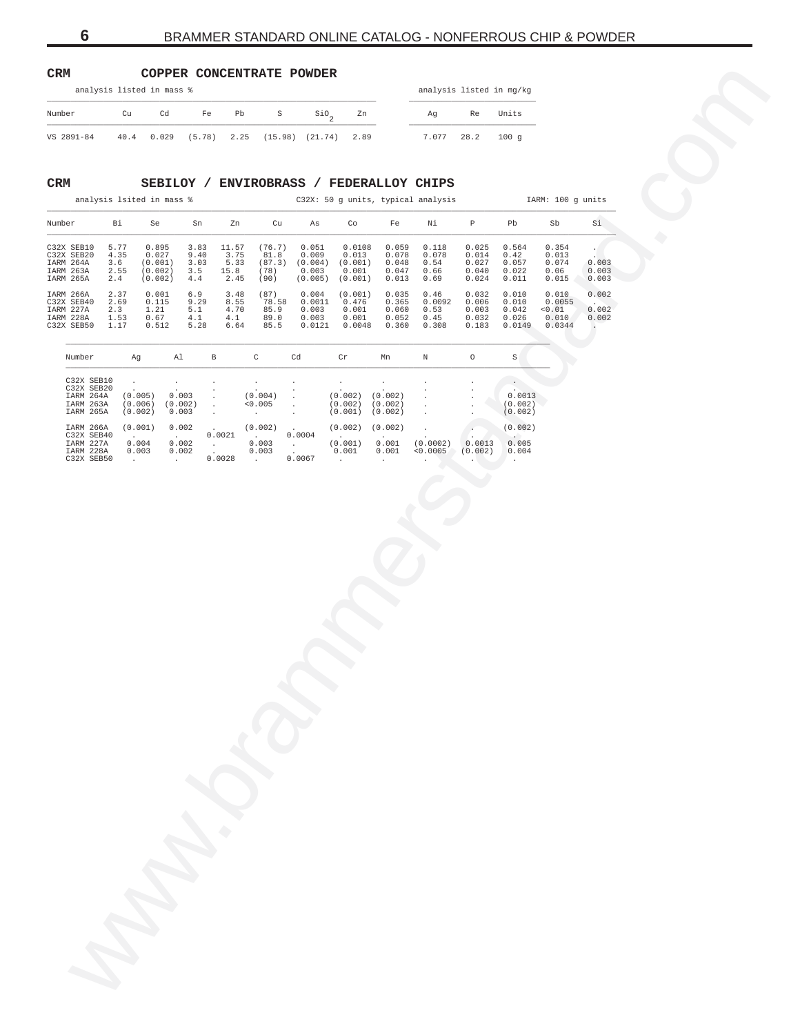# <span id="page-5-0"></span>**CRM COPPER CONCENTRATE POWDER**

|            |    | analysis listed in mass % |       |                                             |                     |  |       |      | analysis listed in mg/kg |  |
|------------|----|---------------------------|-------|---------------------------------------------|---------------------|--|-------|------|--------------------------|--|
| Number     | Cu | Cd                        | Fe Pb | S                                           | SiO <sub>c</sub> Zn |  | Aq    | Re   | Units                    |  |
| VS 2891-84 |    |                           |       | 40.4 0.029 (5.78) 2.25 (15.98) (21.74) 2.89 |                     |  | 7.077 | 28.2 | $100 \alpha$             |  |

# **CRM SEBILOY / ENVIROBRASS / FEDERALLOY CHIPS**

| CRM                                   |                     |                               |                           |                             |                       |                              | COPPER CONCENTRATE POWDER            |                               |                               |                                          |                          |                              |                           |                               |  |
|---------------------------------------|---------------------|-------------------------------|---------------------------|-----------------------------|-----------------------|------------------------------|--------------------------------------|-------------------------------|-------------------------------|------------------------------------------|--------------------------|------------------------------|---------------------------|-------------------------------|--|
|                                       |                     |                               | analysis listed in mass % |                             |                       |                              |                                      |                               |                               |                                          | analysis listed in mg/kg |                              |                           |                               |  |
| Number                                |                     | Cu                            | Cd                        | Fe                          | Pb                    | S                            | $\mathsf{Sio}_2$                     | Zn                            |                               | Αg                                       | Re                       | Units                        |                           |                               |  |
| VS 2891-84                            |                     | $40.4\,$                      | 0.029                     | (5.78)                      | 2.25                  |                              | $(15.98)$ $(21.74)$                  | 2.89                          |                               | 7.077                                    | 28.2                     | 100g                         |                           |                               |  |
|                                       |                     |                               |                           |                             |                       |                              |                                      |                               |                               |                                          |                          |                              |                           |                               |  |
| $\mathtt{CRM}$                        |                     |                               |                           |                             |                       |                              |                                      |                               |                               | SEBILOY / ENVIROBRASS / FEDERALLOY CHIPS |                          |                              |                           |                               |  |
|                                       |                     |                               | analysis lsited in mass % |                             |                       |                              |                                      |                               |                               | C32X: 50 g units, typical analysis       |                          |                              | IARM: 100 g units         |                               |  |
| Number                                |                     | Bi                            | Se                        | Sn                          | Zn                    | Cu                           | As                                   | Co                            | Fe                            | Νi                                       | $\mathbb P$              | Pb                           | Sb                        | Si                            |  |
| C32X SEB10<br>C32X SEB20<br>IARM 264A | 5.77<br>4.35<br>3.6 |                               | 0.895<br>0.027<br>(0.001) | 3.83<br>9.40<br>3.03        | 11.57<br>3.75<br>5.33 | (76.7)<br>81.8               | 0.051<br>0.009<br>$(87.3)$ $(0.004)$ | 0.0108<br>0.013<br>(0.001)    | 0.059<br>0.078<br>0.048       | 0.118<br>0.078<br>0.54                   | 0.025<br>0.014<br>0.027  | 0.564<br>0.42<br>0.057       | 0.354<br>0.013<br>0.074   | 0.003                         |  |
| IARM 263A<br>IARM 265A                | 2.55<br>2.4         |                               | (0.002)<br>(0.002)        | 3.5<br>4.4                  | 15.8<br>2.45          | (78)<br>(90)                 | 0.003<br>(0.005)                     | 0.001<br>(0.001)              | 0.047<br>0.013                | 0.66<br>0.69                             | 0.040<br>0.024           | 0.022<br>0.011               | 0.06<br>0.015             | 0.003<br>0.003                |  |
| IARM 266A<br>C32X SEB40<br>IARM 227A  | 2.37<br>2.69<br>2.3 |                               | 0.001<br>0.115<br>1.21    | 6.9<br>9.29<br>5.1          | 3.48<br>8.55<br>4.70  | (87)<br>78.58<br>85.9        | 0.004<br>0.0011<br>0.003             | (0.001)<br>0.476<br>0.001     | 0.035<br>0.365<br>0.060       | 0.46<br>0.0092<br>0.53                   | 0.032<br>0.006<br>0.003  | 0.010<br>0.010<br>0.042      | 0.010<br>0.0055<br>< 0.01 | 0.002<br>$\sim$<br>0.002      |  |
| IARM 228A<br>C32X SEB50               | 1.53<br>1.17        |                               | 0.67<br>0.512             | 4.1<br>5.28                 | 4.1<br>6.64           | 89.0<br>85.5                 | 0.003<br>0.0121                      | 0.001<br>0.0048               | 0.052<br>0.360                | 0.45<br>0.308                            | 0.032<br>0.183           | 0.026<br>0.0149              | 0.010<br>0.0344           | 0.002<br>$\ddot{\phantom{0}}$ |  |
| Number                                |                     | Ag                            |                           | Al                          | $\, {\bf B}$          | C                            | Cd                                   | $\operatorname{\sf Cr}$       | Mn                            | $\mathbb N$                              | $\circ$                  | $\rm S$                      |                           |                               |  |
| C32X SEB10<br>C32X SEB20              |                     |                               |                           |                             |                       |                              |                                      |                               |                               |                                          |                          | $\sim$                       |                           |                               |  |
| IARM 264A<br>IARM 263A<br>IARM 265A   |                     | (0.005)<br>(0.006)<br>(0.002) |                           | 0.003<br>(0.002)<br>0.003   | $\cdot$<br>$\cdot$    | (0.004)<br>< 0.005<br>$\sim$ |                                      | (0.002)<br>(0.002)<br>(0.001) | (0.002)<br>(0.002)<br>(0.002) |                                          |                          | 0.0013<br>(0.002)<br>(0.002) |                           |                               |  |
| IARM 266A<br>C32X SEB40               |                     | (0.001)                       |                           | 0.002<br>$\Delta \sim 10^4$ | 0.0021                | (0.002)<br>in a sh           | 0.0004                               | (0.002)                       | (0.002)                       |                                          |                          | (0.002)                      |                           |                               |  |
| IARM 227A<br>IARM 228A                |                     | 0.004<br>0.003                |                           | 0.002<br>0.002              | <b>Allen</b>          | 0.003<br>0.003               | <b>Contract</b>                      | (0.001)<br>0.001              | 0.001<br>0.001                | (0.0002)<br>0.0005                       | 0.0013<br>(0.002)        | 0.005<br>0.004               |                           |                               |  |
| C32X SEB50                            |                     | $\sim 10^{-11}$               |                           | $\sim 10^{-11}$             | 0.0028                | <b>Contractor</b>            | 0.0067                               | $\sim$                        | $\sim$                        |                                          |                          | $\sim$                       |                           |                               |  |
|                                       |                     |                               |                           |                             |                       |                              |                                      |                               |                               |                                          |                          |                              |                           |                               |  |
|                                       |                     |                               |                           |                             |                       |                              |                                      |                               |                               |                                          |                          |                              |                           |                               |  |
|                                       |                     |                               |                           |                             |                       |                              |                                      |                               |                               |                                          |                          |                              |                           |                               |  |
|                                       |                     |                               |                           |                             |                       |                              |                                      |                               |                               |                                          |                          |                              |                           |                               |  |
|                                       |                     |                               |                           |                             |                       |                              |                                      |                               |                               |                                          |                          |                              |                           |                               |  |
|                                       |                     |                               |                           |                             |                       |                              |                                      |                               |                               |                                          |                          |                              |                           |                               |  |
|                                       |                     |                               |                           |                             |                       |                              |                                      |                               |                               |                                          |                          |                              |                           |                               |  |
|                                       |                     |                               |                           |                             |                       |                              |                                      |                               |                               |                                          |                          |                              |                           |                               |  |
|                                       |                     |                               |                           |                             |                       |                              |                                      |                               |                               |                                          |                          |                              |                           |                               |  |
|                                       |                     |                               |                           |                             |                       |                              |                                      |                               |                               |                                          |                          |                              |                           |                               |  |
|                                       |                     |                               |                           |                             |                       |                              |                                      |                               |                               |                                          |                          |                              |                           |                               |  |
|                                       |                     |                               |                           |                             |                       |                              |                                      |                               |                               |                                          |                          |                              |                           |                               |  |
|                                       |                     |                               |                           |                             |                       |                              |                                      |                               |                               |                                          |                          |                              |                           |                               |  |
|                                       |                     |                               |                           |                             |                       |                              |                                      |                               |                               |                                          |                          |                              |                           |                               |  |
|                                       |                     |                               |                           |                             |                       |                              |                                      |                               |                               |                                          |                          |                              |                           |                               |  |
|                                       |                     |                               |                           |                             |                       |                              |                                      |                               |                               |                                          |                          |                              |                           |                               |  |
|                                       |                     |                               |                           |                             |                       |                              |                                      |                               |                               |                                          |                          |                              |                           |                               |  |
|                                       |                     |                               |                           |                             |                       |                              |                                      |                               |                               |                                          |                          |                              |                           |                               |  |
|                                       |                     |                               |                           |                             |                       |                              |                                      |                               |                               |                                          |                          |                              |                           |                               |  |
|                                       |                     |                               |                           |                             |                       |                              |                                      |                               |                               |                                          |                          |                              |                           |                               |  |
|                                       |                     |                               |                           |                             |                       |                              |                                      |                               |                               |                                          |                          |                              |                           |                               |  |
|                                       |                     |                               |                           |                             |                       |                              |                                      |                               |                               |                                          |                          |                              |                           |                               |  |
|                                       |                     |                               |                           |                             |                       |                              |                                      |                               |                               |                                          |                          |                              |                           |                               |  |
|                                       |                     |                               |                           |                             |                       |                              |                                      |                               |                               |                                          |                          |                              |                           |                               |  |

| Number     | Aq      | Al           | B              | C                        | Cd      | Cr           | Mn           | Ν              | $\circ$ | S                    |
|------------|---------|--------------|----------------|--------------------------|---------|--------------|--------------|----------------|---------|----------------------|
| C32X SEB10 |         |              |                |                          |         |              |              |                |         |                      |
| C32X SEB20 |         | $\cdot$      | $\cdot$        | $\overline{\phantom{a}}$ | $\cdot$ |              |              | $\cdot$        | $\sim$  |                      |
| IARM 264A  | (0.005) | 0.003        |                | (0.004)                  |         | (0.002)      | (0.002)      |                |         | ٠<br>0.0013          |
| IARM 263A  | (0.006) | (0.002)      |                | < 0.005                  |         | (0.002)      | (0.002)      |                |         | (0.002)              |
| IARM 265A  | (0.002) | 0.003        | $\blacksquare$ | $\overline{a}$           |         | (0.001)      | (0.002)      |                |         | (0.002)              |
| IARM 266A  | (0.001) | 0.002        |                | (0.002)                  |         | (0.002)      | (0.002)      |                |         | (0.002)              |
| C32X SEB40 | $\sim$  | $\mathbf{r}$ | 0.0021         |                          | 0.0004  | $\cdot$      |              |                |         | $\sim$               |
| IARM 227A  | 0.004   | 0.002        |                | 0.003                    |         | (0.001)      | 0.001        | (0.0002)       | 0.0013  | 0.005                |
| TARM 228A  | 0.003   | 0.002        |                | 0.003                    |         | 0.001        | 0.001        | < 0.0005       | (0.002) | 0.004                |
| C32X SEB50 |         |              | 0.0028         |                          | 0.0067  | $\mathbf{r}$ | $\mathbf{r}$ | $\overline{a}$ | $\sim$  | $\ddot{\phantom{1}}$ |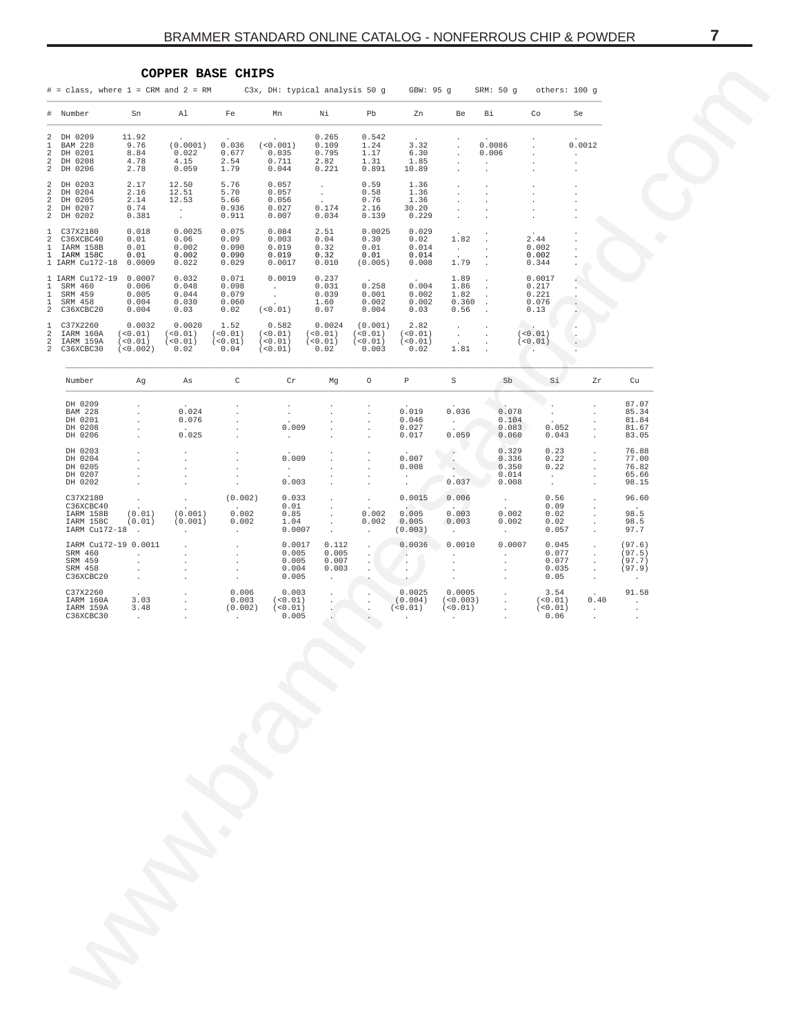$\sim$ 

### COPPER BASE CHIPS

IJ,

<span id="page-6-0"></span>

|                                              | # = class, where 1 = CRM and 2 = RM       C3x, DH: typical analysis 50 g    GBW: 95 g    SRM: 50 g   others: 100 g |                                                    |                                                                                    |                                                                                                                                                                                                                                                               |                                                                                                                            |                                                    |                                                 |                                                             |                                                         |                                                                |                                                                                                                                                                 |                   |                                                    |
|----------------------------------------------|--------------------------------------------------------------------------------------------------------------------|----------------------------------------------------|------------------------------------------------------------------------------------|---------------------------------------------------------------------------------------------------------------------------------------------------------------------------------------------------------------------------------------------------------------|----------------------------------------------------------------------------------------------------------------------------|----------------------------------------------------|-------------------------------------------------|-------------------------------------------------------------|---------------------------------------------------------|----------------------------------------------------------------|-----------------------------------------------------------------------------------------------------------------------------------------------------------------|-------------------|----------------------------------------------------|
|                                              | # Number                                                                                                           | Sn                                                 | Al                                                                                 | Fe                                                                                                                                                                                                                                                            | Mn                                                                                                                         | Νi                                                 | Pb                                              | Zn                                                          | Be                                                      | Вi                                                             | Co                                                                                                                                                              | Se                |                                                    |
| 2<br>$\mathbf{1}$<br>2<br>2<br>2             | DH 0209<br><b>BAM 228</b><br>DH 0201<br>DH 0208<br>DH 0206                                                         | 11.92<br>9.76<br>8.84<br>4.78<br>2.78              | (0.0001)<br>$0.022$<br>4.15<br>0.059                                               | 0.036<br>0.677<br>2.54<br>1.79                                                                                                                                                                                                                                | (< 0.001)<br>0.035<br>0.711<br>0.044                                                                                       | 0.265<br>0.109<br>0.795<br>2.82<br>0.221           | 0.542<br>0.542<br>1.24<br>1.17<br>1.31<br>0.891 | 3.32<br>6.30<br>1.85<br>10.89                               |                                                         | 0.0086<br>0.006                                                |                                                                                                                                                                 | 0.0012<br>$\cdot$ |                                                    |
| $\overline{a}$<br>2<br>2                     | DH 0203<br>DH 0204<br>DH 0205<br>2 DH 0207<br>2 DH 0202                                                            | 2.17<br>2.16<br>2.14<br>0.74<br>0.381              | 12.50<br>$12.50$<br>$12.51$<br>$12.53$<br>$.$<br>12.51<br>12.53<br>$\sim 10^{-10}$ | 5.76<br>5.70<br>5.66<br>0.936<br>0.911                                                                                                                                                                                                                        | $0.057$<br>0.057<br>0.056<br>0.027<br>0.007                                                                                | <b>Contractor</b><br>$\sim 10^6$<br>0.174<br>0.034 | 0.59<br>0.58<br>0.76<br>2.16<br>0.139           | 1.36<br>1.36<br>1.36<br>30.20<br>0.229                      | $\cdot$                                                 |                                                                |                                                                                                                                                                 |                   |                                                    |
| $\mathbf{1}$<br>2                            | C37X2180<br>C36XCBC40<br>1 IARM 158B<br>1 IARM 158C<br>1 IARM Cu172-18 0.0009                                      | 0.018<br>0.01<br>0.01<br>0.01                      | 0.0025<br>0.06<br>0.002<br>0.002<br>0.022                                          | 0.075<br>0.09<br>0.090<br>0.090<br>0.029                                                                                                                                                                                                                      | $\begin{array}{cccc} 0.084 & & 2.51 \\ 0.003 & & 0.04 \\ 0.019 & & 0.32 \\ 0.019 & & 0.32 \\ 0.0017 & & 0.010 \end{array}$ |                                                    | 0.0025<br>$0.002$<br>0.30<br>0.01<br>0.30       | 0.029<br>0.02<br>0.014<br>$0.01$ $0.014$<br>$(0.005)$ 0.008 | 1.82<br>$\sim 10^{-10}$<br>1.79                         |                                                                | 2.44<br>0.002<br>0.002<br>0.344                                                                                                                                 |                   |                                                    |
| $\mathbf{1}$<br>$\mathbf{1}$<br>$\mathbf{1}$ | 1 IARM Cu172-19<br>SRM 460<br>SRM 459<br>SRM 458<br>2 C36XCBC20                                                    | 0.0007<br>0.006<br>0.005<br>0.004<br>0.004         | 0.032<br>0.048<br>0.044<br>0.030<br>0.03                                           | 0.071<br>$0.098$<br>0.079<br>0.060<br>0.02                                                                                                                                                                                                                    | 0.0019<br>$\begin{array}{cccc} . & & & 0.031 \\ . & & & 0.039 \\ . & & & 1.60 \end{array}$<br>$($ < 0.01) 0.07             | 0.237                                              | 0.258<br>0.001<br>0.002<br>0.004                | 0.004<br>0.002<br>0.002<br>0.03                             | 1.89<br>1.86<br>1.82<br>0.360<br>0.56                   | $\Delta$<br>$\sim$<br>$\sim$                                   | 0.0017<br>0.217<br>0.221<br>0.076<br>0.13                                                                                                                       |                   |                                                    |
| $\mathbf{1}$<br>2<br>2                       | C37X2260<br>IARM 160A<br>IARM 159A<br>2 C36XCBC30                                                                  | 0.0032<br>$(<0.01)$ $(<0.01)$<br>$($ < 0.002) 0.02 | 0.0020<br>$(<0.01)$ $(<0.01)$                                                      | 1.52<br>(< 0.01)<br>(< 0.01)<br>0.04                                                                                                                                                                                                                          | $0.582$ $0.0024$<br>$(<0.01)$ $(<0.01)$ $(<0.01)$<br>$(<0.01)$ $(<0.01)$<br>$(0.01)$ 0.02                                  |                                                    | (0.001)<br>(< 0.01)<br>0.003                    | 2.82<br>(< 0.01)<br>(< 0.01)<br>0.02                        | <b>CALL CO</b><br>$\frac{1}{2}$ , $\frac{1}{2}$<br>1.81 | $\sim$                                                         | (< 0.01)<br>(< 0.01)                                                                                                                                            |                   |                                                    |
|                                              | Number                                                                                                             | Ag                                                 | As                                                                                 | $\overline{C}$                                                                                                                                                                                                                                                | Cr                                                                                                                         | Mg                                                 | $\overline{O}$                                  | $\, {\bf p} \,$                                             | S                                                       | Sb                                                             | Si.                                                                                                                                                             | Zr                | Cu                                                 |
|                                              | DH 0209<br><b>BAM 228</b><br>DH 0201<br>DH 0208<br>DH 0206                                                         |                                                    | 0.024<br>0.076<br>0.025                                                            |                                                                                                                                                                                                                                                               | $\cdot$<br>0.009<br>$\sim$                                                                                                 |                                                    |                                                 | 0.019<br>0.046<br>0.027<br>0.017                            | 0.036<br>$\sim 10^{-11}$<br>0.059                       | 0.078<br>0.104<br>0.083<br>0.060                               | 0.052<br>0.043                                                                                                                                                  |                   | 87.07<br>85.34<br>81.84<br>81.67<br>83.05          |
|                                              | DH 0203<br>DH 0204<br>DH 0205<br>DH 0207<br>DH 0202                                                                |                                                    | $\ddot{\phantom{a}}$                                                               | $\ddot{\phantom{a}}$                                                                                                                                                                                                                                          | 0.009<br>$\sim$<br>0.003                                                                                                   |                                                    |                                                 | 0.007<br>0.008<br>$\mathbf{r}$                              | 0.037                                                   | 0.329<br>0.336<br>0.350<br>0.014<br>0.008                      | 0.23<br>0.22<br>0.22<br>$\sim$ $-$<br>$\sim$                                                                                                                    |                   | 76.88<br>77.00<br>76.82<br>65.66<br>98.15          |
|                                              | C37X2180<br>C36XCBC40<br>IARM 158B<br>IARM 158C<br>IARM Cu172-18 .                                                 | (0.01)<br>(0.01)                                   |                                                                                    | $(0.002)$ 0.033<br>$(0.001)$ $0.002$ $0.85$<br>$(0.001)$ $0.002$ $1.04$<br>$0.0007$                                                                                                                                                                           |                                                                                                                            | $\sim$<br>$\Box$<br>$\sim$<br>$\sim$               | 0.002<br>0.002                                  | 0.0015<br>$\sim$<br>0.005<br>0.005<br>(0.003)               | 0.006<br>0.003<br>0.003<br>$\mathcal{L}_{\mathcal{A}}$  | $\mathcal{L}^{\text{max}}$<br>0.002<br>0.002<br><b>Service</b> | 0.56<br>0.09<br>0.02<br>0.02<br>0.057                                                                                                                           |                   | 96.60<br>98.5<br>98.5<br>97.7                      |
|                                              | IARM Cu172-19 0.0011<br>SRM 460<br>SRM 459<br>SRM 458<br>C36XCBC20                                                 |                                                    | $\sim$                                                                             | $\begin{array}{ccccc} \mathbf{1} & \mathbf{1} & \mathbf{1} & \mathbf{1} \\ \mathbf{1} & \mathbf{1} & \mathbf{1} & \mathbf{1} \\ \mathbf{1} & \mathbf{1} & \mathbf{1} & \mathbf{1} \\ \mathbf{1} & \mathbf{1} & \mathbf{1} & \mathbf{1} \end{array}$<br>$\sim$ | 0.0017<br>0.005<br>0.005<br>0.004<br>0.005                                                                                 | 0.112<br>0.005<br>0.007<br>0.003<br>$\sim$         |                                                 | 0.0036<br>$\cdot$                                           | 0.0010<br><b>Allen</b>                                  | 0.0007<br><b>Contract Contract</b>                             | 0.045<br>0.077<br>0.077<br>0.035<br>0.05                                                                                                                        |                   | (97.6)<br>(97.5)<br>(97.7)<br>(97.9)<br>$\sim 100$ |
|                                              | C37X2260<br>IARM 160A<br>IARM 159A<br>C36XCBC30                                                                    | 3.03<br>3.48<br>$\sim$                             | $\mathcal{L}^{\text{max}}$<br>$\sim$                                               | 0.006<br><b>Contract Contract</b>                                                                                                                                                                                                                             | 0.003<br>$0.003$ $(<0.01)$<br>$(0.002)$ $(<0.01)$<br>0.005                                                                 |                                                    |                                                 | 0.0025<br>(0.004)<br>(< 0.01)<br>$\sim$ $-$                 |                                                         |                                                                | $(\begin{array}{cccc} 3.54 \\ (\times 0.003) \\ (\times 0.01) \\ . \end{array} \qquad \begin{array}{c} 3.54 \\ (\times 0.01) \\ (\times 0.01) \\ . \end{array}$ | 0.40<br>$\sim$    | 91.58<br>$\sim 100$                                |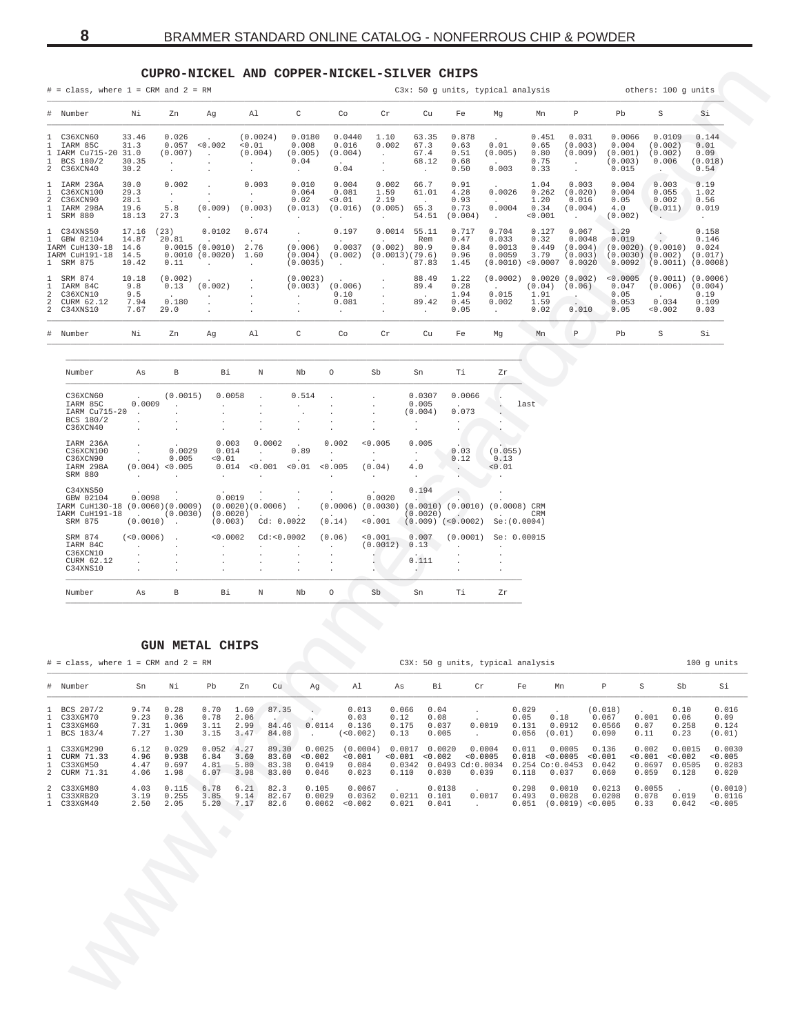# **CUPRO-NICKEL AND COPPER-NICKEL-SILVER CHIPS**

<span id="page-7-0"></span>

|                                                                                             |                                       |                                                       |                                                                        | CUPRO-NICKEL AND COPPER-NICKEL-SILVER CHIPS                                                        |                                                       |                                                       |                                                                                 |                                                      |                                         |                                                      |                                                                                                |                                                          |                                                |                                       |                                                                                             |                                          |
|---------------------------------------------------------------------------------------------|---------------------------------------|-------------------------------------------------------|------------------------------------------------------------------------|----------------------------------------------------------------------------------------------------|-------------------------------------------------------|-------------------------------------------------------|---------------------------------------------------------------------------------|------------------------------------------------------|-----------------------------------------|------------------------------------------------------|------------------------------------------------------------------------------------------------|----------------------------------------------------------|------------------------------------------------|---------------------------------------|---------------------------------------------------------------------------------------------|------------------------------------------|
| $#$ = class, where $1$ = CRM and $2$ = RM                                                   |                                       |                                                       |                                                                        |                                                                                                    |                                                       |                                                       |                                                                                 |                                                      |                                         |                                                      | C3x: 50 g units, typical analysis                                                              |                                                          |                                                |                                       | others: 100 g units                                                                         |                                          |
| # Number                                                                                    | Νi                                    | Zn                                                    | Ag                                                                     | Al                                                                                                 | C                                                     | Co                                                    | Cr                                                                              | Cu                                                   | Fe                                      | Mg                                                   | Mn                                                                                             | P                                                        | Pb                                             | S                                     |                                                                                             | Si                                       |
| 1 C36XCN60<br>1 IARM 85C<br>IARM Cu715-20 31.0<br>$\mathbf{1}$<br>1 BCS 180/2<br>2 C36XCN40 | 33.46<br>31.3<br>30.35<br>30.2        | 0.026<br>(0.007)<br><b>Contract</b><br>$\sim$         | 0.057 < 0.002<br>$\sim$ 100 $\pm$<br>$\cdot$                           | (0.0024)<br>< 0.01<br>(0.004)<br><b>Contract</b><br>$\sim$                                         | 0.0180<br>0.008<br>(0.005)<br>0.04<br>$\sim 10^{-11}$ | 0.0440<br>0.016<br>(0.004)<br><b>Contract</b><br>0.04 | 1.10<br>0.002<br><b>Contract</b><br>$\sim$<br>$\sim$                            | 63.35<br>67.3<br>67.4<br>68.12<br>$\sim 100$         | 0.878<br>0.63<br>0.51<br>0.68<br>0.50   | 0.01<br>(0.005)<br><b>Contract Contract</b><br>0.003 | 0.451<br>0.65<br>0.80<br>0.75<br>0.33                                                          | 0.031<br>(0.003)<br>(0.009)<br>$\sim 10^{-11}$<br>$\sim$ | 0.0066<br>0.004<br>(0.001)<br>(0.003)<br>0.015 | (0.002)<br>(0.002)<br>0.006           | 0.0109                                                                                      | 0.144<br>0.01<br>0.09<br>(0.018)<br>0.54 |
| 1 IARM 236A<br>1<br>C36XCN100<br>C36XCN90<br>2<br>1 IARM 298A<br>1 SRM 880                  | 30.0<br>29.3<br>28.1<br>19.6<br>18.13 | 0.002<br><b>Contractor</b><br>5.8<br>27.3             | <b>Contract</b><br>(0.009)<br>$\sim$ 100 $\mu$                         | 0.003<br>$\sim 10^{-11}$<br>(0.003)<br>$\mathcal{A}^{\mathcal{A}}$ and $\mathcal{A}^{\mathcal{A}}$ | 0.010<br>0.064<br>0.02<br>(0.013)<br>$\cdot$          | 0.004<br>0.081<br>< 0.01<br>(0.016)<br>$\cdot$        | 0.002<br>1.59<br>2.19<br>(0.005)<br>$\sim$                                      | 66.7<br>61.01<br>$\sim 100$<br>65.3<br>54.51         | 0.91<br>4.28<br>0.93<br>0.73<br>(0.004) | 0.0026<br>0.0004<br>$\sim 10^{-11}$                  | 1.04<br>0.262<br>1.20<br>0.34<br>0.001                                                         | 0.003<br>(0.020)<br>0.016<br>(0.004)<br>$\sim$           | 0.004<br>0.004<br>0.05<br>4.0<br>(0.002)       | 0.003<br>0.055<br>0.002               | (0.011)<br>Service Co<br>$\sim$                                                             | 0.19<br>1.02<br>0.56<br>0.019            |
| 1 C34XNS50<br>1 GBW 02104<br>IARM CuH130-18 14.6<br>IARM CuH191-18<br>1 SRM 875             | 17.16<br>14.87<br>14.5<br>10.42       | (23)<br>20.81<br>0.11                                 | 0.0102<br>0.0015(0.0010)2.76<br>0.0010 (0.0020) 1.60<br>$\overline{a}$ | 0.674<br>$\sim 100$                                                                                | $\sim$ $-$<br>(0.006)<br>(0.004)<br>(0.0035)          | 0.197<br>0.0037<br>(0.002)<br>$\sim$ $\sim$           | $0.0014$ 55.11<br>$(0.002)$ 80.9<br>(0.0013)(79.6)<br>$\sim 10^{-11}$           | Rem<br>87.83                                         | 0.717<br>0.47<br>0.84<br>0.96<br>1.45   | 0.704<br>0.033<br>0.0013<br>0.0059                   | 0.127<br>0.32<br>0.449<br>3.79<br>$(0.0010)$ <0.0007 0.0020                                    | 0.067<br>0.0048<br>(0.004)<br>(0.003)                    | 1.29<br>0.019                                  |                                       | $(0.0020)$ $(0.0010)$ 0.024<br>$(0.0030)$ $(0.002)$ $(0.017)$<br>$0.0092$ (0.0011) (0.0008) | 0.158<br>0.146                           |
| 1 SRM 874<br>IARM 84C<br>-1.<br>2<br>C36XCN10<br>CURM 62.12<br>2<br>2 C34XNS10              | 10.18<br>9.8<br>9.5<br>7.94<br>7.67   | (0.002)<br>0.13<br>0.180<br>29.0                      | (0.002)<br>$\cdot$<br>$\cdot$                                          |                                                                                                    | (0.0023)<br>$\sim$ $\sim$<br>$\cdot$<br>$\cdot$       | $(0.003)$ $(0.006)$<br>0.10<br>0.081<br>$\sim$        | $\cdot$                                                                         | 88.49<br>89.4<br>$\sim$ 100 $\pm$<br>89.42<br>$\sim$ | 1.22<br>0.28<br>1.94<br>0.45<br>0.05    | <b>Contractor</b><br>0.015<br>0.002<br>$\sim$        | $(0.0002)$ 0.0020 $(0.002)$<br>$(0.04)$ $(0.06)$<br>1.91<br>1.59<br>0.02                       | $\sim$<br>0.010                                          | < 0.0005<br>0.047<br>0.05<br>0.053<br>0.05     | 0.034<br>0.002                        | $(0.0011)$ $(0.0006)$<br>$(0.006)$ $(0.004)$                                                | 0.19<br>0.109<br>0.03                    |
| # Number                                                                                    | Νi                                    | Zn                                                    | Ag                                                                     | Al                                                                                                 | C                                                     | Co                                                    | Cr                                                                              | Cu                                                   | Fe                                      | Mg                                                   | Mn.                                                                                            | $\, {\bf P}$                                             | Pb                                             | S                                     |                                                                                             | Si                                       |
| Number                                                                                      | As                                    | B                                                     | Вi                                                                     | N                                                                                                  | Nb                                                    | $\circ$                                               | Sb                                                                              | Sn                                                   | Τi                                      | Ζr                                                   |                                                                                                |                                                          |                                                |                                       |                                                                                             |                                          |
| C36XCN60<br>IARM 85C<br>IARM Cu715-20<br>BCS 180/2<br>C36XCN40                              | 0.0009<br><b>Contractor</b>           | (0.0015)                                              | 0.0058<br>$\cdot$                                                      |                                                                                                    | 0.514                                                 |                                                       |                                                                                 | 0.0307<br>0.005<br>(0.004)<br>$\sim$<br>$\sim$       | 0.0066<br>0.073                         |                                                      | last                                                                                           |                                                          |                                                |                                       |                                                                                             |                                          |
| IARM 236A<br>C36XCN100<br>C36XCN90<br>IARM 298A<br>SRM 880                                  | $\sim$<br><b>Contract</b>             | 0.0029<br>0.005<br>(0.004) < 0.005<br>$\sim 10^{-11}$ | 0.003<br>0.014<br>< 0.01<br>$\cdot$                                    | 0.0002<br><b>Contract</b><br>0.014 < 0.001 < 0.01<br>$\cdot$                                       | $\sim$<br>0.89                                        | 0.002<br>$\sim$<br>< 0.005<br>$\sim$                  | < 0.005<br><b>Contract</b><br>(0.04)<br>$\sim 100$ km s $^{-1}$                 | 0.005<br>$\sim 10^{-10}$<br>4.0<br>$\sim$            | 0.03<br>0.12<br>$\sim$ $\sim$           | (0.055)<br>0.13<br>0.01                              |                                                                                                |                                                          |                                                |                                       |                                                                                             |                                          |
| C34XNS50<br>GBW 02104<br>IARM CuH130-18 (0.0060)(0.0009)<br>IARM CuH191-18<br>SRM 875       | 0.0098                                | $(0.0030)$ $(0.0020)$ .<br>$(0.0010)$ .               | 0.0019<br>(0.003)                                                      | $(0.0020)(0.0006)$ .                                                                               | Cd: 0.0022                                            | (0.14)                                                | 0.0020<br>$(0.0006)$ $(0.0030)$ $(0.0010)$ $(0.0010)$ $(0.0008)$ CRM<br>< 0.001 | 0.194<br>(0.0020)                                    | $(0.009)$ (<0.0002) Se: (0.0004)        |                                                      | CRM                                                                                            |                                                          |                                                |                                       |                                                                                             |                                          |
| SRM 874<br>IARM 84C<br>C36XCN10<br>CURM 62.12<br>C34XNS10                                   | (<0.0006)<br>$\cdot$                  | $\ddot{\phantom{a}}$                                  | < 0.0002<br>$\cdot$                                                    | $\cdot$                                                                                            | Cd: < 0.0002<br>$\cdot$                               | (0.06)<br>$\cdot$                                     | < 0.001<br>$(0.0012)$ 0.13                                                      | 0.007<br>0.111<br>× 1                                | $(0.0001)$ Se: $0.00015$                |                                                      |                                                                                                |                                                          |                                                |                                       |                                                                                             |                                          |
| Number                                                                                      | As                                    | B                                                     | Вi                                                                     | $\mathbb N$                                                                                        | Nb                                                    | $\circ$                                               | Sb                                                                              | Sn                                                   | Тi                                      | Zr                                                   |                                                                                                |                                                          |                                                |                                       |                                                                                             |                                          |
| $#$ = class, where $1$ = CRM and $2$ = RM                                                   |                                       | <b>GUN METAL CHIPS</b>                                |                                                                        |                                                                                                    |                                                       |                                                       |                                                                                 |                                                      | C3X: 50 g units, typical analysis       |                                                      |                                                                                                |                                                          |                                                |                                       |                                                                                             | 100 g units                              |
| # Number                                                                                    | Sn                                    | Νi                                                    | Pb                                                                     | Zn<br>Cu                                                                                           | Αg                                                    | CD.<br>Al                                             | As                                                                              | Bi                                                   | Cr                                      |                                                      | Fe                                                                                             | Mn                                                       | $\mathbb P$                                    | S                                     | Sb                                                                                          | Si                                       |
| 1 BCS 207/2<br>1 C33XGM70<br>1 C33XGM60<br>1 BCS 183/4                                      | 9.74<br>9.23<br>7.31<br>7.27          | 0.28<br>0.36<br>1.069<br>1.30                         | 0.70<br>0.78<br>3.11<br>3.15                                           | 1.60<br>87.35<br>2.06<br>2.99<br>84.46<br>3.47<br>84.08                                            | 0.0114<br>$\sim$                                      | 0.013<br>0.03<br>0.136<br>(<0.002)                    | 0.066<br>0.12<br>0.175<br>0.13                                                  | 0.04<br>0.08<br>0.037<br>0.005                       | $\sim$<br>$\sim$                        | 0.0019                                               | 0.029<br>0.05<br>0.131<br>0.056                                                                | 0.18<br>0.0912<br>(0.01)                                 | (0.018)<br>0.067<br>0.0566<br>0.090            | 0.001<br>0.07<br>0.11                 | 0.10<br>0.06<br>0.258<br>0.23                                                               | 0.016<br>0.09<br>0.124<br>(0.01)         |
| 1 C33XGM290<br>1 CURM 71.33<br>1 C33XGM50<br>2 CURM 71.31                                   | 6.12<br>4.96<br>4.47<br>4.06          | 0.029<br>0.938<br>0.697<br>1.98                       | $0.052$ 4.27<br>6.84<br>4.81<br>6.07                                   | 3.60<br>83.38<br>5.80<br>3.98<br>83.00                                                             | 89.30<br>0.0025<br>83.60<br>0.002<br>0.0419<br>0.046  | (0.0004)<br>< 0.001<br>0.084<br>0.023                 | 0.110                                                                           | $0.0017$ 0.0020<br>$< 0.001$ $< 0.002$<br>0.030      |                                         | 0.0004<br>< 0.0005<br>0.039                          | 0.011<br>0.018 < 0.0005 < 0.001<br>0.0342  0.0493  Cd:0.0034  0.254  Co:0.0453  0.042<br>0.118 | 0.0005<br>0.037                                          | 0.136<br>0.060                                 | 0.002<br>$< 0.001$ $< 0.002$<br>0.059 | 0.0015<br>$0.0697$ 0.0505<br>0.128                                                          | 0.0030<br>0.005<br>0.0283<br>0.020       |
| 2 C33XGM80<br>1 C33XRB20<br>1 C33XGM40                                                      | 4.03<br>3.19<br>2.50                  | 0.115<br>0.255<br>2.05                                | 6.78<br>3.85<br>5.20 7.17                                              | 6.21<br>82.3<br>9.14<br>82.67<br>82.6                                                              | 0.105<br>0.0029                                       | 0.0067<br>0.0362<br>0.0062 < 0.002                    | 0.021                                                                           | 0.0138<br>$0.0211$ $0.101$<br>0.041                  |                                         | 0.0017<br>$\sim 10^{-10}$ m $^{-1}$                  | 0.298<br>0.493<br>$0.051$ $(0.0019)$ <0.005                                                    | 0.0010<br>0.0028                                         | 0.0213<br>0.0208                               | 0.0055<br>$0.078$ 0.019<br>0.33       | 0.042                                                                                       | (0.0010)<br>0.0116<br>0.005              |
|                                                                                             |                                       |                                                       | O                                                                      | o P                                                                                                |                                                       |                                                       |                                                                                 |                                                      |                                         |                                                      |                                                                                                |                                                          |                                                |                                       |                                                                                             |                                          |

| Number         | As                | $\overline{B}$                                             | Bi                                | N                        | Nb                       | $\circ$                  | Sb                                | Sn                      | Тi              | Zr                                   |
|----------------|-------------------|------------------------------------------------------------|-----------------------------------|--------------------------|--------------------------|--------------------------|-----------------------------------|-------------------------|-----------------|--------------------------------------|
| C36XCN60       |                   | (0.0015)                                                   | 0.0058                            | <b>Service</b>           | 0.514                    | $\sim$                   | a.                                | 0.0307                  | 0.0066          |                                      |
| TARM 85C       | 0.0009            | $\mathcal{L}$                                              | $\ddot{\phantom{a}}$              |                          | $\mathbf{r}$             |                          |                                   | 0.005                   | <b>Contract</b> | last                                 |
| IARM Cu715-20  | $\sim$            | $\mathbf{r}$                                               |                                   |                          |                          |                          |                                   | (0.004)                 | 0.073           |                                      |
| BCS 180/2      | ÷                 |                                                            |                                   |                          |                          |                          |                                   | $\mathbf{r}$            |                 |                                      |
| C36XCN40       | $\mathbf{r}$      | $\ddot{\phantom{0}}$                                       | $\cdot$                           |                          | $\mathbf{r}$             | $\cdot$                  | $\overline{\phantom{a}}$          | $\ddot{\phantom{0}}$    | $\mathbf{r}$    |                                      |
| TARM 236A      | $\mathbf{r}$      | <b>Contract</b>                                            | 0.003                             | 0.0002                   | <b>Contract Contract</b> | 0.002                    | < 0.005                           | 0.005                   |                 |                                      |
| C36XCN100      |                   | 0.0029                                                     | 0.014                             | <b>Contract Contract</b> | 0.89                     | $\sim$                   | $\mathbf{r}$                      | $\mathbf{r}$            | 0.03            | (0.055)                              |
| C36XCN90       | $\sim$            | 0.005                                                      | < 0.01                            | <b>Contractor</b>        | $\ddot{\phantom{0}}$     |                          |                                   | $\sim$                  | 0.12            | 0.13                                 |
| TARM 298A      | (0.004) < 0.005   |                                                            | $0.014 \le 0.001$                 |                          | < 0.01                   | < 0.005                  | (0.04)                            | 4.0                     |                 | < 0.01                               |
| SRM 880        |                   | the company's company's com-                               | <b>Contract Contract Contract</b> | $\sim$                   |                          | $\cdot$                  | $\cdot$                           | $\sim$ $\sim$           |                 |                                      |
| C34XNS50       | $\sim$            |                                                            | <b>Contract Contract Contract</b> |                          | $\mathbf{r}$             | $\ddot{\phantom{0}}$     | <b>Contract Contract Contract</b> | 0.194                   |                 | $\mathbf{r}$                         |
| GBW 02104      | 0.0098            | <b>Contract</b>                                            | 0.0019                            |                          | $\ddot{\phantom{0}}$     | $\sim$                   | 0.0020                            | $\sim$                  |                 |                                      |
| IARM CuH130-18 |                   | $(0.0060)(0.0009)$ $(0.0020)(0.0006)$ . $(0.0006)(0.0030)$ |                                   |                          |                          |                          |                                   |                         |                 | $(0.0010)$ $(0.0010)$ $(0.0008)$ CRM |
| TARM CuH191-18 |                   | $(0.0030)$ $(0.0020)$                                      |                                   |                          |                          | <b>Contract Contract</b> | <b>Contract Contract</b>          |                         | (0.0020)        | <b>CRM</b><br>and the company of the |
| SRM 875        |                   | $(0.0010)$ .                                               |                                   | $(0.003)$ Cd: $0.0022$   |                          | (0.14)                   | < 0.001                           |                         |                 | $(0.009)$ $(<0.0002)$ Se: $(0.0004)$ |
| SRM 874        | $($ < 0 . 0006) . |                                                            | < 0.0002                          | Cd: < 0.0002             |                          | (0.06)                   | < 0.001                           | 0.007                   |                 | $(0.0001)$ Se: $0.00015$             |
| TARM 84C       | $\mathbf{r}$      | $\mathbf{r}$                                               | $\mathbf{r}$                      |                          | $\mathbf{r}$             | $\sim$                   | (0.0012)                          | 0.13                    | $\mathbf{r}$    |                                      |
| C36XCN10       | $\mathbf{r}$      | $\mathbf{r}$                                               | $\mathbf{r}$                      |                          |                          | $\mathbf{r}$             |                                   | $\langle \cdot \rangle$ | $\mathbf{r}$    |                                      |
| CURM 62.12     |                   |                                                            |                                   |                          |                          | $\mathbf{r}$             |                                   | 0.111                   |                 |                                      |
| C34XNS10       |                   |                                                            | $\mathbf{r}$                      |                          |                          | $\cdot$                  |                                   |                         |                 |                                      |
| Number         | As                | <sub>B</sub>                                               | Bi                                | N                        | Nb                       | $\circ$                  | Sb                                | Sn                      | Τi              | Zr                                   |

# **GUN METAL CHIPS**

| $#$ = class, where 1 = CRM and 2 = RM                     |                              |                                 |                               |                              |                                  |                                      |                                       |                                      |                                      | C3X: 50 q units, typical analysis        |                                 |                                                     |                                     |                                     |                                      | $100$ q units                        |
|-----------------------------------------------------------|------------------------------|---------------------------------|-------------------------------|------------------------------|----------------------------------|--------------------------------------|---------------------------------------|--------------------------------------|--------------------------------------|------------------------------------------|---------------------------------|-----------------------------------------------------|-------------------------------------|-------------------------------------|--------------------------------------|--------------------------------------|
| # Number                                                  | Sn                           | Νi                              | Pb                            | Zn                           | Cu                               | Αq                                   | Al                                    | As                                   | Вi                                   | Cr                                       | Fe                              | Mn                                                  | P                                   | S                                   | Sb                                   | Si                                   |
| 1 BCS 207/2<br>1 C33XGM70<br>1 C33XGM60<br>1 BCS 183/4    | 9.74<br>9.23<br>7.31<br>7.27 | 0.28<br>0.36<br>1.069<br>1.30   | 0.70<br>0.78<br>3.11<br>3.15  | 1.60<br>2.06<br>2.99<br>3.47 | 87.35<br>84.46<br>84.08          | 0.0114                               | 0.013<br>0.03<br>0.136<br>(< 0.002)   | 0.066<br>0.12<br>0.175<br>0.13       | 0.04<br>0.08<br>0.037<br>0.005       | 0.0019                                   | 0.029<br>0.05<br>0.131<br>0.056 | 0.18<br>0.0912<br>(0.01)                            | (0.018)<br>0.067<br>0.0566<br>0.090 | 0.001<br>0.07<br>0.11               | 0.10<br>0.06<br>0.258<br>0.23        | 0.016<br>0.09<br>0.124<br>(0.01)     |
| 1 C33XGM290<br>1 CURM 71.33<br>1 C33XGM50<br>2 CURM 71.31 | 6.12<br>4.96<br>4.47<br>4.06 | 0.029<br>0.938<br>0.697<br>1.98 | 0.052<br>6.84<br>4.81<br>6.07 | 4.27<br>3.60<br>5.80<br>3.98 | 89.30<br>83.60<br>83.38<br>83.00 | 0.0025<br>< 0.002<br>0.0419<br>0.046 | (0.0004)<br>< 0.001<br>0.084<br>0.023 | 0.0017<br>< 0.001<br>0.0342<br>0.110 | 0.0020<br>< 0.002<br>0.0493<br>0.030 | 0.0004<br>< 0.0005<br>Cd:0.0034<br>0.039 | 0.011<br>0.018<br>0.118         | 0.0005<br>< 0.0005<br>$0.254$ Co: $0.0453$<br>0.037 | 0.136<br>< 0.001<br>0.042<br>0.060  | 0.002<br>< 0.001<br>0.0697<br>0.059 | 0.0015<br>< 0.002<br>0.0505<br>0.128 | 0.0030<br>< 0.005<br>0.0283<br>0.020 |
| 2 C33XGM80<br>1 C33XRB20<br>1 C33XGM40                    | 4.03<br>3.19<br>2.50         | 0.115<br>0.255<br>2.05          | 6.78<br>3.85<br>5.20          | 6.21<br>9.14<br>7.17         | 82.3<br>82.67<br>82.6            | 0.105<br>0.0029<br>0.0062            | 0.0067<br>0.0362<br>< 0.002           | 0.0211<br>0.021                      | 0.0138<br>0.101<br>0.041             | 0.0017                                   | 0.298<br>0.493<br>0.051         | 0.0010<br>0.0028<br>(0.0019) < 0.005                | 0.0213<br>0.0208                    | 0.0055<br>0.078<br>0.33             | 0.019<br>0.042                       | (0.0010)<br>0.0116<br>< 0.005        |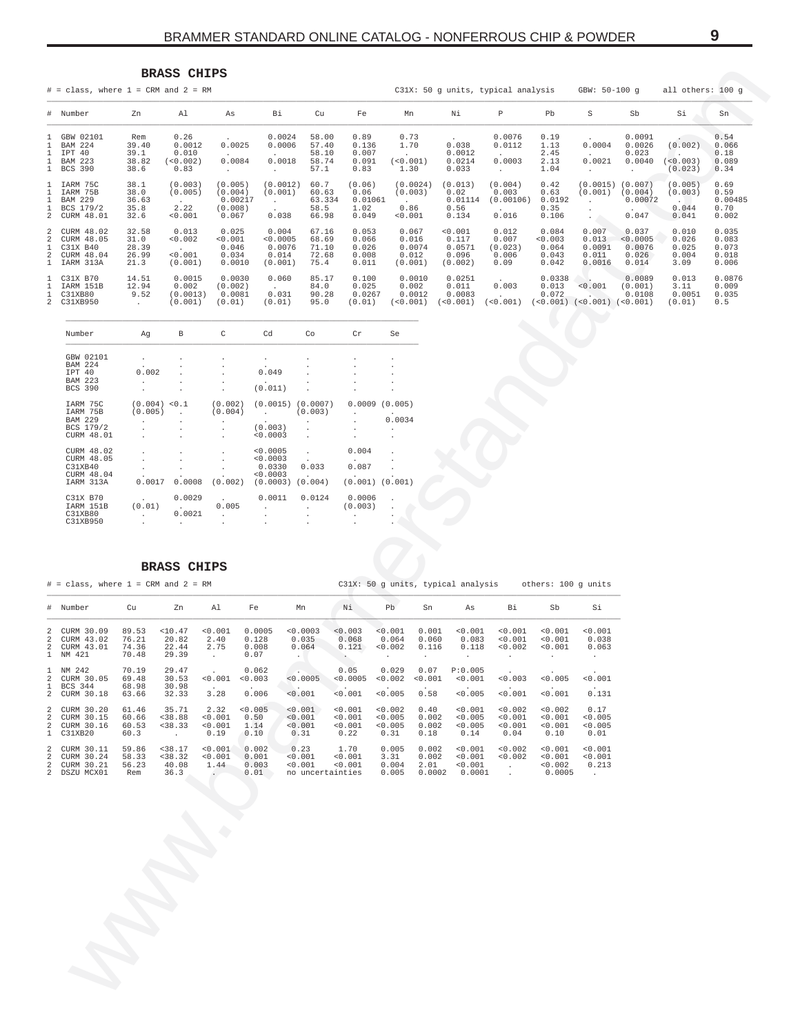# **BRASS CHIPS**

<span id="page-8-0"></span>

|              | $#$ = class, where 1 = CRM and 2 = RM                                   |                                         |                                              |                                                                  |                                               |                                          |                                            |                                              |                                                | C31X: 50 g units, typical analysis         |                                             | GBW: 50-100 q                               |                                               | all others: 100 q                        |                                           |
|--------------|-------------------------------------------------------------------------|-----------------------------------------|----------------------------------------------|------------------------------------------------------------------|-----------------------------------------------|------------------------------------------|--------------------------------------------|----------------------------------------------|------------------------------------------------|--------------------------------------------|---------------------------------------------|---------------------------------------------|-----------------------------------------------|------------------------------------------|-------------------------------------------|
|              | # Number                                                                | Zn                                      | Al                                           | As                                                               | Вi                                            | Cu                                       | Fe                                         | Mn                                           | Νi                                             | Р                                          | Pb                                          | S                                           | Sb                                            | Si                                       | Sn                                        |
|              | 1 GBW 02101<br><b>BAM 224</b><br>IPT 40<br>1 BAM 223<br>1 BCS 390       | Rem<br>39.40<br>39.1<br>38.82<br>38.6   | 0.26<br>0.0012<br>0.010<br>(< 0.002)<br>0.83 | $\ddot{\phantom{0}}$<br>0.0025<br>0.0084<br>$\ddot{\phantom{0}}$ | 0.0024<br>0.0006<br>0.0018                    | 58.00<br>57.40<br>58.10<br>58.74<br>57.1 | 0.89<br>0.136<br>0.007<br>0.091<br>0.83    | 0.73<br>1.70<br>(0.001)<br>1.30              | $\sim$<br>0.038<br>0.0012<br>0.0214<br>0.033   | 0.0076<br>0.0112<br>0.0003<br>$\mathbf{r}$ | 0.19<br>1.13<br>2.45<br>2.13<br>1.04        | 0.0004<br>0.0021                            | 0.0091<br>0.0026<br>0.023<br>0.0040           | (0.002)<br>$< 0.003$ )<br>(0.023)        | 0.54<br>0.066<br>0.18<br>0.089<br>0.34    |
| $\mathbf{1}$ | 1 IARM 75C<br>IARM 75B<br><b>BAM 229</b><br>BCS 179/2<br>2 CURM 48.01   | 38.1<br>38.0<br>36.63<br>35.8<br>32.6   | (0.003)<br>(0.005)<br>2.22<br>< 0.001        | (0.005)<br>(0.004)<br>0.00217<br>(0.008)<br>0.067                | (0.0012)<br>(0.001)<br>0.038                  | 60.7<br>60.63<br>63.334<br>58.5<br>66.98 | (0.06)<br>0.06<br>0.01061<br>1.02<br>0.049 | (0.0024)<br>(0.003)<br>0.86<br>< 0.001       | (0.013)<br>0.02<br>0.01114<br>0.56<br>0.134    | (0.004)<br>0.003<br>(0.00106)<br>0.016     | 0.42<br>0.63<br>0.0192<br>0.35<br>0.106     | (0.0015)<br>(0.001)                         | (0.007)<br>(0.004)<br>0.00072<br>0.047        | (0.005)<br>(0.003)<br>0.044<br>0.041     | 0.69<br>0.59<br>0.00485<br>0.70<br>0.002  |
|              | 2 CURM 48.02<br>2 CURM 48.05<br>C31X B40<br>2 CURM 48.04<br>1 IARM 313A | 32.58<br>31.0<br>28.39<br>26.99<br>21.3 | 0.013<br>< 0.002<br>< 0.001<br>(0.001)       | 0.025<br>0.001<br>0.046<br>0.034<br>0.0010                       | 0.004<br>0.0005<br>0.0076<br>0.014<br>(0.001) | 67.16<br>68.69<br>71.10<br>72.68<br>75.4 | 0.053<br>0.066<br>0.026<br>0.008<br>0.011  | 0.067<br>0.016<br>0.0074<br>0.012<br>(0.001) | < 0.001<br>0.117<br>0.0571<br>0.096<br>(0.002) | 0.012<br>0.007<br>(0.023)<br>0.006<br>0.09 | 0.084<br>< 0.003<br>0.064<br>0.043<br>0.042 | 0.007<br>0.013<br>0.0091<br>0.011<br>0.0016 | 0.037<br>< 0.0005<br>0.0076<br>0.026<br>0.014 | 0.010<br>0.026<br>0.025<br>0.004<br>3.09 | 0.035<br>0.083<br>0.073<br>0.018<br>0.006 |
|              | 1 C31X B70<br>IARM 151B<br>1 C31XB80<br>2 C31XB950                      | 14.51<br>12.94<br>9.52<br>$\sim$        | 0.0015<br>0.002<br>(0.0013)<br>(0.001)       | 0.0030<br>(0.002)<br>0.0081<br>(0.01)                            | 0.060<br>0.031<br>(0.01)                      | 85.17<br>84.0<br>90.28<br>95.0           | 0.100<br>0.025<br>0.0267<br>(0.01)         | 0.0010<br>0.002<br>0.0012<br>$< 0.001$ )     | 0.0251<br>0.011<br>0.0083<br>< 0.001           | 0.003<br>(0.001)                           | 0.0338<br>0.013<br>0.072<br>( < 0.001)      | < 0.001<br>(<0.001)                         | 0.0089<br>(0.001)<br>0.0108<br>(< 0.001)      | 0.013<br>3.11<br>0.0051<br>(0.01)        | 0.0876<br>0.009<br>0.035<br>0.5           |

| Number                                                                       | Aq                                       | B                                                                    | C                             | Cd                                                            | Co                                  | Cr                        | Se                                                |
|------------------------------------------------------------------------------|------------------------------------------|----------------------------------------------------------------------|-------------------------------|---------------------------------------------------------------|-------------------------------------|---------------------------|---------------------------------------------------|
| GBW 02101<br>224<br><b>BAM</b><br>IPT 40<br><b>BAM 223</b><br><b>BCS 390</b> | $\sim$<br>0.002<br>$\mathbf{r}$          | ×.                                                                   | ٠<br>$\ddot{\phantom{0}}$     | $\cdot$<br>$\sim$<br>0.049<br>$\ddot{\phantom{0}}$<br>(0.011) |                                     | ×.<br>٠.<br>$\mathbf{r}$  | ×.<br>٠<br>٠<br>×.<br>٠                           |
| IARM 75C<br>IARM 75B<br><b>BAM 229</b><br>BCS 179/2<br>CURM 48.01            | (0.004) < 0.1<br>(0.005)<br>$\mathbf{r}$ | $\mathbf{r}$<br>×.                                                   | (0.002)<br>(0.004)<br>$\cdot$ | (0.0015)<br><b>Contract Contract</b><br>(0.003)<br>< 0.0003   | (0.0007)<br>(0.003)<br>$\mathbf{r}$ | ×.<br>÷.<br>×.<br>×.      | 0.0009(0.005)<br>$\mathbf{r}$<br>0.0034<br>٠<br>٠ |
| CURM 48.02<br>CURM 48.05<br>C31XB40<br>CURM 48.04<br>IARM 313A               | 0.0017                                   | $\mathbf{r}$<br>0.0008                                               | $\mathbf{r}$<br>(0.002)       | < 0.0005<br>< 0.0003<br>0.0330<br>< 0.0003<br>(0.0003)        | 0.033<br>(0.004)                    | 0.004<br>0.087<br>(0.001) | (0.001)                                           |
| $C31X$ B70<br>IARM 151B<br>C31XB80<br>C31XB950                               | $\mathbf{r}$<br>(0.01)<br>$\mathbf{r}$   | 0.0029<br><b>Contract Contract</b><br>0.0021<br>$\ddot{\phantom{0}}$ | $\sim$<br>0.005<br>$\lambda$  | 0.0011<br>$\mathbf{r}$<br>٠                                   | 0.0124                              | 0.0006<br>(0.003)         | ×.<br>٠                                           |

# BRASS CHIPS

|                                                    | $#$ = class, where 1 = CRM and 2 = RM                |                                  |                                       |                                                        |                                  |                                                |                                             |                                                     |                                  | C31X: 50 q units, typical analysis    |                                       | others: 100 q units                     |                                                   |
|----------------------------------------------------|------------------------------------------------------|----------------------------------|---------------------------------------|--------------------------------------------------------|----------------------------------|------------------------------------------------|---------------------------------------------|-----------------------------------------------------|----------------------------------|---------------------------------------|---------------------------------------|-----------------------------------------|---------------------------------------------------|
|                                                    | # Number                                             | Cu                               | Zn                                    | Al                                                     | Fe                               | Mn                                             | Νi                                          | Pb                                                  | Sn                               | As                                    | Bi                                    | Sb                                      | Si                                                |
| $\overline{2}$<br>$\overline{2}$                   | CURM 30.09<br>CURM 43.02<br>2 CURM 43.01<br>1 NM 421 | 89.53<br>76.21<br>74.36<br>70.48 | < 10.47<br>20.82<br>22.44<br>29.39    | < 0.001<br>2.40<br>2.75<br>$\mathcal{L}^{\mathcal{L}}$ | 0.0005<br>0.128<br>0.008<br>0.07 | < 0.0003<br>0.035<br>0.064<br>$\sim$           | < 0.003<br>0.068<br>0.121<br>$\bullet$ .    | < 0.001<br>0.064<br>< 0.002<br>$\ddot{\phantom{0}}$ | 0.001<br>0.060<br>0.116          | < 0.001<br>0.083<br>0.118             | < 0.001<br>< 0.001<br>< 0.002         | < 0.001<br>< 0.001<br>< 0.001           | < 0.001<br>0.038<br>0.063<br>$\ddot{\phantom{0}}$ |
| $\overline{2}$<br>$\mathbf{1}$                     | 1 NM 242<br>CURM 30.05<br>BCS 344<br>2 CURM 30.18    | 70.19<br>69.48<br>68.98<br>63.66 | 29.47<br>30.53<br>30.98<br>32.33      | < 0.001<br>$\sim$<br>3.28                              | 0.062<br>< 0.003<br>0.006        | < 0.0005<br>$\sim$ .<br>< 0.001                | 0.05<br>< 0.0005<br>$\mathbf{r}$<br>< 0.001 | 0.029<br>< 0.002<br>< 0.005                         | 0.07<br>< 0.001<br>0.58          | P:0.005<br>0.001<br>< 0.005           | 0.003<br>< 0.001                      | < 0.005<br>< 0.001                      | $\overline{a}$<br>< 0.001<br>$\sim$<br>0.131      |
| $\overline{a}$<br>$\overline{2}$<br>$\overline{2}$ | CURM 30.20<br>CURM 30.15<br>CURM 30.16<br>1 C31XB20  | 61.46<br>60.66<br>60.53<br>60.3  | 35.71<br>< 38.88<br>< 38.33<br>$\sim$ | 2.32<br>< 0.001<br>< 0.001<br>0.19                     | < 0.005<br>0.50<br>1.14<br>0.10  | < 0.001<br>< 0.001<br>< 0.001<br>0.31          | < 0.001<br>< 0.001<br>< 0.001<br>0.22       | < 0.002<br>< 0.005<br>< 0.005<br>0.31               | 0.40<br>0.002<br>0.002<br>0.18   | 0.001<br>< 0.005<br>0.005<br>0.14     | < 0.002<br>< 0.001<br>< 0.001<br>0.04 | < 0.002<br>< 0.001<br>< 0.001<br>0.10   | 0.17<br>< 0.005<br>< 0.005<br>0.01                |
| 2<br>2<br>2<br>$\overline{2}$                      | CURM 30.11<br>CURM 30.24<br>CURM 30.21<br>DSZU MCX01 | 59.86<br>58.33<br>56.23<br>Rem   | < 38.17<br>< 38.32<br>40.08<br>36.3   | < 0.001<br>< 0.001<br>1.44                             | 0.002<br>0.001<br>0.003<br>0.01  | 0.23<br>< 0.001<br>< 0.001<br>no uncertainties | 1.70<br>< 0.001<br>< 0.001                  | 0.005<br>3.31<br>0.004<br>0.005                     | 0.002<br>0.002<br>2.01<br>0.0002 | < 0.001<br>< 0.001<br>0.001<br>0.0001 | < 0.002<br>< 0.002<br>$\sim$          | < 0.001<br>< 0.001<br>< 0.002<br>0.0005 | < 0.001<br>< 0.001<br>0.213<br>$\sim$             |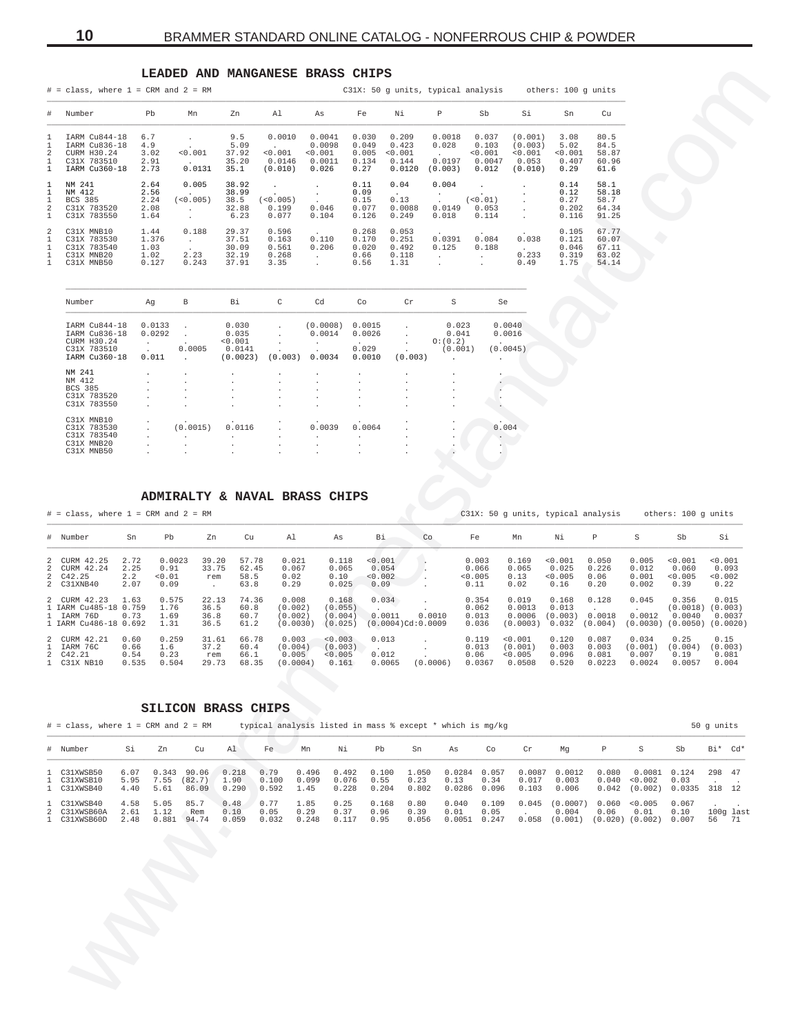# LEADED AND MANGANESE BRASS CHIPS

<span id="page-9-0"></span>

|                                                                    | $#$ = class, where 1 = CRM and 2 = RM                                         |                                        |                                  |                                           |                                                          |                                                  |                                          |                                              |                                                  | C31X: 50 q units, typical analysis                               |                                                   | others: 100 q units                      |                                           |
|--------------------------------------------------------------------|-------------------------------------------------------------------------------|----------------------------------------|----------------------------------|-------------------------------------------|----------------------------------------------------------|--------------------------------------------------|------------------------------------------|----------------------------------------------|--------------------------------------------------|------------------------------------------------------------------|---------------------------------------------------|------------------------------------------|-------------------------------------------|
| #                                                                  | Number                                                                        | Pb                                     | Mn                               | Zn                                        | Al                                                       | As                                               | Fe                                       | Νi                                           | P                                                | Sb                                                               | Si                                                | Sn                                       | Cu                                        |
| 1<br>1<br>2<br>$\mathbf{1}$<br>$\mathbf{1}$                        | IARM Cu844-18<br>IARM Cu836-18<br>CURM H30.24<br>C31X 783510<br>IARM Cu360-18 | 6.7<br>4.9<br>3.02<br>2.91<br>2.73     | < 0.001<br>0.0131                | 9.5<br>5.09<br>37.92<br>35.20<br>35.1     | 0.0010<br><b>Service</b><br>< 0.001<br>0.0146<br>(0.010) | 0.0041<br>0.0098<br>< 0.001<br>0.0011<br>0.026   | 0.030<br>0.049<br>0.005<br>0.134<br>0.27 | 0.209<br>0.423<br>< 0.001<br>0.144<br>0.0120 | 0.0018<br>0.028<br>$\sim$<br>0.0197<br>(0.003)   | 0.037<br>0.103<br>< 0.001<br>0.0047<br>0.012                     | (0.001)<br>(0.003)<br>< 0.001<br>0.053<br>(0.010) | 3.08<br>5.02<br>< 0.001<br>0.407<br>0.29 | 80.5<br>84.5<br>58.87<br>60.96<br>61.6    |
| $\mathbf{1}$<br>1<br>$\mathbf{1}$<br>2<br>$\mathbf{1}$             | NM 241<br>NM 412<br><b>BCS 385</b><br>C31X 783520<br>C31X 783550              | 2.64<br>2.56<br>2.24<br>2.08<br>1.64   | 0.005<br>( < 0.005)<br>$\sim$    | 38.92<br>38.99<br>38.5<br>32.88<br>6.23   | $< 0.005$ )<br>0.199<br>0.077                            | $\overline{a}$<br>$\mathbf{r}$<br>0.046<br>0.104 | 0.11<br>0.09<br>0.15<br>0.077<br>0.126   | 0.04<br>$\sim$<br>0.13<br>0.0088<br>0.249    | 0.004<br>$\ddot{\phantom{0}}$<br>0.0149<br>0.018 | $\mathbf{r}$<br>(0.01)<br>0.053<br>0.114                         |                                                   | 0.14<br>0.12<br>0.27<br>0.202<br>0.116   | 58.1<br>58.18<br>58.7<br>64.34<br>91.25   |
| $\mathcal{L}$<br>$\mathbf{1}$<br>$\mathbf{1}$<br>1<br>$\mathbf{1}$ | C31X MNB10<br>C31X 783530<br>C31X 783540<br>C31X MNB20<br>C31X MNB50          | 1.44<br>1.376<br>1.03<br>1.02<br>0.127 | 0.188<br>$\sim$<br>2.23<br>0.243 | 29.37<br>37.51<br>30.09<br>32.19<br>37.91 | 0.596<br>0.163<br>0.561<br>0.268<br>3.35                 | $\sim$<br>0.110<br>0.206<br>$\sim$               | 0.268<br>0.170<br>0.020<br>0.66<br>0.56  | 0.053<br>0.251<br>0.492<br>0.118<br>1.31     | 0.0391<br>0.125<br>$\mathbf{r}$                  | $\ddot{\phantom{0}}$<br>0.084<br>0.188<br>$\sim$<br>$\mathbf{r}$ | 0.038<br>0.233<br>0.49                            | 0.105<br>0.121<br>0.046<br>0.319<br>1.75 | 67.77<br>60.07<br>67.11<br>63.02<br>54.14 |

| Number                                                       | Αq                               | B                              | Bi                                  | C                                    | Cd                                 | Co                                   | Cr                                               | S                                    | Se                               |
|--------------------------------------------------------------|----------------------------------|--------------------------------|-------------------------------------|--------------------------------------|------------------------------------|--------------------------------------|--------------------------------------------------|--------------------------------------|----------------------------------|
| IARM Cu844-18<br>IARM Cu836-18<br>CURM H30.24<br>C31X 783510 | 0.0133<br>0.0292<br>$\mathbf{r}$ | 0.0005                         | 0.030<br>0.035<br>< 0.001<br>0.0141 | $\mathbf{r}$                         | (0.0008)<br>0.0014<br>$\mathbf{r}$ | 0.0015<br>0.0026<br>$\sim$<br>0.029  | $\mathbf{r}$                                     | 0.023<br>0.041<br>O:(0.2)<br>(0.001) | 0.0040<br>0.0016<br><b>Allen</b> |
| IARM Cu360-18                                                | $\mathbf{r}$<br>0.011            |                                | (0.0023)                            | (0.003)                              | $\mathbf{r}$<br>0.0034             | 0.0010                               | $\sim$<br>(0.003)                                | $\ddot{\phantom{a}}$                 | (0.0045)<br>$\blacksquare$       |
| NM 241                                                       |                                  |                                | $\cdot$                             | $\cdot$                              | $\blacksquare$                     | $\cdot$                              |                                                  | $\cdot$                              |                                  |
| NM 412<br><b>BCS 385</b>                                     | ×.                               | $\mathbf{r}$<br>$\overline{a}$ | $\cdot$<br>$\mathbf{r}$             | $\mathbf{r}$<br>$\mathbf{r}$         | ٠<br>$\cdot$                       | $\cdot$<br>$\mathbf{r}$              | $\ddot{\phantom{a}}$<br>$\mathbf{r}$             | $\ddot{\phantom{a}}$<br>$\mathbf{r}$ |                                  |
| C31X 783520<br>C31X 783550                                   | ×.                               | $\mathbf{r}$                   | $\mathbf{r}$<br>$\mathbf{r}$        | $\cdot$<br>$\mathbf{r}$              | $\cdot$<br>$\cdot$                 | $\cdot$<br>$\ddot{\phantom{a}}$      | $\mathbf{r}$                                     | $\cdot$<br>$\mathbf{r}$              |                                  |
| $C31X$ MNB10                                                 | ٠.                               |                                | $\cdot$                             | $\ddot{\phantom{a}}$                 | $\cdot$                            | $\cdot$                              | $\ddot{\phantom{a}}$                             | $\ddot{\phantom{a}}$                 |                                  |
| C31X 783530<br>C31X 783540                                   | $\mathbf{r}$                     | (0.0015)<br>$\mathbf{r}$       | 0.0116<br>$\mathbf{r}$              | $\mathbf{r}$<br>$\ddot{\phantom{a}}$ | 0.0039<br>$\cdot$                  | 0.0064<br>$\mathbf{r}$               | $\mathbf{r}$                                     | $\mathbf{r}$<br>$\mathbf{r}$         | 0.004                            |
| C31X MNB20<br>C31X MNB50                                     | ٠.                               | $\mathbf{r}$                   | $\mathbf{r}$<br>$\mathbf{r}$        | $\cdot$<br>$\ddot{\phantom{a}}$      | $\cdot$<br>$\cdot$                 | $\mathbf{r}$<br>$\ddot{\phantom{a}}$ | $\ddot{\phantom{a}}$<br>$\overline{\phantom{a}}$ | $\cdot$<br>$\sim$                    |                                  |
|                                                              |                                  |                                |                                     |                                      |                                    |                                      |                                                  |                                      |                                  |

# ADMIRALTY & NAVAL BRASS CHIPS

| $\#$ = class, where 1 = CRM and 2 = RM                                       |                               |                                  |                                       |                                |                                         |                                        |                                          |          |                                   | C31X: 50 q units, typical analysis      |                                     |                                   |                                     | others: 100 g units                     |                                       |
|------------------------------------------------------------------------------|-------------------------------|----------------------------------|---------------------------------------|--------------------------------|-----------------------------------------|----------------------------------------|------------------------------------------|----------|-----------------------------------|-----------------------------------------|-------------------------------------|-----------------------------------|-------------------------------------|-----------------------------------------|---------------------------------------|
| # Number                                                                     | Sn                            | Pb                               | Zn                                    | Cu                             | A1                                      | As                                     | Βi                                       | Co       | Fe                                | Mn                                      | Νi                                  | P                                 | S                                   | Sb                                      | Si                                    |
| 2 CURM 42.25<br>2 CURM 42.24<br>2 C42.25<br>2 C31XNB40                       | 2.72<br>2.25<br>2.2<br>2.07   | 0.0023<br>0.91<br>< 0.01<br>0.09 | 39.20<br>33.75<br>rem<br>$\mathbf{r}$ | 57.78<br>62.45<br>58.5<br>63.8 | 0.021<br>0.067<br>0.02<br>0.29          | 0.118<br>0.065<br>0.10<br>0.025        | < 0.001<br>0.054<br>< 0.002<br>0.09      |          | 0.003<br>0.066<br>< 0.005<br>0.11 | 0.169<br>0.065<br>0.13<br>0.02          | < 0.001<br>0.025<br>< 0.005<br>0.16 | 0.050<br>0.226<br>0.06<br>0.20    | 0.005<br>0.012<br>0.001<br>0.002    | < 0.001<br>0.060<br>< 0.005<br>0.39     | < 0.001<br>0.093<br>< 0.002<br>0.22   |
| 2 CURM 42.23<br>1 IARM Cu485-18 0.759<br>1 IARM 76D<br>1 IARM Cu486-18 0.692 | 1.63<br>0.73                  | 0.575<br>1.76<br>1.69<br>1.31    | 22.13<br>36.5<br>36.8<br>36.5         | 74.36<br>60.8<br>60.7<br>61.2  | 0.008<br>(0.002)<br>(0.002)<br>(0.0030) | 0.168<br>(0.055)<br>(0.004)<br>(0.025) | 0.034<br>0.0011<br>$(0.0004)$ Cd: 0.0009 | 0.0010   | 0.354<br>0.062<br>0.013<br>0.036  | 0.019<br>0.0013<br>0.0006<br>(0.0003)   | 0.168<br>0.013<br>(0.003)<br>0.032  | 0.128<br>0.0018<br>(0.004)        | 0.045<br>0.0012<br>(0.0030)         | 0.356<br>(0.0018)<br>0.0040<br>(0.0050) | 0.015<br>(0.003)<br>0.0037<br>(0.0020 |
| 2 CURM 42.21<br>1 IARM 76C<br>2 C42.21<br>1 C31X NB10                        | 0.60<br>0.66<br>0.54<br>0.535 | 0.259<br>1.6<br>0.23<br>0.504    | 31.61<br>37.2<br>rem<br>29.73         | 66.78<br>60.4<br>66.1<br>68.35 | 0.003<br>(0.004)<br>0.005<br>(0.0004)   | < 0.003<br>(0.003)<br>< 0.005<br>0.161 | 0.013<br>0.012<br>0.0065                 | (0.0006) | 0.119<br>0.013<br>0.06<br>0.0367  | < 0.001<br>(0.001)<br>< 0.005<br>0.0508 | 0.120<br>0.003<br>0.096<br>0.520    | 0.087<br>0.003<br>0.081<br>0.0223 | 0.034<br>(0.001)<br>0.007<br>0.0024 | 0.25<br>(0.004)<br>0.19<br>0.0057       | 0.15<br>(0.003)<br>0.081<br>0.004     |

### SILICON BRASS CHIPS

| $\#$ = class, where 1 = CRM and 2 = RM      |                      |                       |                                 |                        |                        |                       |                                           |                       |                        | typical analysis listed in mass % except * which is mq/kq |               |                          |                                             |       |                                                              |                        | 50 q units |                      |
|---------------------------------------------|----------------------|-----------------------|---------------------------------|------------------------|------------------------|-----------------------|-------------------------------------------|-----------------------|------------------------|-----------------------------------------------------------|---------------|--------------------------|---------------------------------------------|-------|--------------------------------------------------------------|------------------------|------------|----------------------|
| # Number                                    | Si                   | Zn                    | Cu                              | Al                     | Fe                     | Mn                    | Ni                                        | Pb                    | Sn                     | As                                                        | Co            | Cr                       | Mq                                          | P     | S                                                            | .sb                    | Bi* Cd*    |                      |
| 1 C31XWSB50<br>1 C31XWSB10<br>1 C31XWSB40   | 6.07<br>5.95<br>4.40 | 7.55<br>5.61          | 0.343 90.06<br>(82, 7)<br>86.09 | 0.218<br>1.90<br>0.290 | 0.79<br>0.100<br>0.592 | 0.099<br>1.45         | $0.496$ $0.492$ $0.100$<br>0.076<br>0.228 | 0.55<br>0.204         | 1.050<br>0.23<br>0.802 | 0.0284 0.057<br>0.13<br>0.0286 0.096                      | 0.34          | 0.0087<br>0.017<br>0.103 | 0.0012<br>0.003<br>0.006                    | 0.080 | 0.0081<br>0.040 < 0.002<br>$0.042$ $(0.002)$ $0.0335$ 318 12 | 0.124<br>0.03          | 298 47     |                      |
| 1 C31XWSB40<br>2 C31XWSB60A<br>1 C31XWSB60D | 4.58<br>2.61<br>2.48 | 5.05<br>1.12<br>0.881 | 85.7<br>Rem<br>94.74            | 0.48<br>0.10<br>0.059  | 0.77<br>0.05<br>0.032  | 1.85<br>0.29<br>0.248 | 0.25<br>0.37<br>0.117                     | 0.168<br>0.96<br>0.95 | 0.80<br>0.39<br>0.056  | 0.040<br>0.01<br>$0.0051$ 0.247                           | 0.109<br>0.05 | 0.045<br>0.058           | $(0.0007)$ 0.060 <0.005<br>0.004<br>(0.001) | 0.06  | 0.01<br>$(0.020)$ $(0.002)$                                  | 0.067<br>0.10<br>0.007 |            | $100q$ last<br>56 71 |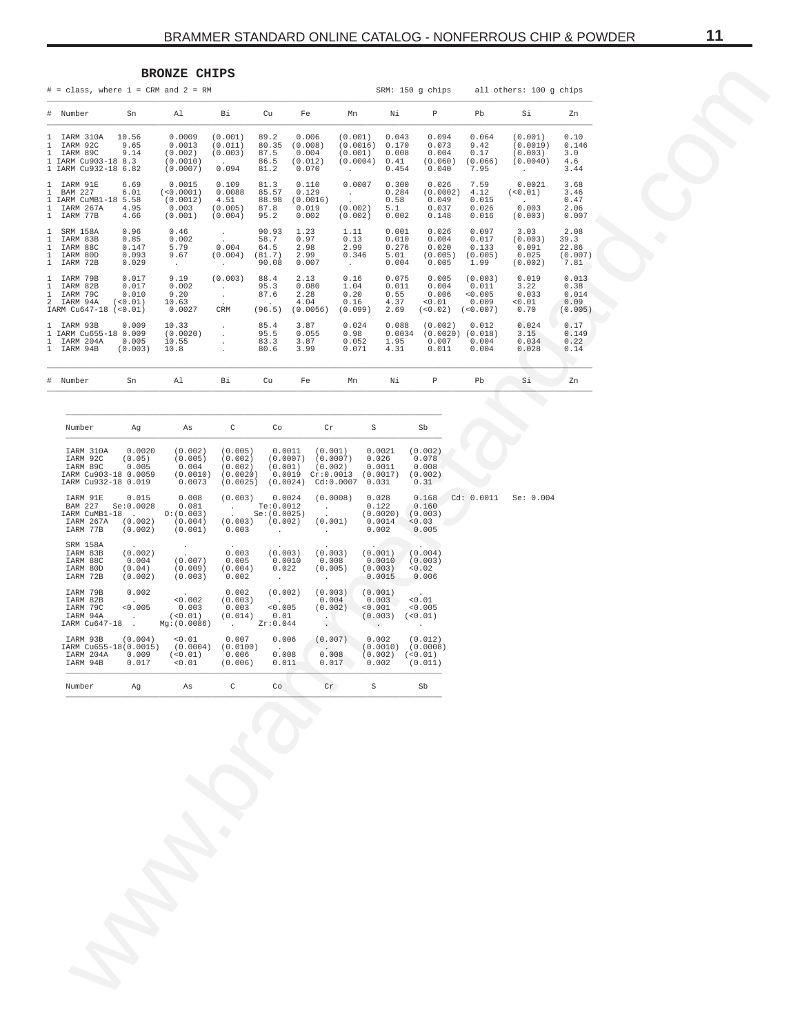# **BRONZE CHIPS**

<span id="page-10-0"></span>

|                                                                                        |                                                               | <b>BRONZE CHIPS</b>                                    |                                                         |                                                                         |                                                                |                                                      |                                                        |                                                   |                                                   |                                                          |                                           |
|----------------------------------------------------------------------------------------|---------------------------------------------------------------|--------------------------------------------------------|---------------------------------------------------------|-------------------------------------------------------------------------|----------------------------------------------------------------|------------------------------------------------------|--------------------------------------------------------|---------------------------------------------------|---------------------------------------------------|----------------------------------------------------------|-------------------------------------------|
| $#$ = class, where $1$ = CRM and $2$ = RM                                              |                                                               |                                                        |                                                         |                                                                         |                                                                |                                                      |                                                        | SRM: 150 g chips                                  |                                                   | all others: 100 g chips                                  |                                           |
| # Number                                                                               | Sn                                                            | Al                                                     | Вi                                                      | Cu                                                                      | Fe                                                             | Mn                                                   | Νi                                                     | P                                                 | Pb                                                | Si                                                       | Zn                                        |
| 1 IARM 310A<br>1 IARM 92C<br>1 IARM 89C<br>1 IARM Cu903-18 8.3<br>1 IARM Cu932-18 6.82 | 10.56<br>9.65<br>9.14                                         | 0.0009<br>0.0013<br>(0.002)<br>(0.0010)<br>(0.0007)    | (0.001)<br>(0.011)<br>(0.003)<br>0.094                  | 89.2<br>80.35<br>87.5<br>86.5<br>81.2                                   | 0.006<br>(0.008)<br>0.004<br>(0.012)<br>0.070                  | (0.001)<br>(0.0016)<br>(0.001)<br>(0.0004)<br>$\sim$ | 0.043<br>0.170<br>0.008<br>0.41<br>0.454               | 0.094<br>0.073<br>0.004<br>(0.060)<br>0.040       | 0.064<br>9.42<br>0.17<br>(0.066)<br>7.95          | (0.001)<br>(0.0019)<br>(0.003)<br>(0.0040)<br>$\sim$ $-$ | 0.10<br>0.146<br>3.0<br>4.6<br>3.44       |
| 1 IARM 91E<br>1 BAM 227<br>1 IARM CuMB1-18 5.58<br>1 IARM 267A<br>1 IARM 77B           | 6.69<br>6.01<br>4.95<br>4.66                                  | 0.0015<br>( < 0.0001 )<br>(0.0012)<br>0.003<br>(0.001) | 0.109<br>0.0088<br>4.51<br>(0.005)<br>(0.004)           | 81.3<br>85.57<br>88.98<br>87.8<br>95.2                                  | 0.110<br>0.129<br>(0.0016)<br>0.019<br>0.002                   | 0.0007<br><b>Contract</b><br>(0.002)<br>(0.002)      | 0.300<br>0.284<br>0.58<br>5.1<br>0.002                 | 0.026<br>(0.0002)<br>0.049<br>0.037<br>0.148      | 7.59<br>4.12<br>0.015<br>0.026<br>0.016           | 0.0021<br>(< 0.01)<br>0.003<br>(0.003)                   | 3.68<br>3.46<br>0.47<br>2.06<br>0.007     |
| 1 SRM 158A<br>1 IARM 83B<br>1 IARM 88C<br>1 IARM 80D<br>1 IARM 72B                     | 0.96<br>0.85<br>0.147<br>0.093<br>0.029                       | 0.46<br>0.002<br>5.79<br>9.67<br>$\sim$                | $\sim$<br>0.004<br>(0.004)<br>$\sim$                    | 90.93<br>58.7<br>64.5<br>(81.7)<br>90.08                                | 1.23<br>0.97<br>2.98<br>2.99<br>0.007                          | 1.11<br>0.13<br>2.99<br>0.346<br>$\sim 10^{-11}$     | 0.001<br>0.010<br>0.276<br>5.01<br>0.004               | 0.026<br>0.004<br>0.020<br>(0.005)<br>0.005       | 0.097<br>0.017<br>0.133<br>(0.005)<br>1.99        | 3.03<br>(0.003)<br>0.091<br>0.025<br>(0.002)             | 2.08<br>39.3<br>22.86<br>(0.007)<br>7.81  |
| 1 IARM 79B<br>1 IARM 82B<br>1 IARM 79C<br>2 IARM 94A<br>IARM Cu647-18 (<0.01)          | 0.017<br>0.017<br>0.010<br>( < 0.01)                          | 9.19<br>0.002<br>9.20<br>10.63<br>0.0027               | (0.003)<br>$\sim$<br>$\sim$<br>CRM                      | 88.4<br>95.3<br>87.6<br>(96.5)                                          | 2.13<br>0.080<br>2.28<br>4.04<br>(0.0056)                      | 0.16<br>1.04<br>0.20<br>0.16<br>(0.099)              | 0.075<br>0.011<br>0.55<br>4.37<br>2.69                 | 0.005<br>0.004<br>0.006<br>< 0.01<br>(< 0.02)     | (0.003)<br>0.011<br>< 0.005<br>0.009<br>(< 0.007) | 0.019<br>3.22<br>0.033<br>0.01<br>0.70                   | 0.013<br>0.38<br>0.014<br>0.09<br>(0.005) |
| 1 IARM 93B<br>1 IARM Cu655-18 0.009<br>1 IARM 204A<br>1 IARM 94B                       | 0.009<br>0.005<br>(0.003)                                     | 10.33<br>(0.0020)<br>10.55<br>10.8                     | $\cdot$<br>$\cdot$<br>$\cdot$<br>$\cdot$                | 85.4<br>95.5<br>83.3<br>80.6                                            | 3.87<br>0.055<br>3.87<br>3.99                                  | 0.024<br>0.98<br>0.052<br>0.071                      | 0.088<br>0.0034<br>1.95<br>4.31                        | (0.002)<br>$(0.0020)$ $(0.018)$<br>0.007<br>0.011 | 0.012<br>0.004<br>0.004                           | 0.024<br>3.15<br>0.034<br>0.028                          | 0.17<br>0.149<br>0.22<br>0.14             |
| # Number                                                                               | Sn                                                            | Al                                                     | Вi                                                      | Cu                                                                      | Fe                                                             | Mn                                                   | Νi                                                     | $\mathbb P$                                       | Pb                                                | Si                                                       | Zn                                        |
| Number                                                                                 | Ag                                                            | As                                                     | C                                                       | Co                                                                      | Cr                                                             | S                                                    |                                                        | Sb                                                |                                                   |                                                          |                                           |
| IARM 310A<br>IARM 92C<br>IARM 89C<br>IARM Cu903-18 0.0059<br>IARM Cu932-18 0.019       | 0.0020<br>(0.05)<br>0.005                                     | (0.002)<br>(0.005)<br>0.004<br>(0.0010)<br>0.0073      | (0.005)<br>(0.002)<br>(0.002)<br>(0.0020)               | 0.0011<br>(0.0007)<br>(0.001)                                           | (0.001)<br>(0.0007)<br>(0.002)<br>$0.0019$ $Cr:0.0013$         | $(0.0025)$ $(0.0024)$ Cd:0.0007 0.031                | 0.0021<br>0.026<br>0.0011<br>(0.0017)                  | (0.002)<br>0.078<br>0.008<br>(0.002)<br>0.31      |                                                   |                                                          |                                           |
| IARM 91E<br>BAM 227<br>IARM CuMB1-18.<br>IARM 267A<br>IARM 77B                         | 0.015<br>Se: 0.0028<br>(0.002)<br>(0.002)                     | 0.008<br>0.081<br>0:(0.003)<br>(0.004)<br>(0.001)      | (0.003)<br><b>Contract</b><br>0.003                     | 0.0024<br>$T = 0.0012$<br>Se: (0.0025)<br>$(0.003)$ $(0.002)$<br>$\sim$ | <b>Contractor</b><br>(0.001)<br><b>Contract</b>                | (0.0008)                                             | 0.028<br>0.122<br>(0.0020)<br>0.0014<br>0.002          | 0.168<br>0.160<br>(0.003)<br>0.03<br>0.005        | Cd: 0.0011                                        | Se: 0.004                                                |                                           |
| SRM 158A<br>IARM 83B<br>IARM 88C<br>IARM 80D<br>IARM 72B                               | (0.002)<br>0.004<br>(0.04)<br>(0.002)                         | (0.007)<br>(0.009)<br>(0.003)                          | 0.003<br>0.005<br>(0.004)<br>0.002                      | (0.003)<br>0.0010<br>0.022<br>$\sim$                                    | (0.003)<br>0.008<br>(0.005)<br>$\ddot{\phantom{0}}$            |                                                      | (0.001)<br>0.0010<br>(0.003)<br>0.0015                 | (0.004)<br>(0.003)<br>0.02<br>0.006               |                                                   |                                                          |                                           |
| IARM 79B<br>IARM 82B<br>IARM 79C<br>IARM 94A<br>IARM Cu647-18 .                        | 0.002<br><b>Contractor</b><br>$< 0.005$<br><b>All Control</b> | < 0.002<br>0.003<br>(< 0.01)<br>Mg: (0.0086)           | 0.002<br>(0.003)<br>0.003<br>(0.014)<br>$\sim 10^{-11}$ | (0.002)<br><b>Contract Contract</b><br>0.005<br>0.01<br>Zr:0.044        | (0.003)<br>0.004<br><b>Contract</b><br>$\langle \cdot \rangle$ | (0.002)<br>< 0.001                                   | (0.001)<br>0.003<br>(0.003)<br>$\langle \cdot \rangle$ | < 0.01<br>0.005<br>(0.01)                         |                                                   |                                                          |                                           |
| IARM 93B<br>IARM Cu655-18(0.0015)<br>IARM 204A<br>IARM 94B                             | (0.004)<br>0.009<br>0.017                                     | < 0.01<br>(50.01)<br>0.01                              | 0.007<br>$(0.0004)$ $(0.0100)$<br>0.006<br>(0.006)      | 0.006<br><b>Contract Contract</b><br>0.008<br>0.011                     | <b>Contract</b><br>0.008<br>0.017                              | (0.007)<br>U)                                        | 0.002<br>$(0.0010)$ $(0.0008)$<br>(0.002)<br>0.002     | (0.012)<br>(< 0.01)<br>(0.011)                    |                                                   |                                                          |                                           |
| Number                                                                                 | Ag                                                            | As                                                     | $\mathtt{C}$                                            | Co                                                                      | cr                                                             | $\mathtt S$                                          |                                                        | ${\rm Sb}$                                        |                                                   |                                                          |                                           |
|                                                                                        |                                                               |                                                        |                                                         |                                                                         |                                                                |                                                      |                                                        |                                                   |                                                   |                                                          |                                           |
|                                                                                        |                                                               |                                                        |                                                         |                                                                         |                                                                |                                                      |                                                        |                                                   |                                                   |                                                          |                                           |
|                                                                                        |                                                               |                                                        |                                                         |                                                                         |                                                                |                                                      |                                                        |                                                   |                                                   |                                                          |                                           |
|                                                                                        |                                                               |                                                        |                                                         |                                                                         |                                                                |                                                      |                                                        |                                                   |                                                   |                                                          |                                           |
|                                                                                        |                                                               |                                                        |                                                         |                                                                         |                                                                |                                                      |                                                        |                                                   |                                                   |                                                          |                                           |
|                                                                                        |                                                               |                                                        |                                                         |                                                                         |                                                                |                                                      |                                                        |                                                   |                                                   |                                                          |                                           |
|                                                                                        |                                                               |                                                        |                                                         |                                                                         |                                                                |                                                      |                                                        |                                                   |                                                   |                                                          |                                           |

| Number                                       | Aq As C Co Cr S                                                                                                                                                                                                                                                                                                                                                                                        |             |           |                                                 |                                                      | Sb                       |                                                                               |  |
|----------------------------------------------|--------------------------------------------------------------------------------------------------------------------------------------------------------------------------------------------------------------------------------------------------------------------------------------------------------------------------------------------------------------------------------------------------------|-------------|-----------|-------------------------------------------------|------------------------------------------------------|--------------------------|-------------------------------------------------------------------------------|--|
| IARM 310A 0.0020                             | $(0.002)$ $(0.005)$<br>IARM 92C (0.05) (0.005) (0.002) (0.0007) (0.0007) 0.026 0.078<br>IARM 89C 0.005 0.004 (0.002) (0.001) (0.002) 0.0011 0.008<br>IARM Cu903-18 0.0059 (0.0010) (0.0020) 0.0019 Cr:0.0013 (0.0017) (0.002)<br>IARM Cu932-18 0.019  0.0073  (0.0025)  (0.0024)  Cd:0.0007  0.031  0.31                                                                                               |             |           | $0.0011$ $(0.001)$ $0.0021$ $(0.002)$           |                                                      |                          |                                                                               |  |
|                                              | BAM 227 Se:0.0028 0.081 . Te:0.0012 . 0.122 0.160<br>IARM CuMB1-18 . 0:(0.003) . Se:(0.0025) . (0.0020) (0.003)<br>IARM 267A (0.002) (0.004) (0.003) (0.002) (0.001) 0.0014 <0.03<br>TARM 77B (0.002) (0.001) 0.003 . 0.002 0.005                                                                                                                                                                      |             |           |                                                 |                                                      |                          | IARM 91E 0.015 0.008 (0.003) 0.0024 (0.0008) 0.028 0.168 Cd: 0.0011 Se: 0.004 |  |
| SRM 158A<br>IARM 83B<br>IARM 80D<br>IARM 72B | the contract of the contract of the contract of<br>$(0.002)$ . $(0.003)$ $(0.003)$ $(0.003)$ $(0.001)$ $(0.004)$<br>TARM 88C 0.004 (0.007) 0.005 0.0010 0.008 0.0010 (0.003)<br>$(0.04)$ $(0.009)$ $(0.004)$ $0.022$ $(0.005)$ $(0.003)$ < 0.02<br>$(0.002)$ $(0.003)$ $0.002$ . $0.0015$ 0.0015 0.006                                                                                                 |             |           | the contract of the contract of the contract of |                                                      | <b>Contract Contract</b> |                                                                               |  |
|                                              | ${\small \begin{array}{cccccccc} {\tt IARM & 79B} & 0.002 & 0.002 & 0.002 & 0.002) & 0.003 & 0.001 & 0.001 \\ {\tt IARM & 82B} & . & . & . & . & . & . & 0.002 & 0.003 & 0.003 & 0.003 & 0.003 & 0.003 & 0.003 \\ {\tt IARM & 79C} & <0.005 & 0.05 & 0.003 & 0.003 & 0.005 & 0.005 & 0.002 & 0.001 & 0.005 \\ \end{array$<br>IARM 94A (<0.01) (0.014) 0.01<br>IARM Cu647-18 . Mg: (0.0086) . Zr: 0.044 |             |           |                                                 | $(0.003)$ $(<0.01)$<br>the control of the control of |                          |                                                                               |  |
|                                              | IARM 93B (0.004) < 0.01 0.007 0.006 (0.007) 0.002 (0.012)<br>$\begin{array}{cccccccc} \text{IARM Cu655--18(0.0015)} & (0.0004) & (0.0100) & . & . & (0.0010) & (0.0008) \\ \text{IARM 204A} & 0.009 & (&0.01) & 0.006 & 0.008 & 0.008 & (0.002) & (&0.01) \\ \end{array}$<br>IARM 94B 0.017 < 0.01 (0.006) 0.011 0.017 0.002 (0.011)                                                                   |             |           |                                                 |                                                      |                          |                                                                               |  |
|                                              | Number Aq As                                                                                                                                                                                                                                                                                                                                                                                           | $\mathbb C$ | $\sim$ Co | Cr                                              | S                                                    | Sb                       |                                                                               |  |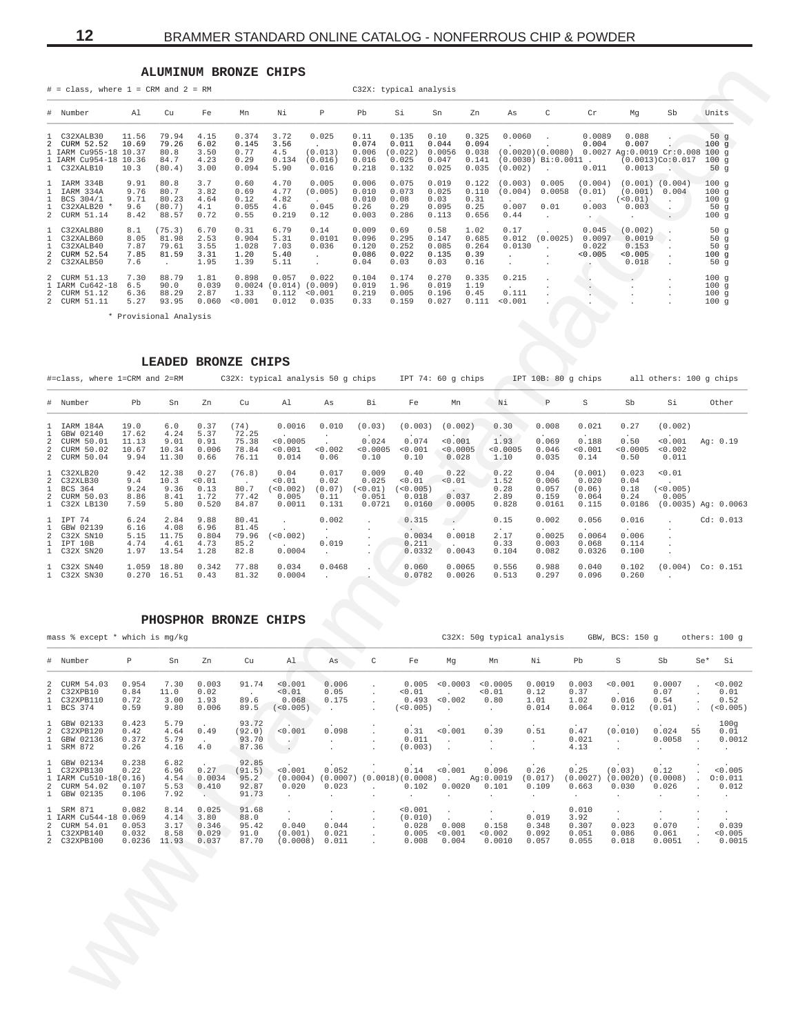### ALUMINUM BRONZE CHIPS

|                                                                                              |                                     | <b>ALUMINUM BRONZE</b>                   |                                      |                                         | CHIPS                                |                                      |                                          |                                             |                                           |                                           |                                     |                                                         |                                                             |                                                               |                                              |                                          |
|----------------------------------------------------------------------------------------------|-------------------------------------|------------------------------------------|--------------------------------------|-----------------------------------------|--------------------------------------|--------------------------------------|------------------------------------------|---------------------------------------------|-------------------------------------------|-------------------------------------------|-------------------------------------|---------------------------------------------------------|-------------------------------------------------------------|---------------------------------------------------------------|----------------------------------------------|------------------------------------------|
| $#$ = class, where $1$ = CRM and $2$ = RM                                                    |                                     |                                          |                                      |                                         |                                      |                                      |                                          | C32X: typical analysis                      |                                           |                                           |                                     |                                                         |                                                             |                                                               |                                              |                                          |
| # Number                                                                                     | A1                                  | Cu                                       | Fe                                   | Mn                                      | Νi                                   | Р                                    | Pb                                       | Si                                          | Sn                                        | Zn                                        | As                                  | C                                                       | Cr                                                          | Mq                                                            | Sb                                           | Units                                    |
| 1 C32XALB30<br>2 CURM 52.52<br>1 IARM Cu955-18 10.37<br>1 IARM Cu954-18 10.36<br>1 C32XALB10 | 11.56<br>10.69<br>10.3              | 79.94<br>79.26<br>80.8<br>84.7<br>(80.4) | 4.15<br>6.02<br>3.50<br>4.23<br>3.00 | 0.374<br>0.145<br>0.77<br>0.29<br>0.094 | 3.72<br>3.56<br>4.5<br>0.134<br>5.90 | 0.025<br>(0.013)<br>(0.016)<br>0.016 | 0.11<br>0.074<br>0.006<br>0.016<br>0.218 | 0.135<br>0.011<br>(0.022)<br>0.025<br>0.132 | 0.10<br>0.044<br>0.0056<br>0.047<br>0.025 | 0.325<br>0.094<br>0.038<br>0.141<br>0.035 | 0.0060<br>(0.002)                   | (0.0020)(0.0080)<br>$(0.0030)$ Bi: $0.0011$ .<br>$\sim$ | 0.0089<br>0.004<br>0.011                                    | 0.088<br>0.007<br>$0.0027$ Aq: $0.0019$ Cr: $0.008$<br>0.0013 | $(0.0013)$ Co $:0.017$                       | 50 $g$<br>100g<br>100q<br>100q<br>50 $g$ |
| 1 IARM 334B<br>IARM 334A<br>BCS 304/1<br>C32XALB20 *<br>2 CURM 51.14                         | 9.91<br>9.76<br>9.71<br>9.6<br>8.42 | 80.8<br>80.7<br>80.23<br>(80.7)<br>88.57 | 3.7<br>3.82<br>4.64<br>4.1<br>0.72   | 0.60<br>0.69<br>0.12<br>0.055<br>0.55   | 4.70<br>4.77<br>4.82<br>4.6<br>0.219 | 0.005<br>(0.005)<br>0.045<br>0.12    | 0.006<br>0.010<br>0.010<br>0.26<br>0.003 | 0.075<br>0.073<br>0.08<br>0.29<br>0.286     | 0.019<br>0.025<br>0.03<br>0.095<br>0.113  | 0.122<br>0.110<br>0.31<br>0.25<br>0.656   | (0.003)<br>(0.004)<br>0.007<br>0.44 | 0.005<br>0.0058<br>0.01<br>$\mathbf{r}$                 | (0.004)<br>(0.01)<br>0.003<br>$\sim$ $\sim$                 | $(0.001)$ $(0.004)$<br>(0.001)<br>(<0.01)<br>0.003<br>$\sim$  | 0.004<br>$\sim$<br>$\sim$<br><b>Contract</b> | 100g<br>100q<br>100g<br>50g<br>100g      |
| C32XALB80<br>C32XALB60<br>C32XALB40<br>CURM 52.54<br>2 C32XALB50                             | 8.1<br>8.05<br>7.87<br>7.85<br>7.6  | (75.3)<br>81.98<br>79.61<br>81.59        | 6.70<br>2.53<br>3.55<br>3.31<br>1.95 | 0.31<br>0.904<br>1.028<br>1.20<br>1.39  | 6.79<br>5.31<br>7.03<br>5.40<br>5.11 | 0.14<br>0.0101<br>0.036              | 0.009<br>0.096<br>0.120<br>0.086<br>0.04 | 0.69<br>0.295<br>0.252<br>0.022<br>0.03     | 0.58<br>0.147<br>0.085<br>0.135<br>0.03   | 1.02<br>0.685<br>0.264<br>0.39<br>0.16    | 0.17<br>0.012<br>0.0130             | (0.0025)                                                | 0.045<br>0.0097<br>0.022<br>< 0.005<br>$\ddot{\phantom{1}}$ | (0.002)<br>0.0019<br>0.153<br>< 0.005<br>0.018                |                                              | 50q<br>50g<br>50g<br>100q<br>50q         |
| 2 CURM 51.13<br>1 IARM Cu642-18<br>2 CURM 51.12<br>2 CURM 51.11                              | 7.30<br>6.5<br>6.36<br>5.27         | 88.79<br>90.0<br>88.29<br>93.95          | 1.81<br>0.039<br>2.87<br>0.060       | 0.898<br>0.0024<br>1.33<br>< 0.001      | 0.057<br>(0.014)<br>0.112<br>0.012   | 0.022<br>(0.009)<br>< 0.001<br>0.035 | 0.104<br>0.019<br>0.219<br>0.33          | 0.174<br>1.96<br>0.005<br>0.159             | 0.270<br>0.019<br>0.196<br>0.027          | 0.335<br>1.19<br>0.45<br>0.111            | 0.215<br>0.111<br>< 0.001           | . .                                                     |                                                             | $\mathbf{r}$                                                  | $\mathbf{r}$                                 | 100q<br>100g<br>100g<br>100g             |

\* Provisional Analysis

### LEADED BRONZE CHIPS

| #=class, where 1=CRM and 2=RM                                              |                                         |                                        |                                         |                                            | C32X: typical analysis 50 g chips IPT 74: 60 g chips |                                                            |                                                |                                                 |                                             |                                            |                                             | IPT 10B: 80 q chips                                            |                                                          | all others: 100 q chips                                |           |
|----------------------------------------------------------------------------|-----------------------------------------|----------------------------------------|-----------------------------------------|--------------------------------------------|------------------------------------------------------|------------------------------------------------------------|------------------------------------------------|-------------------------------------------------|---------------------------------------------|--------------------------------------------|---------------------------------------------|----------------------------------------------------------------|----------------------------------------------------------|--------------------------------------------------------|-----------|
| # Number                                                                   | Pb                                      | Sn                                     | Zn                                      | Cu                                         | Al                                                   | As                                                         | Βi                                             | Fe                                              | Mn                                          | Νi                                         | $\mathbb P$                                 | S                                                              | Sb                                                       | Si                                                     | Other     |
| 1 IARM 184A<br>1 GBW 02140<br>2 CURM 50.01<br>2 CURM 50.02<br>2 CURM 50.04 | 19.0<br>17.62<br>11.13<br>10.67<br>9.94 | 6.0<br>4.24<br>9.01<br>10.34<br>11.30  | 0.37<br>5.37<br>0.91<br>0.006<br>0.66   | (74)<br>72.25<br>75.38<br>78.84<br>76.11   | 0.0016<br>< 0.0005<br>< 0.001<br>0.014               | 0.010<br>< 0.002<br>0.06                                   | (0.03)<br>0.024<br>< 0.0005<br>0.10            | (0.003)<br>0.074<br>< 0.001<br>0.10             | (0.002)<br>< 0.001<br>< 0.0005<br>0.028     | 0.30<br>$\sim$<br>1.93<br>< 0.0005<br>1.10 | 0.008<br>0.069<br>0.046<br>0.035            | 0.021<br>0.188<br>< 0.001<br>0.14                              | 0.27<br>$\ddot{\phantom{0}}$<br>0.50<br>< 0.0005<br>0.50 | (0.002)<br>$\cdot$<br>< 0.001<br>< 0.002<br>0.011      | Aq: 0.19  |
| 1 C32XLB20<br>2 C32XLB30<br>1 BCS 364<br>2 CURM 50.03<br>1 C32X LB130      | 9.42<br>9.4<br>9.24<br>8.86<br>7.59     | 12.38<br>10.3<br>9.36<br>8.41<br>5.80  | 0.27<br>< 0.01<br>0.13<br>1.72<br>0.520 | (76.8)<br>$\sim$<br>80.7<br>77.42<br>84.87 | 0.04<br>< 0.01<br>(<0.002)<br>0.005<br>0.0011        | 0.017<br>0.02<br>(0.07)<br>0.11<br>0.131                   | 0.009<br>0.025<br>( < 0.01)<br>0.051<br>0.0721 | 0.40<br>< 0.01<br>( < 0.005)<br>0.018<br>0.0160 | 0.22<br>< 0.01<br>$\sim$<br>0.037<br>0.0005 | 0.22<br>1.52<br>0.28<br>2.89<br>0.828      | 0.04<br>0.006<br>0.057<br>0.159<br>0.0161   | (0.001)<br>0.020<br>(0.06)<br>0.064<br>0.115                   | 0.023<br>0.04<br>0.18<br>0.24<br>0.0186                  | < 0.01<br>(<0.005)<br>0.005<br>$(0.0035)$ Ag: $0.0063$ |           |
| 1 IPT 74<br>1 GBW 02139<br>2 C32X SN10<br>1 IPT 10B<br>1 C32X SN20         | 6.24<br>6.16<br>5.15<br>4.74<br>1.97    | 2.84<br>4.08<br>11.75<br>4.61<br>13.54 | 9.88<br>6.96<br>0.804<br>4.73<br>1.28   | 80.41<br>81.45<br>79.96<br>85.2<br>82.8    | (< 0.002)<br>0.0004                                  | 0.002<br>$\ddot{\phantom{0}}$<br>$\sim$ 100 $\pm$<br>0.019 | $\cdot$                                        | 0.315<br>$\sim$<br>0.0034<br>0.211<br>0.0332    | $\sim$ $\sim$<br>0.0018<br>0.0043           | 0.15<br>$\cdot$<br>2.17<br>0.33<br>0.104   | 0.002<br>$\sim$<br>0.0025<br>0.003<br>0.082 | 0.056<br>$\overline{\phantom{a}}$<br>0.0064<br>0.068<br>0.0326 | 0.016<br>$\sim$<br>0.006<br>0.114<br>0.100               | $\mathbf{r}$<br>$\cdot$<br>$\mathbf{r}$                | Cd: 0.013 |
| 1 C32X SN40<br>1 C32X SN30                                                 | 1,059<br>0.270                          | 18.80<br>16.51                         | 0.342<br>0.43                           | 77.88<br>81.32                             | 0.034<br>0.0004                                      | 0.0468<br>$\sim$                                           | $\ddot{\phantom{a}}$                           | 0.060<br>0.0782                                 | 0.0065<br>0.0026                            | 0.556<br>0.513                             | 0.988<br>0.297                              | 0.040<br>0.096                                                 | 0.102<br>0.260                                           | $(0.004)$ Co: $0.151$                                  |           |

### PHOSPHOR BRONZE CHIPS

mass % except \* which is mg/kg C32X: 50g typical analysis GBW, BCS: 150 g others: 100 g  $\#$ Number Þ  $Sn$  $Zn$ Cu  $\lambda$  1 As  $\mathsf C$  $Fe$ Mg Mn Ni  $ph$  $\,$  s Sb  $S \cap$ \*  $S<sub>1</sub>$  $\overline{a}$ CURM 54.03 0.954 7.30  $0.003$ 91.74  $< 0.001$  $0.006$  $0.005 < 0.0003$  $< 0.0005$  $0.0019$  $0.003$  $< 0.001$ 0.0007  $0.002$ C32XPB10<br>C32XPB10  $0.84$ <br> $0.72$  $\frac{11.0}{3.00}$  $0.02$ <br> $1.93$  $\frac{1}{60.01}$  $0.05$ <br> $0.175$  $50.01$ <br>0.493  $0.12$ <br> $1.01$  $0.37$ <br> $1.02$  $0.07$ <br> $0.54$  $0.01$ <br> $0.52$  $\overline{2}$  $0.01$  $\frac{1}{0.002}$  $89.6$  $0.80$  $0.016$  $\overline{1}$  $\mathbf{1}$ BCS 374  $0.59$ 9.80  $0.006$ 89.5  $(<0.005)$  $(<0.005)$  $0.014$  $0.064$  $0.012$  $(0.01)$  $\mathbf{r}$  $(<0.005)$  $\ddot{\phantom{a}}$  $\mathcal{L}_{\bullet}$  $\ddot{\phantom{a}}$ GBW 02133<br>C32XPB120<br>GBW 02136<br>SRM 872  $\begin{array}{c} 0.423 \\ 0.42 \\ 0.372 \end{array}$  $5.79$ <br> $4.64$ <br> $5.79$ <br> $4.16$  $93.72$ <br> $(92.0)$ <br> $93.70$ <br> $87.36$  $\begin{smallmatrix} 1009\ 0.01\ 0.0012 \end{smallmatrix}$  $\frac{1}{2}$  $\begin{array}{c} . & . & . \\ 0 & . & 011 \\ 0 & . & 013 \\ (0 & . & 003 \end{array}$  $\begin{array}{c} 0.47 \\ 0.021 \\ 4.13 \end{array}$  $0.49$  $50.001$  $0.098$  $\frac{1}{0.001}$  $0.39$  $0.51$  $(0.010)$  $0.024$  $5\overline{5}$  $\ddot{\phantom{a}}$  $\frac{1}{1}$ 0.0058  $\left\langle \frac{\partial}{\partial x} \right\rangle$  $\frac{1}{2}$  $\frac{1}{2}$  $\cdot$  $\ddot{a}$  0  $0.26$  $\cdot$  $\cdot$  $92.85$ <br> $(91.5)$ <br> $95.2$ <br> $92.87$  $0.238$  $\overline{1}$ GBW 02134  $6.82$  $0.12$  $0.27$  $\frac{1}{0.001}$  $0.14$  $0.096$  $0.26$  $(0.03)$  $< 0.005$  $0.052$  $< 0.001$  $0.25$  $\mathbf{1}$ C32XPB130  $0.22$ 6.96 IARM Cu510-18(0.16)<br>CURM 54.02 0.107<br>GBW 02135 0.106  $4.54$ <br>5.53  $0.0034$ <br> $0.410$  $(0.0004)$   $(0.0007)$ <br>0.020 0.023  $(0.0018)(0.0008)$  $(0.017)$ <br>0.109  $(0.0027)$ <br>0.663  $(0.0020)$ <br>0.030  $(0.0008)$ <br>0.026  $0:0.011$ <br>0.012  $\mathbf{1}$  $Ag:0.0019$  $0.101$  $_1^2$ 7.92 91.73  $\ddot{\phantom{a}}$  $\ddot{\phantom{a}}$  $\ddot{\phantom{a}}$  $\ddot{\phantom{a}}$  $\ddot{\phantom{a}}$  $\ddot{\phantom{a}}$ SRM 871 0.082<br>
IARM Cu544-18 0.069<br>
CURM 54.01 0.053<br>
C32XPB140 0.032  $\begin{array}{c} 8.14 \\ 4.14 \\ 3.17 \end{array}$  $0.025$ <br> $3.80$ <br> $0.346$  $0.010$ <br>3.92<br>0.307  $\mathbf{1}$  $9168$  $&0.001$  $\frac{1}{1}$ 88.0<br>88.0<br>95.42<br>91.0<br>87.70  $(0.010)$ <br>0.028  $0.019$  $\begin{array}{c} . & . & . \\ 0. & 008 \\ \times 0. & 001 \\ 0. & 004 \end{array}$  $0.158$  $0.040$  $0.044$  $0.023$  $0.070$  $0.039$  $0.348$ <br> $0.092$  $\overline{2}$  $0.086$ <br> $0.018$  $\mathbf{1}$  $8.58$  $0.029$  $(0.001)$  $0.021$  $0.005$  $0.002$  $0.051$  $0.061$  $0.005$  $\overline{2}$ C32XPB100  $0.0236$ 11.93  $0.037$  $(0.0008)$  $0.011$  $0.008$  $0.0010$  $0.057$  $0.055$  $0.0051$  $0.0015$ 

<span id="page-11-0"></span> $12$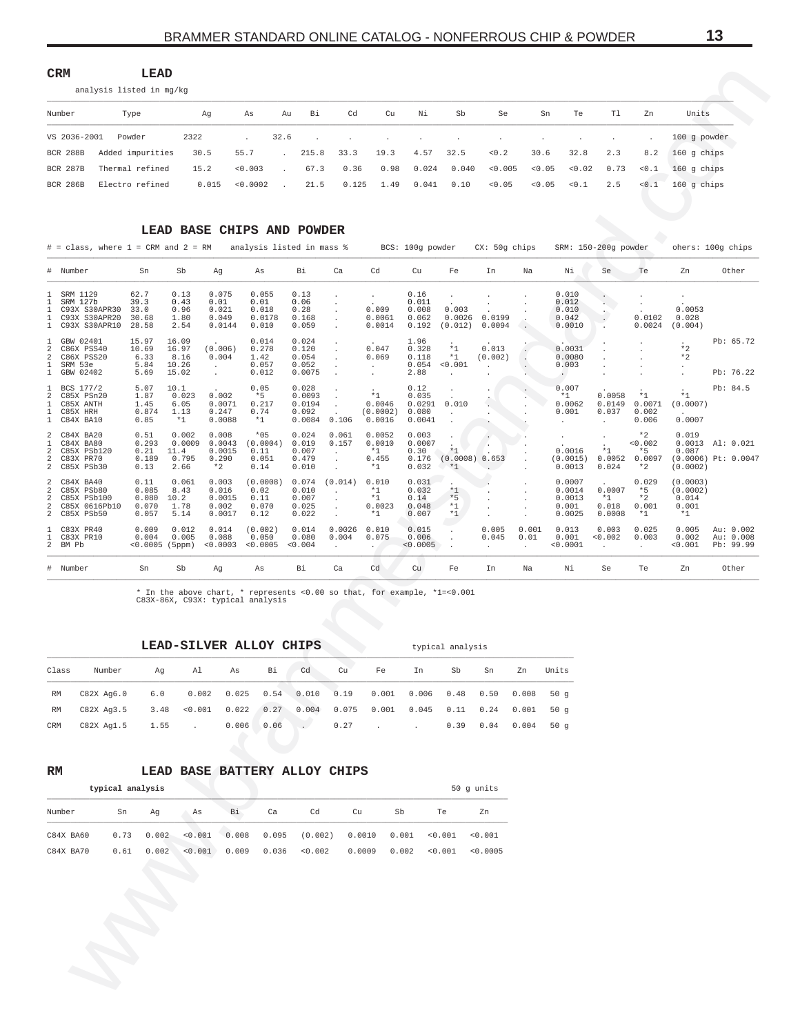<span id="page-12-0"></span> $\mathop{\mathsf{CRM}}$ LEAD

| analysis listed in mg/kg |
|--------------------------|
|--------------------------|

| Number          | Type                      | Αq    | As       | Au                                | Bi         | Cd | Cu                      | Ni        | Sb | Se                                  | Sn     | Te          | T1  | Zn    | Units                                  |
|-----------------|---------------------------|-------|----------|-----------------------------------|------------|----|-------------------------|-----------|----|-------------------------------------|--------|-------------|-----|-------|----------------------------------------|
|                 | VS 2036-2001 Powder       | 2322  | $\sim$   |                                   |            |    |                         |           |    |                                     |        |             |     |       | 100 g powder                           |
|                 | BCR 288B Added impurities | 30.5  | 55.7     | $\sim$                            | 215.8 33.3 |    | 19.3                    | 4.57 32.5 |    | < 0.2                               | 30.6   | 32.8        | 2.3 | 8.2   | $160$ q chips                          |
| BCR 287B        | Thermal refined           | 15.2  | < 0.003  | $\sim$                            |            |    |                         |           |    | $67.3$ 0.36 0.98 0.024 0.040 <0.005 |        |             |     |       | $0.05$ $0.02$ $0.73$ $0.1$ 160 q chips |
| <b>BCR 286B</b> | Electro refined           | 0.015 | < 0.0002 | <b>Contract Contract Contract</b> | 21.5       |    | $0.125$ 1.49 0.041 0.10 |           |    | < 0.05                              | < 0.05 | $< 0.1$ 2.5 |     | < 0.1 | 160 q chips                            |

### LEAD BASE CHIPS AND POWDER

| $#$ = class, where $1$ = CRM and $2$ = RM      |                                                                           |                                          |                                          |                                                    | analysis listed in mass %                  |                                              |                                             |                                           | BCS: 100g powder                           |                              | $CX: 50q$ chips                    |                         |                                                      | SRM: 150-200g powder                |                                           |                                                | ohers: 100g chips                    |
|------------------------------------------------|---------------------------------------------------------------------------|------------------------------------------|------------------------------------------|----------------------------------------------------|--------------------------------------------|----------------------------------------------|---------------------------------------------|-------------------------------------------|--------------------------------------------|------------------------------|------------------------------------|-------------------------|------------------------------------------------------|-------------------------------------|-------------------------------------------|------------------------------------------------|--------------------------------------|
|                                                | # Number                                                                  | Sn                                       | Sb                                       | Ag                                                 | As                                         | Bi                                           | Ca                                          | Cd                                        | Cu                                         | Fe                           | In                                 | Na                      | Νi                                                   | Se                                  | Te                                        | Zn                                             | Other                                |
| 1<br>1<br>1                                    | SRM 1129<br>SRM 127b<br>C93X S30APR30<br>C93X S30APR20<br>C93X S30APR10   | 62.7<br>39.3<br>33.0<br>30.68<br>28.58   | 0.13<br>0.43<br>0.96<br>1.80<br>2.54     | 0.075<br>0.01<br>0.021<br>0.049<br>0.0144          | 0.055<br>0.01<br>0.018<br>0.0178<br>0.010  | 0.13<br>0.06<br>0.28<br>0.168<br>0.059       |                                             | 0.009<br>0.0061<br>0.0014                 | 0.16<br>0.011<br>0.008<br>0.062<br>0.192   | 0.003<br>0.0026<br>(0.012)   | $\overline{a}$<br>0.0199<br>0.0094 |                         | 0.010<br>0.012<br>0.010<br>0.042<br>0.0010           |                                     | 0.0102<br>0.0024                          | 0.0053<br>0.028<br>(0.004)                     |                                      |
| 1<br>2<br>$\overline{a}$<br>1<br>1             | GBW 02401<br>C86X PSS40<br>C86X PSS20<br>SRM 53e<br>GBW 02402             | 15.97<br>10.69<br>6.33<br>5.84<br>5.69   | 16.09<br>16.97<br>8.16<br>10.26<br>15.02 | (0.006)<br>0.004<br>$\ddot{\phantom{0}}$<br>$\sim$ | 0.014<br>0.278<br>1.42<br>0.057<br>0.012   | 0.024<br>0.120<br>0.054<br>0.052<br>0.0075   |                                             | $\cdot$<br>0.047<br>0.069<br>$\mathbf{r}$ | 1.96<br>0.328<br>0.118<br>0.054<br>2.88    | $*1$<br>$*1$<br>< 0.001      | $\cdot$<br>0.013<br>(0.002)        |                         | 0.0031<br>0.0080<br>0.003<br>$\ddot{\phantom{0}}$    |                                     |                                           | $*2$<br>$*2$                                   | Pb: 65.72<br>Pb: 76.22               |
| $\overline{a}$<br>$\mathbf{1}$<br>$\mathbf{1}$ | BCS 177/2<br>C85X PSn20<br>C85X ANTH<br>C85X HRH<br>C84X BA10             | 5.07<br>1.87<br>1.45<br>0.874<br>0.85    | 10.1<br>0.023<br>6.05<br>1.13<br>$*1$    | 0.002<br>0.0071<br>0.247<br>0.0088                 | 0.05<br>$*5$<br>0.217<br>0.74<br>$*1$      | 0.028<br>0.0093<br>0.0194<br>0.092<br>0.0084 | 0.106                                       | $*1$<br>0.0046<br>(0.0002)<br>0.0016      | 0.12<br>0.035<br>0.0291<br>0.080<br>0.0041 | 0.010                        |                                    |                         | 0.007<br>$*1$<br>0.0062<br>0.001<br>$\sim$           | 0.0058<br>0.0149<br>0.037<br>$\sim$ | $*1$<br>0.0071<br>0.002<br>0.006          | $*1$<br>(0.0007)<br>0.0007                     | Pb: 84.5                             |
| $\mathbf{1}$<br>2                              | 2 C84X BA20<br>C84X BA80<br>C85X PSb120<br>2 C83X PR70<br>2 C85X PSb30    | 0.51<br>0.293<br>0.21<br>0.189<br>0.13   | 0.002<br>0.0009<br>11.4<br>0.795<br>2.66 | 0.008<br>0.0043<br>0.0015<br>0.290<br>$*2$         | $*05$<br>(0.0004)<br>0.11<br>0.051<br>0.14 | 0.024<br>0.019<br>0.007<br>0.479<br>0.010    | 0.061<br>0.157<br>$\cdot$<br>$\overline{a}$ | 0.0052<br>0.0010<br>$*1$<br>0.455<br>$*1$ | 0.003<br>0.0007<br>0.30<br>0.176<br>0.032  | $*1$<br>(0.0008)<br>$*1$     | 0.653<br>$\sim$                    |                         | $\ddot{\phantom{0}}$<br>0.0016<br>(0.0015)<br>0.0013 | $*1$<br>0.0052<br>0.024             | $*2$<br>< 0.002<br>$*5$<br>0.0097<br>$*2$ | 0.019<br>0.0013<br>0.087<br>(0.0002)           | Al: 0.021<br>$(0.0006)$ Pt: $0.0047$ |
| $\overline{a}$<br>2<br>2                       | 2 C84X BA40<br>C85X PSb80<br>C85X PSb100<br>C85X 0616Pb10<br>2 C85X PSb50 | 0.11<br>0.085<br>0.080<br>0.070<br>0.057 | 0.061<br>8.43<br>10.2<br>1.78<br>5.14    | 0.003<br>0.016<br>0.0015<br>0.002<br>0.0017        | (0.0008)<br>0.02<br>0.11<br>0.070<br>0.12  | 0.074<br>0.010<br>0.007<br>0.025<br>0.022    | (0.014)                                     | 0.010<br>$*1$<br>$*1$<br>0.0023<br>$*1$   | 0.031<br>0.032<br>0.14<br>0.048<br>0.007   | $*1$<br>$*5$<br>$*1$<br>$*1$ |                                    |                         | 0.0007<br>0.0014<br>0.0013<br>0.001<br>0.0025        | 0.0007<br>$*1$<br>0.018<br>0.0008   | 0.029<br>$*5$<br>$*2$<br>0.001<br>$*1$    | (0.0003)<br>(0.0002)<br>0.014<br>0.001<br>$*1$ |                                      |
| $\mathbf{1}$                                   | C83X PR40<br>1 C83X PR10<br>2 BM Pb                                       | 0.009<br>0.004<br>$< 0.0005$ (5ppm)      | 0.012<br>0.005                           | 0.014<br>0.088<br>< 0.0003                         | (0.002)<br>0.050<br>< 0.0005               | 0.014<br>0.080<br>< 0.004                    | 0.0026<br>0.004<br>$\ddot{\phantom{0}}$     | 0.010<br>0.075<br>$\sim$                  | 0.015<br>0.006<br>< 0.0005                 |                              | 0.005<br>0.045<br>$\sim$           | 0.001<br>0.01<br>$\sim$ | 0.013<br>0.001<br>< 0.0001                           | 0.003<br>< 0.002<br>$\sim$          | 0.025<br>0.003<br>$\sim$                  | 0.005<br>0.002<br>< 0.001                      | Au: 0.002<br>Au: 0.008<br>Pb: 99.99  |
|                                                | # Number                                                                  | Sn                                       | Sb                                       | Aq                                                 | As                                         | Bi                                           | Ca                                          | Cd                                        | Cu                                         | Fe                           | In                                 | Na                      | Νi                                                   | Se                                  | Te                                        | Zn                                             | Other                                |

typical analysis

 $^\star$  In the above chart,  $^\star$  represents <0.00 so that, for example, \*1=<0.001 C83X-86X, C93X: typical analysis

# LEAD-SILVER ALLOY CHIPS

| Class | Number                                                                                         | Aq | $\sim$ algebra $\sim$ | As Bi | cd cu | Fe In | Sb - | Sn | Zn Units |
|-------|------------------------------------------------------------------------------------------------|----|-----------------------|-------|-------|-------|------|----|----------|
| RM    | C82X Aq6.0 6.0 0.002 0.025 0.54 0.010 0.19 0.001 0.006 0.48 0.50 0.008 50 q                    |    |                       |       |       |       |      |    |          |
| RM    | $C82X$ Aq3.5 $3.48$ < 0.001  0.022  0.27  0.004  0.075  0.001  0.045  0.11  0.24  0.001  50  q |    |                       |       |       |       |      |    |          |
| CRM   | C82X Ag1.5 1.55 . 0.006 0.06 . 0.27 0.39 0.04 0.004 50 g                                       |    |                       |       |       |       |      |    |          |

### $\mathbb{R}\mathbb{M}$

# LEAD BASE BATTERY ALLOY CHIPS

|           | typical analysis |       |         |       |       |         |        |       |         | 50 g units |
|-----------|------------------|-------|---------|-------|-------|---------|--------|-------|---------|------------|
| Number    | Sn               | Ag    | Αs      | Bi    | Ca    | Cd      | Cu     | Sb    | Te      | Zn         |
| C84X BA60 | 0.73             | 0.002 | < 0.001 | 0.008 | 0.095 | (0.002) | 0.0010 | 0.001 | 0.001   | < 0.001    |
| C84X BA70 | 0.61             | 0.002 | < 0.001 | 0.009 | 0.036 | < 0.002 | 0.0009 | 0.002 | < 0.001 | < 0.0005   |
|           |                  |       |         |       |       |         |        |       |         |            |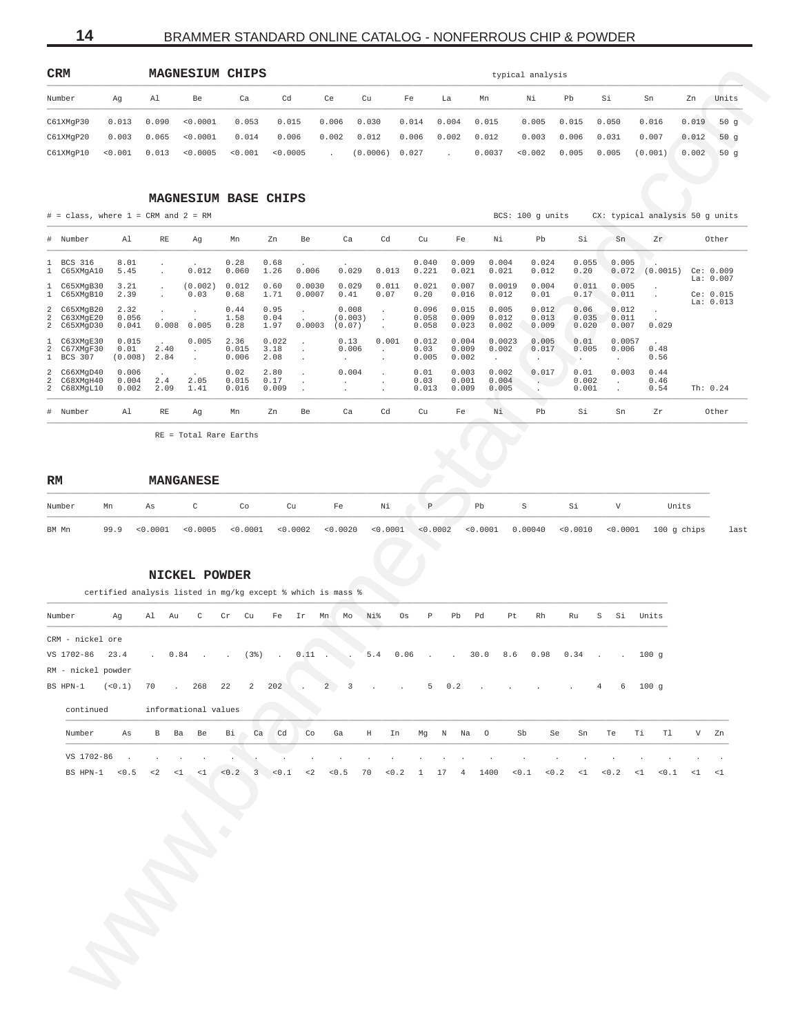14

# BRAMMER STANDARD ONLINE CATALOG - NONFERROUS CHIP & POWDER

<span id="page-13-0"></span>

| <b>CRM</b> |                 |       | <b>MAGNESIUM CHIPS</b>  |         |          |        |                |       |        |        | typical analysis |       |       |         |       |       |
|------------|-----------------|-------|-------------------------|---------|----------|--------|----------------|-------|--------|--------|------------------|-------|-------|---------|-------|-------|
| Number     | Αq              | Al    | Be                      | Ca      | Cd       | Ce     | Cu             | Fe    | La     | Mn     | Νi               | Pb    | Si    | Sn      | Zn    | Units |
| C61XMqP30  | 0.013           | 0.090 | < 0.0001                | 0.053   | 0.015    | 0.006  | 0.030          | 0.014 | 0.004  | 0.015  | 0.005            | 0.015 | 0.050 | 0.016   | 0.019 | 50 a  |
| C61XMqP20  |                 |       | $0.003$ $0.065$ <0.0001 | 0.014   | 0.006    | 0.002  | 0.012          | 0.006 | 0.002  | 0.012  | 0.003            | 0.006 | 0.031 | 0.007   | 0.012 | 50 a  |
| C61XMqP10  | $< 0.001$ 0.013 |       | < 0.0005                | < 0.001 | < 0.0005 | $\sim$ | (0.0006) 0.027 |       | $\sim$ | 0.0037 | < 0.002          | 0.005 | 0.005 | (0.001) | 0.002 | 150 a |

### MAGNESIUM BASE CHIPS

 $\#$  = class, where 1 = CRM and 2 = RM

BCS: 100 g units CX: typical analysis 50 g units

last

|   | # Number                                  | Al                       | RE           | Aq                                   | Mn                     | Zn                    | Be                   | Ca                         | Cd                           | Cu                      | Fe                      | Νi                      | Pb                      | Si                     | Sn                      | Zr                   | Other                     |
|---|-------------------------------------------|--------------------------|--------------|--------------------------------------|------------------------|-----------------------|----------------------|----------------------------|------------------------------|-------------------------|-------------------------|-------------------------|-------------------------|------------------------|-------------------------|----------------------|---------------------------|
|   | 1 BCS 316<br>1 C65XMqA10                  | 8.01<br>5.45             |              | 0.012                                | 0.28<br>0.060          | 0.68<br>1.26          | 0.006                | 0.029                      | 0.013                        | 0.040<br>0.221          | 0.009<br>0.021          | 0.004<br>0.021          | 0.024<br>0.012          | 0.055<br>0.20          | 0.005<br>0.072          | (0.0015)             | Ce: 0.009<br>La: 0.007    |
|   | 1 C65XMqB30<br>1 C65XMqB10                | 3.21<br>2.39             | $\sim$       | (0.002)<br>0.03                      | 0.012<br>0.68          | 0.60<br>1.71          | 0.0030<br>0.0007     | 0.029<br>0.41              | 0.011<br>0.07                | 0.021<br>0.20           | 0.007<br>0.016          | 0.0019<br>0.012         | 0.004<br>0.01           | 0.011<br>0.17          | 0.005<br>0.011          |                      | Ce: 0.015<br>0.013<br>La: |
| 2 | 2 C65XMqB20<br>C63XMgE20<br>2 C65XMqD30   | 2.32<br>0.056<br>0.041   | 0.008        | $\sim$<br>0.005                      | 0.44<br>1.58<br>0.28   | 0.95<br>0.04<br>1.97  | 0.0003               | 0.008<br>(0.003)<br>(0.07) | i.<br>$\mathbf{r}$           | 0.096<br>0.058<br>0.058 | 0.015<br>0.009<br>0.023 | 0.005<br>0.012<br>0.002 | 0.012<br>0.013<br>0.009 | 0.06<br>0.035<br>0.020 | 0.012<br>0.011<br>0.007 | 0.029                |                           |
| 2 | 1 C63XMqE30<br>C67XMqF30<br>1 BCS 307     | 0.015<br>0.01<br>(0.008) | 2.40<br>2.84 | 0.005<br>$\sim$                      | 2.36<br>0.015<br>0.006 | 0.022<br>3.18<br>2.08 |                      | 0.13<br>0.006              | 0.001<br>$\sim$              | 0.012<br>0.03<br>0.005  | 0.004<br>0.009<br>0.002 | 0.0023<br>0.002         | 0.005<br>0.017          | 0.01<br>0.005          | 0.0057<br>0.006         | 0.48<br>0.56         |                           |
|   | 2 C66XMqD40<br>2 C68XMqH40<br>2 C68XMqL10 | 0.006<br>0.004<br>0.002  | 2.4<br>2.09  | $\ddot{\phantom{a}}$<br>2.05<br>1.41 | 0.02<br>0.015<br>0.016 | 2.80<br>0.17<br>0.009 | $\ddot{\phantom{a}}$ | 0.004<br>$\sim$            | $\mathbf{r}$<br>$\mathbf{r}$ | 0.01<br>0.03<br>0.013   | 0.003<br>0.001<br>0.009 | 0.002<br>0.004<br>0.005 | 0.017                   | 0.01<br>0.002<br>0.001 | 0.003<br>$\sim$         | 0.44<br>0.46<br>0.54 | Th: 0.24                  |
|   | # Number                                  | Al                       | RE           | Aq                                   | Mn                     | Zn                    | Be                   | Ca                         | Cd                           | Cu                      | Fe                      | Νi                      | Pb                      | Si                     | Sn                      | Zr                   | Other                     |

 $RE = Total Rate Earths$ 

| Number | Mn | As | Co . | Cu | Fe | Ni | Pb | <u>. 이 사람 : Simple Section Advisory 0.0</u> |  | Units                                                                                                    |
|--------|----|----|------|----|----|----|----|---------------------------------------------|--|----------------------------------------------------------------------------------------------------------|
| BM Mn  |    |    |      |    |    |    |    |                                             |  | 99.9 <0.0001 <0.0005 <0.0001 <0.0002 <0.0020 <0.0001 <0.0002 <0.0001 0.00040 <0.0010 <0.0001 100 q chips |

### NICKEL POWDER

certified analysis listed in mg/kg except % which is mass %

| Number             | Aq | Al Au       |                      | $\mathbb{C}$ | Cr Cu                  |          | Fe Ir Mn Mo |        |    | Ni% | Os | $\mathbb{P}$ | Pb | Pd        | Pt                                                                                                              | Rh |    | Ru S Si | Units |    |      |
|--------------------|----|-------------|----------------------|--------------|------------------------|----------|-------------|--------|----|-----|----|--------------|----|-----------|-----------------------------------------------------------------------------------------------------------------|----|----|---------|-------|----|------|
| CRM - nickel ore   |    |             |                      |              |                        |          |             |        |    |     |    |              |    |           |                                                                                                                 |    |    |         |       |    |      |
| VS 1702-86 23.4    |    |             | 0.84                 |              | and the control of the |          |             |        |    |     |    |              |    |           | $(3*)$ . 0.11 . 5.4 0.06 30.0 8.6 0.98 0.34 100 g                                                               |    |    |         |       |    |      |
| RM - nickel powder |    |             |                      |              |                        |          |             |        |    |     |    |              |    |           |                                                                                                                 |    |    |         |       |    |      |
| BS HPN-1 (<0.1) 70 |    |             |                      | . 268        |                        | 22 2 202 |             | $\sim$ |    |     |    |              |    |           | $2$ 3 5 0.2 4 6 100 g                                                                                           |    |    |         |       |    |      |
| continued          |    |             | informational values |              |                        |          |             |        |    |     |    |              |    |           |                                                                                                                 |    |    |         |       |    |      |
| Number             | As | $\mathbb B$ | Ba                   | Be           | Bi                     | Ca       | Cd          | Co     | Ga | H   | In |              |    | Mg N Na O | Sb                                                                                                              | Se | Sn | Te      | Ti.   | T1 | V Zn |
| VS 1702-86         |    |             |                      |              |                        |          |             |        |    |     |    |              |    |           | the contract of the contract of the contract of the contract of the contract of the contract of the contract of |    |    |         |       |    |      |

 $\mathcal{L}^{\pm}$  $\sim 10^7$  $\sim 10$ **CONTRACTOR**  $\sim$  $\sim 10^7$  $\sim$  $\mathcal{L}(\mathcal{A})$  and  $\mathcal{L}(\mathcal{A})$  $\mathcal{L}(\mathcal{A})$  and  $\mathcal{L}(\mathcal{A})$  $\sim 10^{-1}$  $\sim 10^{-11}$  $\sim 10^7$  $\sim$  $\sim 10^7$  $\sim$  $\sim$  $\sim$   $\sim$ <1 <0.2 3 <0.1 <2 <0.5 70 <0.2 1 17 4 1400 <0.1 <0.2 <1 <0.2 <1 <0.1 <1 <1 <1 BS HPN-1  $< 0.5$   $< 2$   $< 1$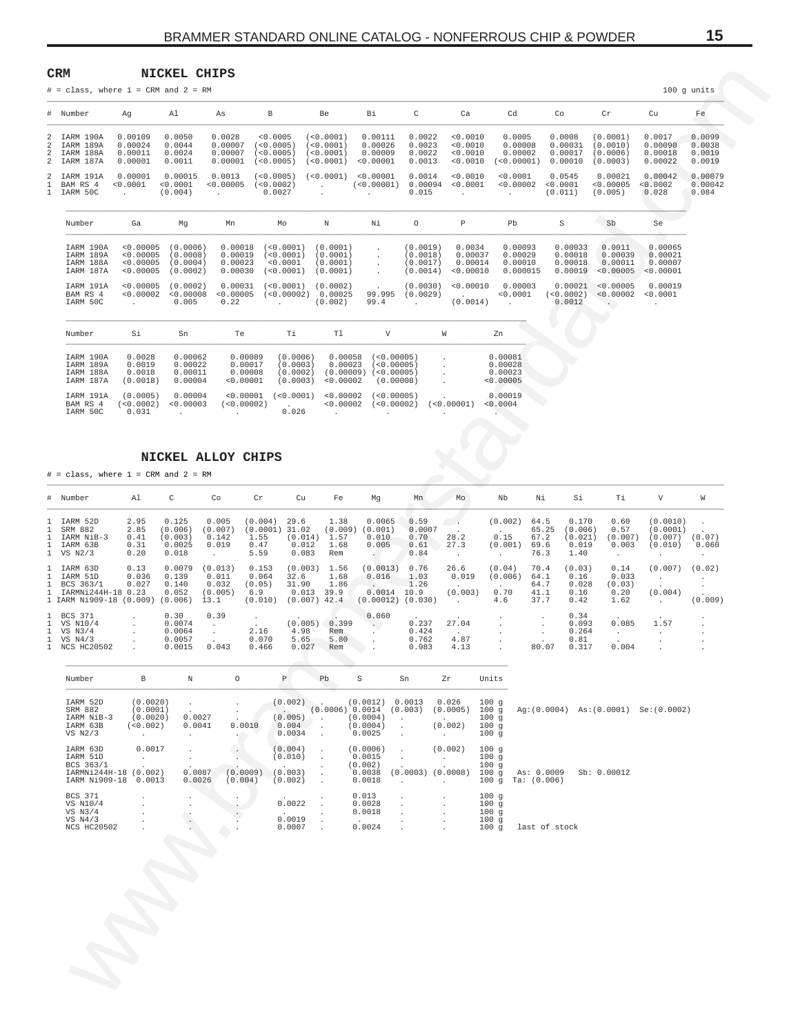$\sim$ 

 $\sim$ 

 $\sim$ 

 $\sim$ 

 $\sim$ 

 $100$  g units

 $F_{\alpha}$ 

 $\sim$ 

15

<span id="page-14-0"></span>

|   | <b>CRM</b> |                                           |     | NICKEL CHIPS |   |           |
|---|------------|-------------------------------------------|-----|--------------|---|-----------|
|   |            | $#$ = class, where $1$ = CRM and $2$ = RM |     |              |   |           |
| # | Number     | Aα                                        | A 1 | As           | B | <b>Be</b> |

|                               | $\cdots$                                         |                                                             |                                                           |                                                 |                                                  |                                                  |                                                                |                                                  |                                                   |                                               |                                          |                                              |                                                 |                                      |  |
|-------------------------------|--------------------------------------------------|-------------------------------------------------------------|-----------------------------------------------------------|-------------------------------------------------|--------------------------------------------------|--------------------------------------------------|----------------------------------------------------------------|--------------------------------------------------|---------------------------------------------------|-----------------------------------------------|------------------------------------------|----------------------------------------------|-------------------------------------------------|--------------------------------------|--|
| 2<br>$\overline{2}$<br>2<br>2 | IARM 190A<br>IARM 189A<br>IARM 188A<br>IARM 187A | 0.00109<br>0.00024<br>0.00011<br>0.00001                    | 0.0050<br>0.0044<br>0.0024<br>0.0011                      | 0.0028<br>0.00007<br>0.00007<br>0.00001         | < 0.0005<br>(<0.0005)<br>(<0.0005)<br>(<0.0005)  | (<0.0001)<br>(<0.0001)<br>(<0.0001)<br>(<0.0001) | 0.00111<br>0.00026<br>0.00009<br>< 0.00001                     | 0.0022<br>0.0023<br>0.0022<br>0.0013             | < 0.0010<br>< 0.0010<br>< 0.0010<br>< 0.0010      | 0.0005<br>0.00008<br>0.00002<br>(<0.00001)    | 0.0008<br>0.00031<br>0.00017<br>0.00010  | (0.0001)<br>(0.0010)<br>(0.0006)<br>(0.0003) | 0.0017<br>0.00090<br>0.00018<br>0.00022         | 0.0099<br>0.0038<br>0.0019<br>0.0019 |  |
| 2                             | IARM 191A<br>BAM RS 4<br>IARM 50C                | 0.00001<br>< 0.0001<br><b>Service</b>                       | 0.00015<br>< 0.0001<br>(0.004)                            | 0.0013<br>< 0.00005<br><b>Service</b> State     | (<0.0005)<br>(<0.0002)<br>0.0027                 | (< 0.0001)<br>$\sim$<br><b>All Contracts</b>     | < 0.00001<br>(<0.00001)<br>$\sim$ 100 $\sim$ 100 $\sim$        | 0.0014<br>0.00094<br>0.015                       | < 0.0010<br>< 0.0001<br>$\sim$                    | < 0.0001<br>< 0.00002<br><b>Service</b> State | 0.0545<br>< 0.0001<br>(0.011)            | 0.00021<br>< 0.00005<br>(0.005)              | 0.00042<br>< 0.0002<br>0.028                    | 0.00079<br>0.00042<br>0.084          |  |
|                               | Number                                           | Ga                                                          | Mq                                                        | Mn                                              | Mo                                               | N                                                | Νi                                                             | $\circ$                                          | P                                                 | Pb                                            | S                                        | Sb.                                          | Se                                              |                                      |  |
|                               | IARM 190A<br>IARM 189A<br>IARM 188A<br>IARM 187A | < 0.00005<br>< 0.00005<br>< 0.00005<br>< 0.00005            | (0.0006)<br>(0.0008)<br>(0.0004)<br>(0.0002)              | 0.00018<br>0.00019<br>0.00023<br>0.00030        | (< 0.0001)<br>(<0.0001)<br>< 0.0001<br>(<0.0001) | (0.0001)<br>(0.0001)<br>(0.0001)<br>(0.0001)     | $\ddot{\phantom{0}}$<br>$\mathbf{r}$<br>$\mathbf{r}$<br>$\sim$ | (0.0019)<br>(0.0018)<br>(0.0017)<br>(0.0014)     | 0.0034<br>0.00037<br>0.00014<br>< 0.00010         | 0.00093<br>0.00029<br>0.00010<br>0.000015     | 0.00033<br>0.00018<br>0.00018<br>0.00019 | 0.0011<br>0.00039<br>0.00011<br>< 0.00005    | 0.00065<br>0.00021<br>0.00007<br>< 0.00001      |                                      |  |
|                               | IARM 191A<br>BAM RS 4<br>IARM 50C                | < 0.00005<br>< 0.00002<br><b>Contract Contract Contract</b> | (0.0002)<br>< 0.00008<br>0.005                            | 0.00031<br>< 0.00005<br>0.22                    | (<0.0001)<br>(< 0.00002)<br><b>Contractor</b>    | (0.0002)<br>0.00025<br>(0.002)                   | $\sim 100$<br>99.995<br>99.4                                   | (0.0030)<br>(0.0029)<br><b>Contract Contract</b> | < 0.00010<br><b>Contract Contract</b><br>(0.0014) | 0.00003<br>< 0.0001<br><b>Contractor</b>      | 0.00021<br>(< 0.0002)<br>0.0012          | < 0.00005<br>< 0.00002<br>$\rightarrow$      | 0.00019<br>< 0.0001<br><b>Contract Contract</b> |                                      |  |
|                               | Number                                           | Si                                                          | Sn                                                        | Te:                                             | Ti                                               | Tl                                               | V                                                              |                                                  | W                                                 | Zn                                            |                                          |                                              |                                                 |                                      |  |
|                               | IARM 190A<br>IARM 189A<br>IARM 188A<br>IARM 187A | 0.0028<br>0.0019<br>0.0018<br>(0.0018)                      | 0.00062<br>0.00022<br>0.00011<br>0.00004                  | 0.00089<br>0.00017<br>0.00008<br>< 0.00001      | (0.0006)<br>(0.0003)<br>(0.0002)<br>(0.0003)     | 0.00058<br>0.00023<br>(0.00009)<br>< 0.00002     | (<0.00005)<br>(<0.00005)<br>(<0.00005)<br>(0.00008)            |                                                  | $\mathbf{r}$                                      | 0.00081<br>0.00028<br>0.00023<br>< 0.00005    |                                          |                                              |                                                 |                                      |  |
|                               | IARM 191A<br>BAM RS 4<br>IARM 50C                | (0.0005)<br>(< 0.0002)<br>0.031                             | 0.00004<br>< 0.00003<br><b>Contract Contract Contract</b> | < 0.00001<br>(<0.00002)<br><b>All Contracts</b> | (<0.0001)<br><b>Contract Contract</b><br>0.026   | < 0.00002<br>< 0.00002<br><b>Contractor</b>      | (<0.00005)<br>(<0.00002)<br>$\sim$                             | $\sim$                                           | (< 0.00001)<br>$\cdot$                            | 0.00019<br>< 0.0004<br><b>Allen Common</b>    |                                          |                                              |                                                 |                                      |  |

 $D<sub>1</sub>$ 

NICKEL ALLOY CHIPS

 $#$  = class, where 1 = CRM and 2 = RM

| # Number                                                                   | Al                                        | C                                              | Co                                           | Cr                                         | Cu                                                  | Fe                                     | Mq                                                   | Mn                                     | Mo                                 | Nb                                   | Νi                                    | Si                                           | Тi                                      | V                                          | W                 |
|----------------------------------------------------------------------------|-------------------------------------------|------------------------------------------------|----------------------------------------------|--------------------------------------------|-----------------------------------------------------|----------------------------------------|------------------------------------------------------|----------------------------------------|------------------------------------|--------------------------------------|---------------------------------------|----------------------------------------------|-----------------------------------------|--------------------------------------------|-------------------|
| 1 IARM 52D<br>SRM 882<br>IARM NiB-3<br>1 IARM 63B<br>$1$ VS $N2/3$         | 2.95<br>2.85<br>0.41<br>0.31<br>0.20      | 0.125<br>(0.006)<br>(0.003)<br>0.0025<br>0.018 | 0.005<br>(0.007)<br>0.142<br>0.019           | (0.004)<br>(0.0001<br>1.55<br>0.47<br>5.59 | 29.6<br>31.02<br>(0.014)<br>0.012<br>0.083          | 1.38<br>(0.009)<br>1.57<br>1.68<br>Rem | 0.0065<br>0.001)<br>0.010<br>0.005                   | 0.59<br>0.0007<br>0.70<br>0.61<br>0.84 | 28.2<br>27.3                       | (0.002)<br>$\sim$<br>0.15<br>(0.001) | 64.5<br>65.25<br>67.2<br>69.6<br>76.3 | 0.170<br>(0.006)<br>(0.021)<br>0.019<br>1.40 | 0.60<br>0.57<br>(0.007)<br>0.003        | (0.0010)<br>(0.0001)<br>(0.007)<br>(0.010) | (0.07)<br>0.060   |
| 1 IARM 63D<br>IARM 51D<br>BCS 363/1<br>IARMNi244H-18<br>1 IARM Ni909-18    | 0.13<br>0.036<br>0.027<br>0.23<br>(0.009) | 0.0079<br>0.139<br>0.140<br>0.052<br>(0.006)   | (0.013)<br>0.011<br>0.032<br>(0.005)<br>13.1 | 0.153<br>0.064<br>(0.05)<br>6.9<br>(0.010) | (0.003)<br>32.6<br>31.90<br>0.013<br>$(0.007)$ 42.4 | 1.56<br>1.68<br>1.86<br>39.9           | (0.0013)<br>0.016<br>0.0014<br>$(0.00012)$ $(0.030)$ | 0.76<br>1.03<br>1.26<br>10.9           | 26.6<br>0.019<br>(0.003)<br>$\sim$ | (0.04)<br>(0.006)<br>0.70<br>4.6     | 70.4<br>64.1<br>64.7<br>41.1<br>37.7  | (0.03)<br>0.16<br>0.028<br>0.16<br>0.42      | 0.14<br>0.033<br>(0.03)<br>0.20<br>1.62 | (0.007)<br>(0.004)<br>$\sim$               | (0.02)<br>(0.009) |
| 1 BCS 371<br>1 VS N10/4<br>$1$ VS $N3/4$<br>$1$ VS $N4/3$<br>1 NCS HC20502 |                                           | 0.30<br>0.0074<br>0.0064<br>0.0057<br>0.0015   | 0.39<br>0.043                                | 2.16<br>0.070<br>0.466                     | (0.005)<br>4.98<br>5.65<br>0.027                    | 0.399<br>Rem<br>5.80<br>Rem            | 0.060                                                | 0.237<br>0.424<br>0.762<br>0.983       | 27.04<br>$\sim$<br>4.87<br>4.13    |                                      | 80.07                                 | 0.34<br>0.093<br>0.264<br>0.81<br>0.317      | $\overline{a}$<br>0.085<br>0.004        | 1.57                                       |                   |

| Number                                                                      | В                                                               | $\mathbb N$                                                                      | $\circ$                                                              | P                                                                    | Pb.                                                                | S                                                             | Sn                                                                                    | Zr                                                                                          | Units                                |                                          |  |
|-----------------------------------------------------------------------------|-----------------------------------------------------------------|----------------------------------------------------------------------------------|----------------------------------------------------------------------|----------------------------------------------------------------------|--------------------------------------------------------------------|---------------------------------------------------------------|---------------------------------------------------------------------------------------|---------------------------------------------------------------------------------------------|--------------------------------------|------------------------------------------|--|
| IARM 52D<br>SRM 882<br>IARM NiB-3<br>IARM 63B<br>$VS$ $N2/3$                | (0.0020)<br>(0.0001)<br>(0.0020)<br>(< 0.002)<br>and a state of | $\ddot{\phantom{a}}$<br>$\cdot$<br>0.0027<br>0.0041<br>$\mathbf{r} = \mathbf{r}$ | $\ddot{\phantom{0}}$<br>$\overline{\phantom{a}}$<br>0.0010<br>$\sim$ | $\sim$ $\sim$<br>(0.005)<br>0.004<br>0.0034                          | $(0.002)$ .<br><b>Contract</b><br>$\Delta$<br>$\ddot{\phantom{a}}$ | (0.0012)<br>(0.0006) 0.0014<br>(0.0004)<br>(0.0004)<br>0.0025 | 0.0013<br>(0.003)<br>$\sim$<br>$\mathcal{L}$<br>$\Delta$                              | 0.026<br>(0.0005)<br><b>Contract Contract</b><br>(0.002)<br>$\mathbf{r}$ . The $\mathbf{r}$ | 100q<br>100q<br>100q<br>100g<br>100g | Ag: (0.0004) As: (0.0001) Se: (0.0002)   |  |
| IARM 63D<br>IARM 51D<br>BCS 363/1<br>IARMNi244H-18 (0.002)<br>IARM Ni909-18 | 0.0017<br>$\ddot{\phantom{0}}$<br>$\cdot$<br>0.0013             | $\cdot$<br>$\cdot$<br>0.0087<br>0.0026                                           | $\cdot$<br>(0.0009)<br>(0.004)                                       | (0.004)<br>(0.010)<br><b>Contract Contract</b><br>(0.003)<br>(0.002) | $\mathbf{r}$<br>$\mathbf{r}$<br>$\mathbf{r}$                       | (0.0006)<br>0.0015<br>(0.002)<br>0.0038<br>0.0018             | $\Delta$<br>$\lambda$<br>$\cdot$<br>$\sim$                                            | (0.002)<br>$\cdot$<br>$\cdot$<br>$(0.0003)$ $(0.0008)$<br>$\cdot$                           | 100g<br>100q<br>100g<br>100q<br>100g | As: 0.0009<br>Sb: 0.00012<br>Ta: (0.006) |  |
| <b>BCS 371</b><br>VS N10/4<br>VS $N3/4$<br>VS $N4/3$<br><b>NCS HC20502</b>  |                                                                 |                                                                                  |                                                                      | 0.0022<br><b>Service</b><br>0.0019<br>0.0007                         | $\overline{\phantom{a}}$                                           | 0.013<br>0.0028<br>0.0018<br><b>Service</b><br>0.0024         | $\ddot{\phantom{a}}$<br>$\mathcal{L}_{\mathcal{A}}$<br>ä.<br>$\overline{\phantom{a}}$ | $\lambda$<br>$\mathbf{r}$<br>$\mathbf{r}$<br>$\ddot{\phantom{0}}$<br>ä.                     | 100g<br>100g<br>100g<br>100g<br>100q | last of stock                            |  |
|                                                                             |                                                                 |                                                                                  |                                                                      |                                                                      |                                                                    |                                                               |                                                                                       |                                                                                             |                                      |                                          |  |
|                                                                             |                                                                 |                                                                                  |                                                                      |                                                                      |                                                                    |                                                               |                                                                                       |                                                                                             |                                      |                                          |  |
|                                                                             |                                                                 |                                                                                  |                                                                      |                                                                      |                                                                    |                                                               |                                                                                       |                                                                                             |                                      |                                          |  |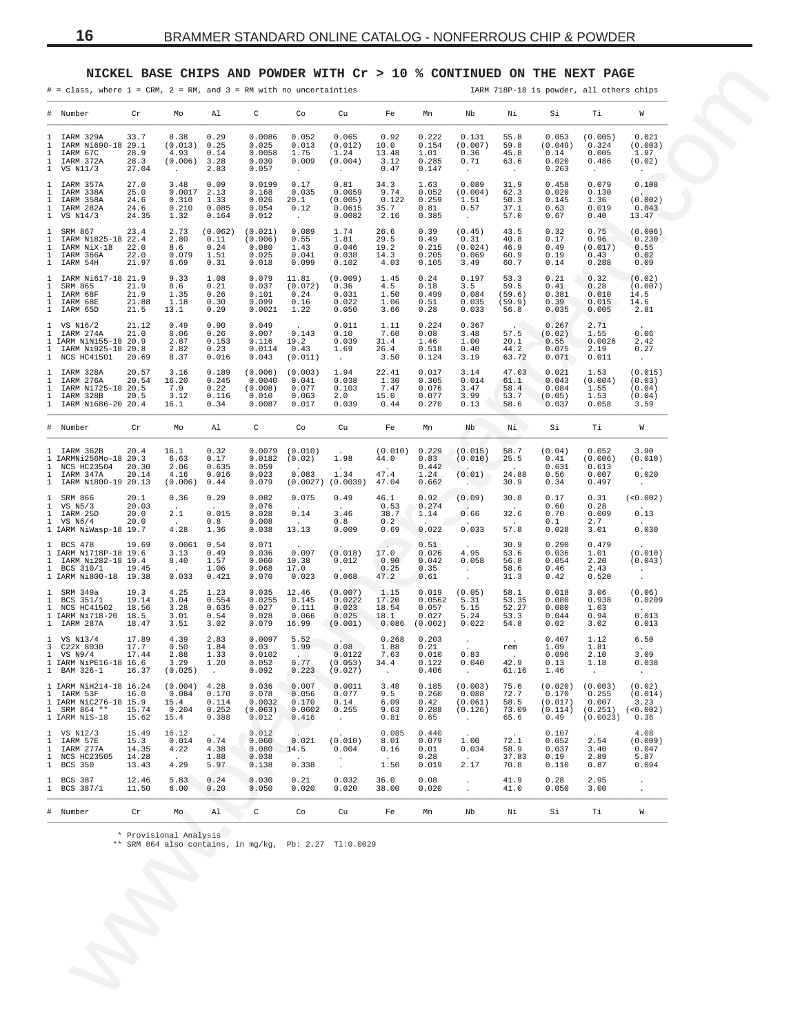### **NICKEL BASE CHIPS AND POWDER WITH Cr > 10 % CONTINUED ON THE NEXT PAGE**

<span id="page-15-0"></span>

|              | $# = class$ , where $1 = CRM$ , $2 = RM$ , and $3 = RM$ with no uncertainties                      |                                          |                                                 |                                          | NICKEL BASE CHIPS AND POWDER WITH $Cr > 10$ % CONTINUED ON THE NEXT PAGE |                                                  |                                                |                                             |                                              |                                                  |                                          |                                                | IARM 718P-18 is powder, all others chips         |                                                          |
|--------------|----------------------------------------------------------------------------------------------------|------------------------------------------|-------------------------------------------------|------------------------------------------|--------------------------------------------------------------------------|--------------------------------------------------|------------------------------------------------|---------------------------------------------|----------------------------------------------|--------------------------------------------------|------------------------------------------|------------------------------------------------|--------------------------------------------------|----------------------------------------------------------|
|              | # Number                                                                                           | Cr                                       | Mo                                              | Al                                       | C                                                                        | Co                                               | Cu                                             | Fe                                          | Mn                                           | Nb                                               | Νi                                       | Si                                             | Тi                                               | W                                                        |
|              | 1 IARM 329A<br>1 IARM Ni690-18 29.1<br>1 IARM 67C<br>1 IARM 372A<br>1 VS N11/3                     | 33.7<br>28.9<br>28.3<br>27.04            | 8.38<br>(0.013)<br>4.93<br>(0.006)<br>$\sim$    | 0.29<br>0.25<br>0.14<br>3.28<br>2.83     | 0.0086<br>0.025<br>0.0058<br>0.030<br>0.057                              | 0.052<br>0.013<br>1.75<br>0.009<br>$\sim$        | 0.065<br>(0.012)<br>1.24<br>(0.004)<br>$\sim$  | 0.92<br>10.0<br>13.48<br>3.12<br>0.47       | 0.222<br>0.154<br>1.01<br>0.285<br>0.147     | 0.131<br>(0.007)<br>0.36<br>0.71<br>$\sim$       | 55.8<br>59.8<br>45.8<br>63.6<br>$\cdot$  | 0.053<br>(0.049)<br>0.14<br>0.020<br>0.263     | (0.005)<br>0.324<br>0.005<br>0.486<br>$\sim$     | 0.021<br>(0.003)<br>1.97<br>(0.02)<br>$\sim$             |
| $\mathbf{1}$ | 1 IARM 357A<br>1 IARM 338A<br>1 IARM 358A<br>IARM 282A<br>1 VS N14/3                               | 27.0<br>25.0<br>24.6<br>24.6<br>24.35    | 3.48<br>$0.0017$ 2.13<br>0.310<br>0.210<br>1.32 | 0.09<br>1.33<br>0.085<br>0.164           | 0.0199<br>0.168<br>0.026<br>0.054<br>0.012                               | 0.17<br>0.035<br>20.1<br>0.12<br>$\sim 10^{-11}$ | 0.81<br>0.0059<br>(0.005)<br>0.0615<br>0.0082  | 34.3<br>9.74<br>0.122<br>35.7<br>2.16       | 1.63<br>0.052<br>0.259<br>0.81<br>0.385      | 0.089<br>(0.004)<br>1.51<br>0.57<br>$\sim$       | 31.9<br>62.3<br>50.3<br>37.1<br>57.0     | 0.458<br>0.020<br>0.145<br>0.63<br>0.67        | 0.079<br>0.130<br>1.36<br>0.019<br>0.40          | 0.108<br>(0.002)<br>0.043<br>13.47                       |
|              | 1 SRM 867<br>1 IARM Ni825-18 22.4<br>1 IARM NiX-18<br>1 IARM 366A<br>1 IARM 54H                    | 23.4<br>22.0<br>22.0<br>21.97            | 2.73<br>2.80<br>8.6<br>0.079<br>8.69            | (0.062)<br>0.11<br>0.24<br>1.51<br>0.31  | (0.021)<br>(0.006)<br>0.080<br>0.025<br>0.018                            | 0.089<br>0.55<br>1.43<br>0.041<br>0.099          | 1.74<br>1.81<br>0.046<br>0.038<br>0.102        | 26.6<br>29.5<br>19.2<br>14.3<br>4.03        | 0.39<br>0.49<br>0.215<br>0.205<br>0.105      | (0.45)<br>0.31<br>(0.024)<br>0.069<br>3.49       | 43.5<br>40.8<br>46.9<br>60.9<br>60.7     | 0.32<br>0.17<br>0.49<br>0.19<br>0.14           | 0.75<br>0.96<br>(0.017)<br>0.43<br>0.288         | (0.006)<br>0.230<br>0.55<br>0.02<br>0.09                 |
|              | 1 IARM Ni617-18 21.9<br>1 SRM 865<br>1 IARM 68F<br>1 IARM 68E<br>1 IARM 65D                        | 21.9<br>21.9<br>21.88<br>21.5            | 9.33<br>8.6<br>1.35<br>1.18<br>13.1             | 1.08<br>0.21<br>0.26<br>0.30<br>0.29     | 0.079<br>0.037<br>0.101<br>0.099<br>0.0021                               | 11.81<br>(0.072)<br>0.24<br>0.16<br>1.22         | (0.009)<br>0.36<br>0.031<br>0.022<br>0.050     | 1.45<br>4.5<br>1.50<br>1.06<br>3.66         | 0.24<br>0.18<br>0.499<br>0.51<br>0.28        | 0.197<br>3.5<br>0.084<br>0.035<br>0.033          | 53.3<br>59.5<br>(59.6)<br>(59.9)<br>56.8 | 0.21<br>0.41<br>0.381<br>0.39<br>0.035         | 0.32<br>0.28<br>0.010<br>0.015<br>0.005          | (0.02)<br>(0.007)<br>14.5<br>14.6<br>2.81                |
|              | 1 VS N16/2<br>1 IARM 274A<br>1 IARM NiN155-18 20.9<br>1 IARM Ni925-18 20.8<br>1 NCS HC41501        | 21.12<br>21.0<br>20.69                   | 0.49<br>8.06<br>2.87<br>2.82<br>8.37            | 0.90<br>0.26<br>0.153<br>0.23<br>0.016   | 0.049<br>0.007<br>0.116<br>0.0114<br>0.043                               | 0.143<br>19.2<br>0.43<br>(0.011)                 | 0.011<br>0.10<br>0.039<br>1.69<br>$\sim$ $-$   | 1.11<br>7.60<br>31.4<br>26.4<br>3.50        | 0.224<br>0.08<br>1.46<br>0.518<br>0.124      | 0.367<br>3.48<br>1.00<br>0.40<br>3.19            | 57.5<br>20.1<br>44.2<br>63.72            | 0.267<br>(0.02)<br>0.55<br>0.075<br>0.071      | 2.71<br>1.55<br>0.0026<br>2.19<br>0.011          | 0.06<br>2.42<br>0.27<br>$\cdot$                          |
|              | 1 IARM 328A<br>1 IARM 276A<br>1 IARM Ni725-18 20.5<br>1 IARM 328B<br>1 IARM Ni686-20 20.4          | 20.57<br>20.54<br>20.5                   | 3.16<br>16.20<br>7.9<br>3.12<br>16.1            | 0.189<br>0.245<br>0.22<br>0.116<br>0.34  | (0.006)<br>0.0040<br>(0.008)<br>0.010<br>0.0087                          | (0.003)<br>0.041<br>0.077<br>0.063<br>0.017      | 1.94<br>0.038<br>0.103<br>2.0<br>0.039         | 22.41<br>1.30<br>7.47<br>15.0<br>0.44       | 0.017<br>0.305<br>0.076<br>0.077<br>0.270    | 3.14<br>0.014<br>3.47<br>3.99<br>0.13            | 47.03<br>61.1<br>58.4<br>53.7<br>58.6    | 0.021<br>0.043<br>0.084<br>(0.05)<br>0.037     | 1.53<br>(0.004)<br>1.55<br>1.53<br>0.058         | (0.015)<br>(0.03)<br>(0.04)<br>(0.04)<br>3.59            |
|              | # Number                                                                                           | Cr                                       | Mo                                              | Al                                       | C                                                                        | Co                                               | Cu                                             | Fe                                          | Mn                                           | Nb                                               | Ni                                       | Si                                             | Тi                                               | W                                                        |
|              | 1 IARM 362B<br>1 IARMNi256Mo-18 20.3<br>1 NCS HC23504<br>1 IARM 347A<br>1 IARM Ni800-19 20.13      | 20.4<br>20.30<br>20.14                   | 16.1<br>6.63<br>2.06<br>4.16<br>(0.006)         | 0.32<br>0.17<br>0.635<br>0.016<br>0.44   | 0.0079<br>0.0182<br>0.059<br>0.023<br>0.079                              | (0.010)<br>(0.02)<br>0.083                       | 1.98<br>1.34<br>$(0.0027)$ $(0.0039)$          | (0.010) 0.229<br>44.0<br>47.4<br>47.04      | 0.83<br>0.442<br>1.24<br>0.662               | (0.015)<br>(0.010)<br>(0.01)<br>Alberta          | 58.7<br>25.5<br>24.88<br>30.9            | (0.04)<br>0.41<br>0.631<br>0.56<br>0.34        | 0.052<br>(0.006)<br>0.613<br>0.007<br>0.497      | 3.90<br>(0.010)<br>0.020<br>$\sim$                       |
|              | 1 SRM 866<br>1 VS N5/3<br>1 IARM 25D<br>$1$ VS N6/4<br>1 IARM NiWasp-18 19.7                       | 20.1<br>20.03<br>20.0<br>20.0            | 0.36<br><b>Contract</b><br>2.1<br>4.28          | 0.29<br>$\sim$<br>0.015<br>0.8<br>1.36   | 0.082<br>0.076<br>0.028<br>0.008<br>0.038                                | 0.075<br>$\sim$<br>0.14<br>13.13                 | 0.49<br>3.46<br>0.8<br>0.009                   | 46.1<br>0.53<br>38.7<br>0.2<br>0.69         | 0.92<br>0.274<br>1.14<br>0.022               | (0.09)<br>$\sim$<br>0.66<br>0.033                | 30.8<br>$\sim$<br>32.6<br>57.8           | 0.17<br>0.60<br>0.70<br>0.1<br>0.028           | 0.31<br>0.28<br>0.009<br>2.7<br>3.01             | (<0.002)<br>0.13<br>0.030                                |
|              | 1 BCS 478<br>1 IARM Ni718P-18 19.6<br>1 IARM Ni282-18 19.4<br>1 BCS 310/1<br>1 IARM Ni800-18 19.38 | 19.69<br>19.45                           | $0.0061$ $0.54$<br>3.13<br>8.40<br>0.033        | 0.49<br>1.57<br>1.06<br>0.421            | 0.071<br>0.036<br>0.060<br>0.068<br>0.070                                | 0.097<br>10.38<br>17.0<br>0.023                  | (0.018)<br>0.012<br>0.068                      | 17.0<br>0.90<br>0.25<br>47.2                | 0.51<br>0.026<br>0.042<br>0.35<br>0.61       | 4.95<br>0.058<br>$\sim$<br>$\sim$                | 30.9<br>53.6<br>56.8<br>58.6<br>31.3     | 0.290<br>0.036<br>0.054<br>0.46<br>0.42        | 0.479<br>1.01<br>2.20<br>2.43<br>0.520           | (0.010)<br>(0.043)<br>$\sim$ 10 $\sim$<br>$\blacksquare$ |
|              | 1 SRM 349a<br>1 BCS 351/1<br>1 NCS HC41502<br>1 IARM Ni718-20 18.5<br>1 IARM 287A                  | 19.3<br>19.14<br>18.56<br>18.47          | 4.25<br>3.04<br>3.28<br>3.01<br>3.51            | 1.23<br>0.554<br>0.635<br>0.54<br>3.02   | 0.035<br>0.0255<br>0.027<br>0.028<br>0.079                               | 12.46<br>0.145<br>0.111<br>0.066<br>16.99        | (0.007)<br>0.0222<br>0.023<br>0.025<br>(0.001) | 1.15<br>17.20<br>18.54<br>18.1<br>0.086     | 0.019<br>0.0562<br>0.057<br>0.027<br>(0.002) | (0.05)<br>5.31<br>5.15<br>5.24<br>0.022          | 58.1<br>53.35<br>52.27<br>53.3<br>54.8   | 0.018<br>0.080<br>0.080<br>0.044<br>0.02       | 3.06<br>0.938<br>1.03<br>0.94<br>3.02            | (0.06)<br>0.0209<br>0.013<br>0.013                       |
|              | 1 VS N13/4<br>3 C22X 8030<br>$1$ VS N9/4<br>1 IARM NiPE16-18 16.6<br>1 BAM 326-1                   | 17.89<br>17.7<br>17.44<br>16.37          | 4.39<br>0.50<br>2.88<br>3.29<br>(0.025)         | 2.83<br>1.84<br>1.33<br>1.20<br>$\sim$   | 0.0097<br>0.03<br>0.0102<br>0.052<br>0.092                               | 5.52<br>1.99<br>0.77<br>0.223                    | 0.08<br>0.0122<br>(0.053)<br>(0.027)           | 0.268<br>1.88<br>7.63<br>34.4<br>$\cdot$    | 0.203<br>0.21<br>0.010<br>0.122<br>0.406     | 0.83<br>0.040<br>$\sim$ $-$                      | $\sim$ $\sim$<br>rem<br>42.9<br>61.16    | 0.407<br>1.09<br>0.096<br>0.13<br>1.46         | 1.12<br>1.81<br>2.10<br>1.18<br>$\sim$           | 6.50<br>3.09<br>0.038<br>$\sim$                          |
|              | 1 IARM NiH214-18 16.24<br>1 IARM 53F<br>1 IARM NiC276-18 15.9<br>1 SRM 864 **<br>1 IARM NiS-18     | 16.0<br>15.74<br>15.62                   | (0.004)<br>0.084<br>15.4<br>0.204<br>15.4       | 4.28<br>0.170<br>0.114<br>0.252<br>0.388 | 0.036<br>0.078<br>0.0032<br>(0.063)<br>0.012                             | 0.007<br>0.056<br>0.170<br>0.0602<br>0.416       | 0.0011<br>0.077<br>0.14<br>0.255<br>$\sim$     | 3.48<br>9.5<br>6.09<br>9.63<br>0.81         | 0.185<br>0.260<br>0.42<br>0.288<br>0.65      | (0.003)<br>0.088<br>(0.061)<br>(0.126)<br>$\sim$ | 75.6<br>72.7<br>58.5<br>73.09<br>65.6    | (0.020)<br>0.170<br>(0.017)<br>(0.114)<br>0.49 | (0.003)<br>0.255<br>0.007<br>(0.251)<br>(0.0023) | (0.02)<br>(0.014)<br>3.23<br>(<0.002)<br>0.36            |
|              | 1 VS N12/3<br>1 IARM 57E<br>1 IARM 277A<br>1 NCS HC23505<br>1 BCS 350                              | 15.49<br>15.3<br>14.35<br>14.28<br>13.43 | 16.12<br>0.014<br>4.22<br>4.29                  | 0.74<br>4.38<br>1.88<br>5.97             | 0.012<br>0.060<br>0.080<br>0.038<br>0.138                                | 0.021<br>14.5<br>0.338                           | (0.010)<br>0.004<br>$\cdot$                    | 0.085<br>8.01<br>0.16<br>$\sim$ $-$<br>1.50 | 0.440<br>0.079<br>0.01<br>0.28<br>0.019      | 1.00<br>0.034<br>2.17                            | 72.1<br>58.9<br>37.83<br>70.8            | 0.107<br>0.052<br>0.037<br>0.19<br>0.110       | 2.54<br>3.40<br>2.89<br>0.87                     | 4.08<br>(0.009)<br>0.047<br>5.87<br>0.094                |
|              | 1 BCS 387<br>1 BCS 387/1                                                                           | 12.46<br>11.50                           | 5.83<br>6.00                                    | 0.24<br>0.20                             | 0.030<br>0.050                                                           | 0.21<br>0.020                                    | 0.032<br>0.020                                 | 36.0<br>38.00                               | 0.08<br>0.020                                | $\cdot$                                          | 41.9<br>41.0                             | 0.28<br>0.050                                  | 2.95<br>3.00                                     | $\cdot$<br>$\cdot$                                       |
|              | # Number                                                                                           | Cr                                       | Mo                                              | Al                                       | $\mathtt{C}$                                                             | Co                                               | Cu                                             | Fe                                          | Mn                                           | Nb                                               | Νi                                       | Si                                             | Тi                                               | W                                                        |
|              |                                                                                                    |                                          | * Provisional Analysis                          |                                          | ** SRM 864 also contains, in mg/kg, Pb: 2.27 Tl:0.0029                   |                                                  |                                                |                                             |                                              |                                                  |                                          |                                                |                                                  |                                                          |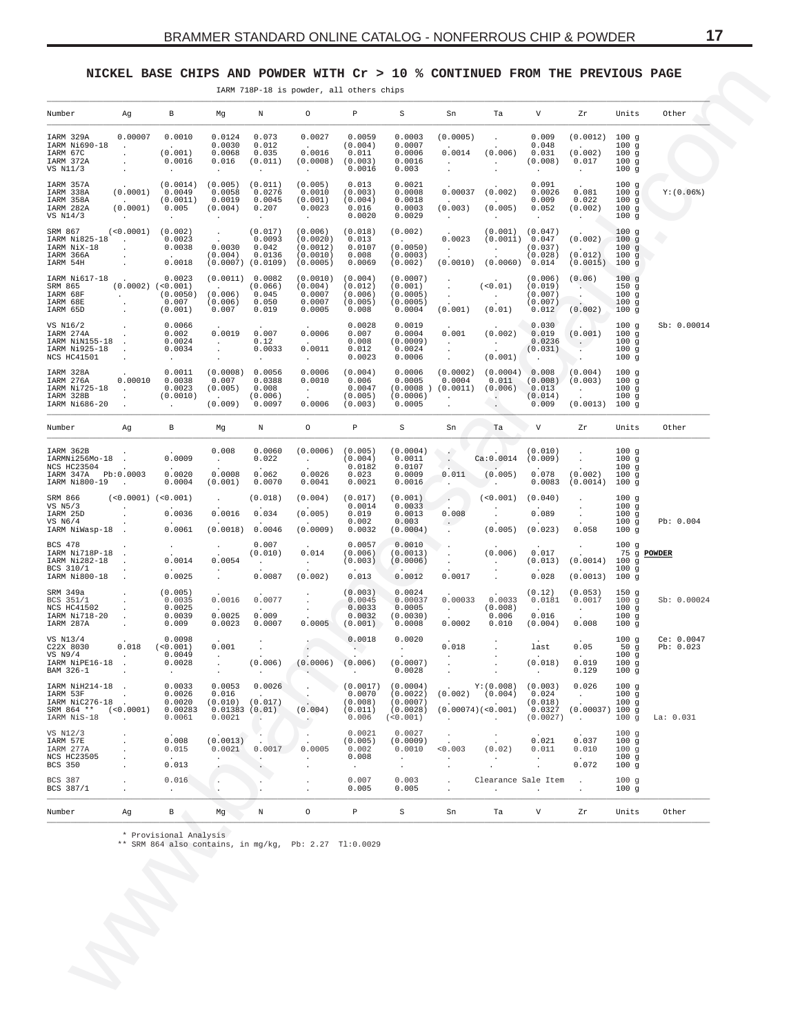### <span id="page-16-0"></span>NICKEL BASE CHIPS AND POWDER WITH Cr > 10 % CONTINUED FROM THE PREVIOUS PAGE

IARM 718P-18 is powder, all others chips

| Number                                                                               | Ag                                                                          | В                                                                       | Mg                                                                         | N                                                             | 0                                                                    | Р                                                           | S                                                                      | Sn                                                                         | Ta                                                                                     | V                                                       | Zr                                                                     | Units                                  | Other                   |
|--------------------------------------------------------------------------------------|-----------------------------------------------------------------------------|-------------------------------------------------------------------------|----------------------------------------------------------------------------|---------------------------------------------------------------|----------------------------------------------------------------------|-------------------------------------------------------------|------------------------------------------------------------------------|----------------------------------------------------------------------------|----------------------------------------------------------------------------------------|---------------------------------------------------------|------------------------------------------------------------------------|----------------------------------------|-------------------------|
| IARM 329A<br>IARM Ni690-18<br>IARM 67C<br>IARM 372A<br>VS N11/3                      | 0.00007<br><b>Contract Contract</b><br>$\ddot{\phantom{a}}$                 | 0.0010<br>$\sim$<br>(0.001)<br>0.0016<br>$\sim$                         | 0.0124<br>0.0030<br>0.0068<br>0.016<br>$\sim$                              | 0.073<br>0.012<br>0.035<br>(0.011)<br>$\cdot$                 | 0.0027<br>0.0016<br>$(0.0008)$ $(0.003)$<br>$\sim 10^{-11}$          | 0.0059<br>(0.004)<br>0.011<br>0.0016                        | 0.0003<br>0.0007<br>0.0006<br>0.0016<br>0.003                          | (0.0005)<br>0.0014<br><b>Carl Corporation</b><br>$\ddot{\phantom{a}}$      | $\ddot{\phantom{a}}$<br>(0.006)<br><b>Contractor</b>                                   | 0.009<br>0.048<br>0.031<br>(0.008)<br>$\sim$            | (0.0012)<br>(0.002)<br>0.017<br>$\sim$                                 | 100g<br>100g<br>100g<br>100g<br>100g   |                         |
| IARM 357A<br>IARM 338A<br>IARM 358A<br>IARM 282A<br>VS N14/3                         | (0.0001)<br><b>Contract Contract</b><br>(0.0001) 0.005<br><b>Contractor</b> | (0.0014)<br>0.0049<br>(0.0011)<br>$\sim$                                | (0.005)<br>0.0058<br>0.0019<br>(0.004)<br>$\sim$                           | (0.011)<br>0.0276<br>0.0045<br>0.207<br>$\sim$                | (0.005)<br>0.0010<br>(0.001)<br>0.0023<br>$\sim 10^{-11}$            | 0.013<br>(0.003)<br>(0.004)<br>0.016<br>0.0020              | 0.0021<br>0.0008<br>0.0018<br>0.0003<br>0.0029                         | 0.00037<br>$\sim$ $\sim$<br>(0.003)<br>$\sim$ $-$                          | (0.002)<br>$\sim$ 100 $\sim$<br>(0.005)<br>$\sim$                                      | 0.091<br>0.0026<br>0.009<br>0.052<br>$\sim$             | 0.081<br>0.022<br>(0.002)                                              | 100g<br>100g<br>100g<br>100g<br>100g   | $Y: (0.06$ $)$          |
| SRM 867<br>IARM Ni825-18 .<br>IARM NiX-18<br>IARM 366A<br>IARM 54H                   | $\sim 100$                                                                  | $(0.0001)$ $(0.002)$<br>0.0023<br>0.0038<br>0.0018                      | $\langle \sigma_{\rm{eff}} \rangle$<br>0.0030<br>(0.004)                   | (0.017)<br>0.0093<br>0.042<br>0.0136<br>$(0.0007)$ $(0.0109)$ | (0.006)<br>(0.0020)<br>(0.0012)<br>(0.0010)<br>(0.0005)              | (0.018)<br>0.013<br>0.0107<br>0.008<br>0.0069               | (0.002)<br><b>Contract Contract</b><br>(0.0050)<br>(0.0003)<br>(0.002) | 0.0023<br><b>Contractor</b><br>(0.0010)                                    | (0.001)<br>(0.0011) 0.047<br>$\sim 100$ km s $^{-1}$<br>$(0.0060)$ 0.014               | (0.047)<br>(0.037)<br>(0.028)                           | (0.002)<br>$\sim$ $\sim$ $\sim$<br>(0.012)<br>$(0.0015)$ 100 q         | 100g<br>100g<br>100g<br>100g           |                         |
| IARM Ni617-18<br>SRM 865<br>IARM 68F<br>IARM 68E<br>IARM 65D                         |                                                                             | 0.0023<br>$(0.0002)$ $(<0.001)$<br>$(0.0050)$<br>$(0.007)$<br>$(0.001)$ | (0.0011) 0.0082<br><b>Contract Contract</b><br>(0.006)<br>(0.006)<br>0.007 | (0.066)<br>0.045<br>0.050<br>0.019                            | (0.0010)<br>(0.004)<br>0.0007<br>0.0007<br>0.0005                    | (0.004)<br>(0.012)<br>(0.006)<br>(0.005)<br>0.008           | (0.0007)<br>(0.001)<br>(0.0005)<br>(0.0005)<br>0.0004                  | $\ddot{\phantom{a}}$<br>$\sim$<br>(0.001)                                  | (<0.01)<br><b>Contractor</b><br>(0.01)                                                 | (0.006)<br>(0.019)<br>(0.007)<br>(0.007)<br>0.012       | (0.06)<br><b>Contract</b><br>(0.002)                                   | 100g<br>150g<br>100g<br>100g<br>100g   |                         |
| VS N16/2<br>IARM 274A<br>IARM NiN155-18.<br>IARM Ni925-18 .<br>NCS HC41501           |                                                                             | 0.0066<br>0.002<br>0.0024<br>0.0034<br>$\sim$                           | 0.0019<br><b>Contract Contract</b><br>$\sim$                               | 0.007<br>0.12<br>0.0033<br>$\sim$ $-$                         | 0.0006<br><b>Contract Contract</b><br>0.0011<br><b>Carl Corp.</b>    | 0.0028<br>0.007<br>0.008<br>0.012<br>0.0023                 | 0.0019<br>0.0004<br>(0.0009)<br>0.0024<br>0.0006                       | 0.001<br><b>Contract</b><br>$\sim 100$<br>$\sim$                           | (0.002)<br><b>Contractor</b><br>(0.001)                                                | 0.030<br>0.019<br>0.0236<br>(0.031)<br>$\sim$ 100 $\pm$ | $\sim$<br>(0.001)<br>$\sim$ $\sim$                                     | 100g<br>100g<br>100g<br>100g<br>100g   | Sb: 0.00014             |
| IARM 328A<br>IARM 276A<br>IARM Ni725-18<br>IARM 328B<br>IARM Ni686-20                | 0.00010<br><b>Service</b> State<br>$\sim$                                   | 0.0011<br>0.0038<br>0.0023<br>(0.0010)<br>$\sim 100$                    | (0.0008)<br>0.007<br>(0.005)<br><b>Contractor</b><br>(0.009)               | 0.0056<br>0.0388<br>0.008<br>(0.006)<br>0.0097                | 0.0006<br>0.0010<br><b>Contractor</b><br>0.0006                      | (0.004)<br>0.006<br>0.0047<br>(0.005)<br>(0.003)            | 0.0006<br>0.0005<br>(0.0006)<br>0.0005                                 | (0.0002)<br>0.0004<br>(0.0008) (0.0011)<br><b>Contractor</b><br>$\sim$ $-$ | (0.0004) 0.008<br>0.011<br>(0.006)<br>$\left\langle \cdot, \cdot \right\rangle$        | (0.008)<br>0.013<br>(0.014)<br>0.009                    | (0.004)<br>(0.003)<br><b>Contract Contract</b><br>$(0.0013)$ 100 g     | 100g<br>100g<br>100g<br>100g           |                         |
| Number                                                                               | Ag                                                                          | $\mathbf{B}$                                                            | Mg                                                                         | Ν                                                             | $\circ$                                                              | P                                                           | S                                                                      | Sn                                                                         | Ta                                                                                     | $\vee$ v                                                | Zr                                                                     | Units                                  | Other                   |
| IARM 362B<br>IARMNi256Mo-18.<br>NCS HC23504<br>IARM 347A Pb:0.0003<br>IARM Ni800-19  | <b>Contractor</b>                                                           | 0.0009<br>0.0020<br>0.0004                                              | 0.008<br><b>Carl Corporation</b><br>0.0008<br>(0.001)                      | 0.0060<br>0.022<br>0.062<br>0.0070                            | $(0.0006)$ $(0.005)$<br><b>Contract Contract</b><br>0.0026<br>0.0041 | (0.004)<br>0.0182<br>0.023<br>0.0021                        | (0.0004)<br>0.0011<br>0.0107<br>0.0009<br>0.0016                       | <b>Section</b><br>$\sim$ $\sim$<br>$\sim$<br>0.011<br>المعاني              | Ca:0.0014<br>(0.005)<br><b>Contract Contract</b>                                       | (0.010)<br>(0.009)                                      | $\sim$<br>$\sim$ $-$<br>$0.078$ $(0.002)$<br>$0.0083$ $(0.0014)$ 100 g | 100g<br>100g<br>100g<br>100g           |                         |
| SRM 866<br>VS N5/3<br>IARM 25D<br>VS N6/4<br>IARM NiWasp-18.                         | $(<0.0001)$ $(<0.001)$<br>$\sim 100$ km $^{-1}$                             | 0.0036<br>0.0061                                                        | $\ddot{\phantom{0}}$<br>0.0016<br>(0.0018)                                 | (0.018)<br>0.034<br>0.0046                                    | (0.004)<br>(0.005)<br>(0.0009)                                       | (0.017)<br>0.0014<br>0.019<br>0.002<br>0.0032               | (0.001)<br>0.0033<br>0.0013<br>0.003<br>(0.0004)                       | $\sim$<br>0.008<br>$\sim$ . $\sim$<br>$\ddot{\phantom{a}}$                 | (< 0.001)<br>(0.005)                                                                   | (0.040)<br>0.089<br>(0.023)                             | $\ddot{\phantom{a}}$<br>0.058                                          | 100g<br>100g<br>100g<br>100g<br>100g   | Pb: 0.004               |
| BCS 478<br>IARM Ni718P-18.<br>IARM Ni282-18<br>BCS 310/1<br>IARM Ni800-18            | $\sim$                                                                      | $\sim$<br>0.0014<br>0.0025                                              | 0.0054<br>$\ddot{\phantom{a}}$                                             | 0.007<br>(0.010)<br><b>Contract</b><br>0.0087                 | 0.014<br><b>Contract</b><br>(0.002)                                  | 0.0057<br>(0.006)<br>(0.003)<br>0.013                       | 0.0010<br>(0.0013)<br>(0.0006)<br>0.0012                               | $\ddot{\phantom{a}}$<br>0.0017                                             | (0.006)<br>$\sim$                                                                      | 0.017<br>(0.013)<br>0.028                               | (0.0014)<br>$(0.0013)$ 100 g                                           | 100g<br>75 g POWDER<br>100g<br>100g    |                         |
| SRM 349a<br>BCS 351/1<br>NCS HC41502<br>IARM Ni718-20<br>IARM 287A                   | $\sim$                                                                      | (0.005)<br>0.0035<br>0.0025<br>0.0039<br>0.009                          | 0.0016<br>0.0025<br>0.0023                                                 | 0.0077<br>0.009<br>0.0007                                     |                                                                      | (0.003)<br>0.0045<br>0.0033<br>0.0032<br>$0.0005$ $(0.001)$ | 0.0024<br>0.00037<br>0.0005<br>(0.0030)<br>0.0008                      | 0.00033<br><b>Carl Corporation</b><br>0.0002                               | 0.0033<br>(0.008)<br>0.006<br>0.010                                                    | (0.12)<br>0.0181<br>0.016<br>(0.004)                    | (0.053)<br>0.0017<br><b>Contract Contract</b><br>0.008                 | 150g<br>100g<br>100g<br>100g<br>100g   | Sb: 0.00024             |
| VS N13/4<br>C22X 8030<br>VS N9/4 (0.0049)<br>IARM NiPE16-18 (0.0028)<br>BAM 326-1    |                                                                             | 0.0098<br>$0.018$ $(0.001)$<br>$\sim$                                   | 0.001<br><b>Contract</b><br><b>Carl Corporation</b>                        | $\cdot$<br>(0.006)                                            | $(0.0006)$ $(0.006)$                                                 | 0.0018<br>$\sim$ $\sim$                                     | 0.0020<br><b>Contract Contract</b><br>(0.0007)<br>0.0028               | 0.018<br>$\Delta \sim 10^{-11}$<br>$\Delta \sim 10^{11}$<br>$\sim$         | $\ddot{\phantom{0}}$                                                                   | last<br>(0.018)<br>$\sim$                               | 0.05<br>0.019<br>0.129                                                 | 100g<br>50 $g$<br>100g<br>100g<br>100a | Ce: 0.0047<br>Pb: 0.023 |
| IARM NiH214-18<br>IARM 53F<br>IARM NiC276-18.<br>SRM 864 ** (<0.0001)<br>IARM NiS-18 | $\sim$<br>$\sim$ 10 $\sim$                                                  | 0.0033<br>0.0026<br>0.0020<br>0.00283<br>0.0061                         | $0.0053$ 0.0026<br>0.016<br>$(0.010)$ $(0.017)$<br>0.01383(0.01)<br>0.0021 | $\cdot$                                                       | <b>Section</b><br>(0.004)<br>$\mathcal{L}_{\mathcal{A}}$             | 0.0070<br>(0.008)<br>(0.011)<br>0.006                       | $(0.0017)$ (0.0004)<br>(0.0022)<br>(0.0007)<br>(0.0028)<br>(<0.001)    | $\sim$                                                                     | $Y: (0.008)$ (0.003)<br>$(0.002)$ $(0.004)$<br>(0.00074)( <sub>0.001</sub> )<br>$\sim$ | 0.024<br>(0.018)<br>(0.0027)                            | 0.026<br>$\sim$<br>$0.0327$ $(0.00037)$ 100 g<br>$\ddot{\phantom{a}}$  | 100g<br>100g<br>100g<br>100q           | La: 0.031               |
| VS N12/3<br>IARM 57E<br>IARM 277A<br><b>NCS HC23505</b><br>BCS 350                   | $\cdot$<br>$\cdot$<br>$\cdot$<br>$\mathbf{r}$                               | 0.008<br>0.015<br>0.013                                                 | (0.0013)<br>0.0021                                                         | 0.0017<br>$\ddot{\phantom{0}}$<br>$\cdot$                     | $\ddot{\phantom{1}}$<br>0.0005<br>$\cdot$<br>$\cdot$                 | 0.0021<br>(0.005)<br>0.002<br>0.008<br>$\cdot$              | 0.0027<br>(0.0009)<br>0.0010<br>$\ddot{\phantom{a}}$<br>$\bullet$      | $\ddot{\phantom{1}}$<br>0.003<br>$\cdot$<br>$\ddot{\phantom{1}}$           | $\cdot$<br>(0.02)<br>$\sim$                                                            | 0.021<br>0.011<br>$\cdot$<br>$\cdot$                    | 0.037<br>0.010<br>0.072                                                | 100g<br>100g<br>100g<br>100g<br>100g   |                         |
| <b>BCS 387</b><br>BCS 387/1                                                          | $\cdot$<br>$\cdot$                                                          | 0.016<br>$\ddot{\phantom{0}}$                                           | $\cdot$<br>$\cdot$                                                         | $\cdot$<br>$\lambda$                                          | $\cdot$<br>$\cdot$                                                   | 0.007<br>0.005                                              | 0.003<br>0.005                                                         | $\cdot$<br>$\cdot$                                                         | Clearance Sale Item                                                                    | $\cdot$                                                 | $\ddot{\phantom{1}}$                                                   | 100g<br>100g                           |                         |
| Number                                                                               | Ag                                                                          | B                                                                       | Mg                                                                         | Ν                                                             | $\circ$                                                              | P                                                           | S                                                                      | Sn                                                                         | Ta                                                                                     | V                                                       | Ζr                                                                     | Units                                  | Other                   |

\* Provisional Analysis<br>\*\* SRM 864 also contains, in mg/kg, Pb: 2.27 Tl:0.0029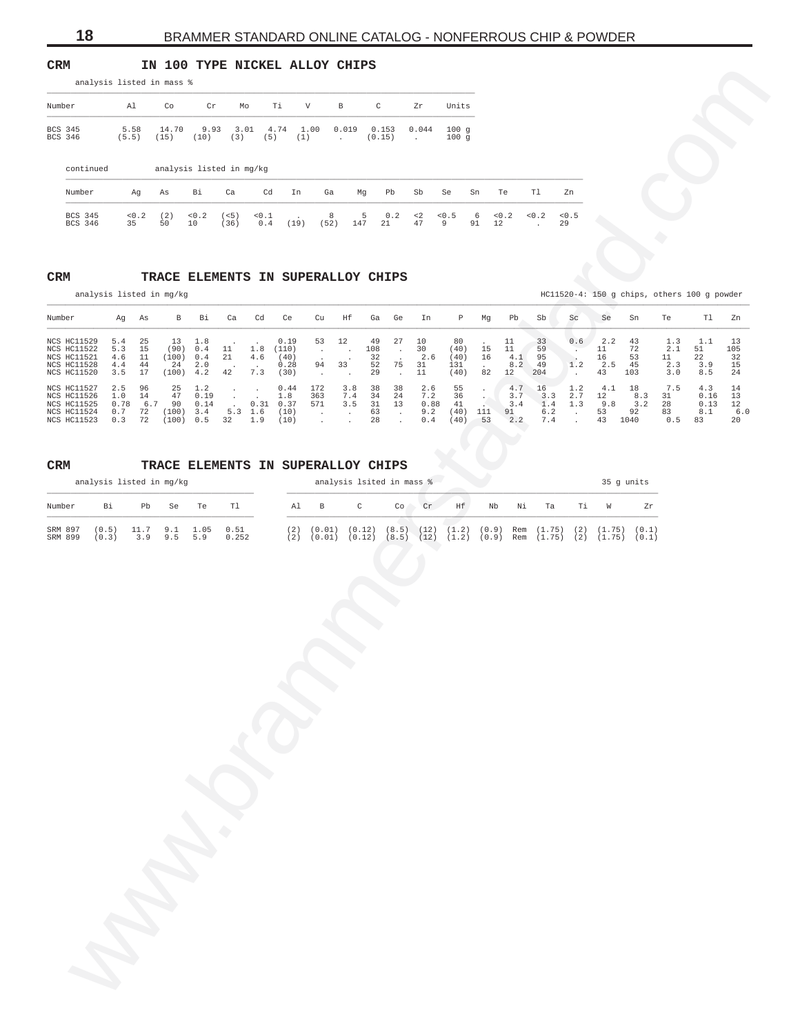<span id="page-17-0"></span>**CRM IN 100 TYPE NICKEL ALLOY CHIPS**

|                    |               | analysis listed in mass % |                          |             |             |             |                          |                 |                       |              |    |    |    |    |
|--------------------|---------------|---------------------------|--------------------------|-------------|-------------|-------------|--------------------------|-----------------|-----------------------|--------------|----|----|----|----|
| Number             | Al            | Co                        | Cr                       | Mo          | Ti.         | V           | $\mathbf{B}$             | C               | Zr                    | Units        |    |    |    |    |
| BCS 345<br>BCS 346 | 5.58<br>(5.5) | 14.70<br>(15)             | 9.93<br>(10)             | 3.01<br>(3) | 4.74<br>(5) | 1.00<br>(1) | 0.019<br><b>Contract</b> | 0.153<br>(0.15) | 0.044<br>$\mathbf{r}$ | 100q<br>100q |    |    |    |    |
| continued          |               |                           | analysis listed in mg/kg |             |             |             |                          |                 |                       |              |    |    |    |    |
| Number             | Aq            | As                        | Bi                       | Ca          | Cd          | In          | Ga                       | Pb<br>Mg        | Sb                    | Se           | Sn | Te | Tl | Zn |

# **CRM TRACE ELEMENTS IN SUPERALLOY CHIPS**

| Number<br>$\mathtt{C}$<br>Units<br>Al<br>Co<br>Cr<br>Mo<br>Τi<br>V<br>$\, {\bf B}$<br>Zr<br>BCS 345<br>5.58<br>14.70<br>9.93 3.01 4.74 1.00<br>$0.019$ $0.153$<br>0.044<br>100q<br>BCS 346<br>(3)<br>(5.5)<br>(15)<br>(10)<br>(5)<br>(1)<br>$\sim 10^{-10}$<br>(0.15)<br>100g<br><b>Contract</b><br>continued<br>analysis listed in mg/kg<br>Number<br>As<br>Bi<br>Ca<br>Cd<br>In<br>Pb<br>Sb<br>Te<br>Tl<br>Zn<br>Ag<br>Ga<br>Mg<br>Se<br>Sn<br>$<0.2$<br>(< 5)<br>$0.2 \le 2$<br>< 0.5<br>$<0.2$<br>< 0.2<br>< 0.5<br>BCS 345<br>$0.2$ (2)<br>< 0.1<br>8<br>-5<br>6<br>$\sim$<br>BCS 346<br>50<br>(36)<br>0.4<br>$(19)$ $(52)$<br>147<br>21<br>47<br>35<br>10<br>9<br>91<br>12<br>29<br>$\sim$ $\sim$<br>TRACE ELEMENTS IN SUPERALLOY CHIPS<br>analysis listed in mg/kg<br>HC11520-4: 150 g chips, others 100 g powder<br>Ag As<br>T1<br>B Bi<br>Ca<br>Cd<br>Ce<br>Cu<br>Hf<br>Ga Ge<br>In<br>P<br>Mg<br>Pb<br>Sb<br>Sc<br>Se<br>Sn<br>Te<br>NCS HC11529<br>5.4<br>25<br>13<br>1.8<br>0.19<br>53<br>12<br>49<br>27<br>10<br>80<br>11<br>33<br>0.6<br>2.2<br>43<br>1.3<br>1.1<br>13<br>NCS HC11522<br>5.3<br>15<br>(90)<br>0.4<br>11<br>1.8<br>30<br>11<br>72<br>(110)<br>108<br>(40)<br>15<br>59<br>11<br>2.1<br>51<br>$\mathcal{A}$<br>$\blacksquare$ .<br>$\sim$<br>$\cdot$<br>NCS HC11521<br>4.6<br>11<br>(100)<br>21<br>4.6<br>2.6<br>16<br>4.1<br>95<br>16<br>53<br>22<br>0.4<br>(40)<br>32<br>(40)<br>11<br>NCS HC11528<br>33<br>52<br>75<br>31<br>8.2<br>49<br>$1.2$<br>2.5<br>45<br>2.3<br>4.4<br>44<br>24<br>2.0<br>0.28<br>94<br>131<br>3.9<br>$\sim$<br>NCS HC11520<br>3.5<br>17<br>(100)<br>4.2<br>42<br>7.3<br>29<br>11<br>12<br>204<br>(30)<br>(40)<br>82<br>43<br>103<br>3.0<br>8.5<br>24<br>$\sim$<br>$\blacksquare$<br>$\blacksquare$ .<br>$\sim$<br>NCS HC11527<br>2.5<br>96<br>25<br>172<br>2.6<br>55<br>4.1<br>18<br>7.5<br>1.2<br>0.44<br>3.8<br>38<br>38<br>4.7<br>16<br>1.2<br>4.3<br>$\sim$<br>$\sim$ 100 $\pm$<br>$\cdot$<br>NCS HC11526<br>1.0<br>47<br>0.19<br>7.4<br>34<br>24<br>7.2<br>36<br>3.3<br>2.7<br>8.3<br>14<br>1.8<br>363<br>3.7<br>12<br>31<br>0.16<br>$\sim$<br>$\cdot$<br>0.78<br>6.7 90<br>0.14<br>$0.31$ $0.37$<br>571<br>3.5<br>31<br>13<br>0.88<br>41<br>1.4<br>9.8<br>3.2<br>28<br>NCS HC11525<br>3.4<br>1.3<br>0.13<br>$\sim$<br>$(100)$ 3.4<br>63<br>92<br>NCS HC11524<br>0.7<br>72<br>$5.3 \quad 1.6$<br>(10)<br>9.2<br>$(40)$ 111<br>91<br>6.2<br>53<br>83<br>8.1<br>$\sim 10^{-1}$<br>$\sim$<br>$\sim$<br>$\sim 100$<br>$(100)$ 0.5 32<br>1.9<br>28<br>$0.4\,$<br>7.4<br>43 1040<br>$0.5$ 83<br>NCS HC11523<br>0.3<br>72<br>(10)<br>(40)<br>53<br>2.2<br>$\sim$<br>$\sim$<br>$\sim$<br>$\sim$<br>TRACE ELEMENTS IN SUPERALLOY CHIPS<br>analysis listed in mg/kg<br>analysis lsited in mass %<br>35 g units<br>$\mathsf{C}$<br>$\operatorname{\sf Cr}$<br>Ηf<br>Bi<br>Pb<br>Se<br>Te<br>Tl<br>Al<br>$_{\rm B}$<br>Co<br>Nb<br>Νi<br>Ta<br>Τi<br>W<br>Zr<br>9.1<br>1.05<br>0.51<br>$(2)$ $(0.01)$ $(0.12)$ $(8.5)$ $(12)$ $(1.2)$ $(0.9)$ Rem $(1.75)$ $(2)$ $(1.75)$ $(0.1)$<br>(0.5)<br>11.7<br>9.5<br>0.252<br>$(2)$ $(0.01)$ $(0.12)$ $(8.5)$ $(12)$ $(1.2)$ $(0.9)$ Rem $(1.75)$ $(2)$ $(1.75)$ $(0.1)$<br>(0.3)<br>3.9<br>5.9 |                    | analysis listed in mass % |  |  |  |  |  |  |  |  |  |  |                 |
|----------------------------------------------------------------------------------------------------------------------------------------------------------------------------------------------------------------------------------------------------------------------------------------------------------------------------------------------------------------------------------------------------------------------------------------------------------------------------------------------------------------------------------------------------------------------------------------------------------------------------------------------------------------------------------------------------------------------------------------------------------------------------------------------------------------------------------------------------------------------------------------------------------------------------------------------------------------------------------------------------------------------------------------------------------------------------------------------------------------------------------------------------------------------------------------------------------------------------------------------------------------------------------------------------------------------------------------------------------------------------------------------------------------------------------------------------------------------------------------------------------------------------------------------------------------------------------------------------------------------------------------------------------------------------------------------------------------------------------------------------------------------------------------------------------------------------------------------------------------------------------------------------------------------------------------------------------------------------------------------------------------------------------------------------------------------------------------------------------------------------------------------------------------------------------------------------------------------------------------------------------------------------------------------------------------------------------------------------------------------------------------------------------------------------------------------------------------------------------------------------------------------------------------------------------------------------------------------------------------------------------------------------------------------------------------------------------------------------------------------------------------------------------------------------------------------------------------------------------------------------------------------------------------------------------------------------------------------------------------------------------------------------------------------------------------------------------------------------------------------------------------------------------------------------------------|--------------------|---------------------------|--|--|--|--|--|--|--|--|--|--|-----------------|
|                                                                                                                                                                                                                                                                                                                                                                                                                                                                                                                                                                                                                                                                                                                                                                                                                                                                                                                                                                                                                                                                                                                                                                                                                                                                                                                                                                                                                                                                                                                                                                                                                                                                                                                                                                                                                                                                                                                                                                                                                                                                                                                                                                                                                                                                                                                                                                                                                                                                                                                                                                                                                                                                                                                                                                                                                                                                                                                                                                                                                                                                                                                                                                                        |                    |                           |  |  |  |  |  |  |  |  |  |  |                 |
|                                                                                                                                                                                                                                                                                                                                                                                                                                                                                                                                                                                                                                                                                                                                                                                                                                                                                                                                                                                                                                                                                                                                                                                                                                                                                                                                                                                                                                                                                                                                                                                                                                                                                                                                                                                                                                                                                                                                                                                                                                                                                                                                                                                                                                                                                                                                                                                                                                                                                                                                                                                                                                                                                                                                                                                                                                                                                                                                                                                                                                                                                                                                                                                        |                    |                           |  |  |  |  |  |  |  |  |  |  |                 |
|                                                                                                                                                                                                                                                                                                                                                                                                                                                                                                                                                                                                                                                                                                                                                                                                                                                                                                                                                                                                                                                                                                                                                                                                                                                                                                                                                                                                                                                                                                                                                                                                                                                                                                                                                                                                                                                                                                                                                                                                                                                                                                                                                                                                                                                                                                                                                                                                                                                                                                                                                                                                                                                                                                                                                                                                                                                                                                                                                                                                                                                                                                                                                                                        |                    |                           |  |  |  |  |  |  |  |  |  |  |                 |
|                                                                                                                                                                                                                                                                                                                                                                                                                                                                                                                                                                                                                                                                                                                                                                                                                                                                                                                                                                                                                                                                                                                                                                                                                                                                                                                                                                                                                                                                                                                                                                                                                                                                                                                                                                                                                                                                                                                                                                                                                                                                                                                                                                                                                                                                                                                                                                                                                                                                                                                                                                                                                                                                                                                                                                                                                                                                                                                                                                                                                                                                                                                                                                                        |                    |                           |  |  |  |  |  |  |  |  |  |  |                 |
|                                                                                                                                                                                                                                                                                                                                                                                                                                                                                                                                                                                                                                                                                                                                                                                                                                                                                                                                                                                                                                                                                                                                                                                                                                                                                                                                                                                                                                                                                                                                                                                                                                                                                                                                                                                                                                                                                                                                                                                                                                                                                                                                                                                                                                                                                                                                                                                                                                                                                                                                                                                                                                                                                                                                                                                                                                                                                                                                                                                                                                                                                                                                                                                        |                    |                           |  |  |  |  |  |  |  |  |  |  |                 |
|                                                                                                                                                                                                                                                                                                                                                                                                                                                                                                                                                                                                                                                                                                                                                                                                                                                                                                                                                                                                                                                                                                                                                                                                                                                                                                                                                                                                                                                                                                                                                                                                                                                                                                                                                                                                                                                                                                                                                                                                                                                                                                                                                                                                                                                                                                                                                                                                                                                                                                                                                                                                                                                                                                                                                                                                                                                                                                                                                                                                                                                                                                                                                                                        |                    |                           |  |  |  |  |  |  |  |  |  |  |                 |
|                                                                                                                                                                                                                                                                                                                                                                                                                                                                                                                                                                                                                                                                                                                                                                                                                                                                                                                                                                                                                                                                                                                                                                                                                                                                                                                                                                                                                                                                                                                                                                                                                                                                                                                                                                                                                                                                                                                                                                                                                                                                                                                                                                                                                                                                                                                                                                                                                                                                                                                                                                                                                                                                                                                                                                                                                                                                                                                                                                                                                                                                                                                                                                                        | $\mathtt{CRM}$     |                           |  |  |  |  |  |  |  |  |  |  |                 |
|                                                                                                                                                                                                                                                                                                                                                                                                                                                                                                                                                                                                                                                                                                                                                                                                                                                                                                                                                                                                                                                                                                                                                                                                                                                                                                                                                                                                                                                                                                                                                                                                                                                                                                                                                                                                                                                                                                                                                                                                                                                                                                                                                                                                                                                                                                                                                                                                                                                                                                                                                                                                                                                                                                                                                                                                                                                                                                                                                                                                                                                                                                                                                                                        |                    |                           |  |  |  |  |  |  |  |  |  |  |                 |
|                                                                                                                                                                                                                                                                                                                                                                                                                                                                                                                                                                                                                                                                                                                                                                                                                                                                                                                                                                                                                                                                                                                                                                                                                                                                                                                                                                                                                                                                                                                                                                                                                                                                                                                                                                                                                                                                                                                                                                                                                                                                                                                                                                                                                                                                                                                                                                                                                                                                                                                                                                                                                                                                                                                                                                                                                                                                                                                                                                                                                                                                                                                                                                                        | Number             |                           |  |  |  |  |  |  |  |  |  |  | Zn              |
|                                                                                                                                                                                                                                                                                                                                                                                                                                                                                                                                                                                                                                                                                                                                                                                                                                                                                                                                                                                                                                                                                                                                                                                                                                                                                                                                                                                                                                                                                                                                                                                                                                                                                                                                                                                                                                                                                                                                                                                                                                                                                                                                                                                                                                                                                                                                                                                                                                                                                                                                                                                                                                                                                                                                                                                                                                                                                                                                                                                                                                                                                                                                                                                        |                    |                           |  |  |  |  |  |  |  |  |  |  | 105<br>32<br>15 |
|                                                                                                                                                                                                                                                                                                                                                                                                                                                                                                                                                                                                                                                                                                                                                                                                                                                                                                                                                                                                                                                                                                                                                                                                                                                                                                                                                                                                                                                                                                                                                                                                                                                                                                                                                                                                                                                                                                                                                                                                                                                                                                                                                                                                                                                                                                                                                                                                                                                                                                                                                                                                                                                                                                                                                                                                                                                                                                                                                                                                                                                                                                                                                                                        |                    |                           |  |  |  |  |  |  |  |  |  |  | 14<br>13        |
|                                                                                                                                                                                                                                                                                                                                                                                                                                                                                                                                                                                                                                                                                                                                                                                                                                                                                                                                                                                                                                                                                                                                                                                                                                                                                                                                                                                                                                                                                                                                                                                                                                                                                                                                                                                                                                                                                                                                                                                                                                                                                                                                                                                                                                                                                                                                                                                                                                                                                                                                                                                                                                                                                                                                                                                                                                                                                                                                                                                                                                                                                                                                                                                        |                    |                           |  |  |  |  |  |  |  |  |  |  | 12<br>6.0<br>20 |
|                                                                                                                                                                                                                                                                                                                                                                                                                                                                                                                                                                                                                                                                                                                                                                                                                                                                                                                                                                                                                                                                                                                                                                                                                                                                                                                                                                                                                                                                                                                                                                                                                                                                                                                                                                                                                                                                                                                                                                                                                                                                                                                                                                                                                                                                                                                                                                                                                                                                                                                                                                                                                                                                                                                                                                                                                                                                                                                                                                                                                                                                                                                                                                                        |                    |                           |  |  |  |  |  |  |  |  |  |  |                 |
|                                                                                                                                                                                                                                                                                                                                                                                                                                                                                                                                                                                                                                                                                                                                                                                                                                                                                                                                                                                                                                                                                                                                                                                                                                                                                                                                                                                                                                                                                                                                                                                                                                                                                                                                                                                                                                                                                                                                                                                                                                                                                                                                                                                                                                                                                                                                                                                                                                                                                                                                                                                                                                                                                                                                                                                                                                                                                                                                                                                                                                                                                                                                                                                        | $\mathtt{CRM}$     |                           |  |  |  |  |  |  |  |  |  |  |                 |
|                                                                                                                                                                                                                                                                                                                                                                                                                                                                                                                                                                                                                                                                                                                                                                                                                                                                                                                                                                                                                                                                                                                                                                                                                                                                                                                                                                                                                                                                                                                                                                                                                                                                                                                                                                                                                                                                                                                                                                                                                                                                                                                                                                                                                                                                                                                                                                                                                                                                                                                                                                                                                                                                                                                                                                                                                                                                                                                                                                                                                                                                                                                                                                                        | Number             |                           |  |  |  |  |  |  |  |  |  |  |                 |
|                                                                                                                                                                                                                                                                                                                                                                                                                                                                                                                                                                                                                                                                                                                                                                                                                                                                                                                                                                                                                                                                                                                                                                                                                                                                                                                                                                                                                                                                                                                                                                                                                                                                                                                                                                                                                                                                                                                                                                                                                                                                                                                                                                                                                                                                                                                                                                                                                                                                                                                                                                                                                                                                                                                                                                                                                                                                                                                                                                                                                                                                                                                                                                                        | SRM 897<br>SRM 899 |                           |  |  |  |  |  |  |  |  |  |  |                 |
|                                                                                                                                                                                                                                                                                                                                                                                                                                                                                                                                                                                                                                                                                                                                                                                                                                                                                                                                                                                                                                                                                                                                                                                                                                                                                                                                                                                                                                                                                                                                                                                                                                                                                                                                                                                                                                                                                                                                                                                                                                                                                                                                                                                                                                                                                                                                                                                                                                                                                                                                                                                                                                                                                                                                                                                                                                                                                                                                                                                                                                                                                                                                                                                        |                    |                           |  |  |  |  |  |  |  |  |  |  |                 |
|                                                                                                                                                                                                                                                                                                                                                                                                                                                                                                                                                                                                                                                                                                                                                                                                                                                                                                                                                                                                                                                                                                                                                                                                                                                                                                                                                                                                                                                                                                                                                                                                                                                                                                                                                                                                                                                                                                                                                                                                                                                                                                                                                                                                                                                                                                                                                                                                                                                                                                                                                                                                                                                                                                                                                                                                                                                                                                                                                                                                                                                                                                                                                                                        |                    |                           |  |  |  |  |  |  |  |  |  |  |                 |
|                                                                                                                                                                                                                                                                                                                                                                                                                                                                                                                                                                                                                                                                                                                                                                                                                                                                                                                                                                                                                                                                                                                                                                                                                                                                                                                                                                                                                                                                                                                                                                                                                                                                                                                                                                                                                                                                                                                                                                                                                                                                                                                                                                                                                                                                                                                                                                                                                                                                                                                                                                                                                                                                                                                                                                                                                                                                                                                                                                                                                                                                                                                                                                                        |                    |                           |  |  |  |  |  |  |  |  |  |  |                 |
|                                                                                                                                                                                                                                                                                                                                                                                                                                                                                                                                                                                                                                                                                                                                                                                                                                                                                                                                                                                                                                                                                                                                                                                                                                                                                                                                                                                                                                                                                                                                                                                                                                                                                                                                                                                                                                                                                                                                                                                                                                                                                                                                                                                                                                                                                                                                                                                                                                                                                                                                                                                                                                                                                                                                                                                                                                                                                                                                                                                                                                                                                                                                                                                        |                    |                           |  |  |  |  |  |  |  |  |  |  |                 |
|                                                                                                                                                                                                                                                                                                                                                                                                                                                                                                                                                                                                                                                                                                                                                                                                                                                                                                                                                                                                                                                                                                                                                                                                                                                                                                                                                                                                                                                                                                                                                                                                                                                                                                                                                                                                                                                                                                                                                                                                                                                                                                                                                                                                                                                                                                                                                                                                                                                                                                                                                                                                                                                                                                                                                                                                                                                                                                                                                                                                                                                                                                                                                                                        |                    |                           |  |  |  |  |  |  |  |  |  |  |                 |
|                                                                                                                                                                                                                                                                                                                                                                                                                                                                                                                                                                                                                                                                                                                                                                                                                                                                                                                                                                                                                                                                                                                                                                                                                                                                                                                                                                                                                                                                                                                                                                                                                                                                                                                                                                                                                                                                                                                                                                                                                                                                                                                                                                                                                                                                                                                                                                                                                                                                                                                                                                                                                                                                                                                                                                                                                                                                                                                                                                                                                                                                                                                                                                                        |                    |                           |  |  |  |  |  |  |  |  |  |  |                 |
|                                                                                                                                                                                                                                                                                                                                                                                                                                                                                                                                                                                                                                                                                                                                                                                                                                                                                                                                                                                                                                                                                                                                                                                                                                                                                                                                                                                                                                                                                                                                                                                                                                                                                                                                                                                                                                                                                                                                                                                                                                                                                                                                                                                                                                                                                                                                                                                                                                                                                                                                                                                                                                                                                                                                                                                                                                                                                                                                                                                                                                                                                                                                                                                        |                    |                           |  |  |  |  |  |  |  |  |  |  |                 |
|                                                                                                                                                                                                                                                                                                                                                                                                                                                                                                                                                                                                                                                                                                                                                                                                                                                                                                                                                                                                                                                                                                                                                                                                                                                                                                                                                                                                                                                                                                                                                                                                                                                                                                                                                                                                                                                                                                                                                                                                                                                                                                                                                                                                                                                                                                                                                                                                                                                                                                                                                                                                                                                                                                                                                                                                                                                                                                                                                                                                                                                                                                                                                                                        |                    |                           |  |  |  |  |  |  |  |  |  |  |                 |
|                                                                                                                                                                                                                                                                                                                                                                                                                                                                                                                                                                                                                                                                                                                                                                                                                                                                                                                                                                                                                                                                                                                                                                                                                                                                                                                                                                                                                                                                                                                                                                                                                                                                                                                                                                                                                                                                                                                                                                                                                                                                                                                                                                                                                                                                                                                                                                                                                                                                                                                                                                                                                                                                                                                                                                                                                                                                                                                                                                                                                                                                                                                                                                                        |                    |                           |  |  |  |  |  |  |  |  |  |  |                 |
|                                                                                                                                                                                                                                                                                                                                                                                                                                                                                                                                                                                                                                                                                                                                                                                                                                                                                                                                                                                                                                                                                                                                                                                                                                                                                                                                                                                                                                                                                                                                                                                                                                                                                                                                                                                                                                                                                                                                                                                                                                                                                                                                                                                                                                                                                                                                                                                                                                                                                                                                                                                                                                                                                                                                                                                                                                                                                                                                                                                                                                                                                                                                                                                        |                    |                           |  |  |  |  |  |  |  |  |  |  |                 |
|                                                                                                                                                                                                                                                                                                                                                                                                                                                                                                                                                                                                                                                                                                                                                                                                                                                                                                                                                                                                                                                                                                                                                                                                                                                                                                                                                                                                                                                                                                                                                                                                                                                                                                                                                                                                                                                                                                                                                                                                                                                                                                                                                                                                                                                                                                                                                                                                                                                                                                                                                                                                                                                                                                                                                                                                                                                                                                                                                                                                                                                                                                                                                                                        |                    |                           |  |  |  |  |  |  |  |  |  |  |                 |
|                                                                                                                                                                                                                                                                                                                                                                                                                                                                                                                                                                                                                                                                                                                                                                                                                                                                                                                                                                                                                                                                                                                                                                                                                                                                                                                                                                                                                                                                                                                                                                                                                                                                                                                                                                                                                                                                                                                                                                                                                                                                                                                                                                                                                                                                                                                                                                                                                                                                                                                                                                                                                                                                                                                                                                                                                                                                                                                                                                                                                                                                                                                                                                                        |                    |                           |  |  |  |  |  |  |  |  |  |  |                 |
|                                                                                                                                                                                                                                                                                                                                                                                                                                                                                                                                                                                                                                                                                                                                                                                                                                                                                                                                                                                                                                                                                                                                                                                                                                                                                                                                                                                                                                                                                                                                                                                                                                                                                                                                                                                                                                                                                                                                                                                                                                                                                                                                                                                                                                                                                                                                                                                                                                                                                                                                                                                                                                                                                                                                                                                                                                                                                                                                                                                                                                                                                                                                                                                        |                    |                           |  |  |  |  |  |  |  |  |  |  |                 |
|                                                                                                                                                                                                                                                                                                                                                                                                                                                                                                                                                                                                                                                                                                                                                                                                                                                                                                                                                                                                                                                                                                                                                                                                                                                                                                                                                                                                                                                                                                                                                                                                                                                                                                                                                                                                                                                                                                                                                                                                                                                                                                                                                                                                                                                                                                                                                                                                                                                                                                                                                                                                                                                                                                                                                                                                                                                                                                                                                                                                                                                                                                                                                                                        |                    |                           |  |  |  |  |  |  |  |  |  |  |                 |
|                                                                                                                                                                                                                                                                                                                                                                                                                                                                                                                                                                                                                                                                                                                                                                                                                                                                                                                                                                                                                                                                                                                                                                                                                                                                                                                                                                                                                                                                                                                                                                                                                                                                                                                                                                                                                                                                                                                                                                                                                                                                                                                                                                                                                                                                                                                                                                                                                                                                                                                                                                                                                                                                                                                                                                                                                                                                                                                                                                                                                                                                                                                                                                                        |                    |                           |  |  |  |  |  |  |  |  |  |  |                 |
|                                                                                                                                                                                                                                                                                                                                                                                                                                                                                                                                                                                                                                                                                                                                                                                                                                                                                                                                                                                                                                                                                                                                                                                                                                                                                                                                                                                                                                                                                                                                                                                                                                                                                                                                                                                                                                                                                                                                                                                                                                                                                                                                                                                                                                                                                                                                                                                                                                                                                                                                                                                                                                                                                                                                                                                                                                                                                                                                                                                                                                                                                                                                                                                        |                    |                           |  |  |  |  |  |  |  |  |  |  |                 |
|                                                                                                                                                                                                                                                                                                                                                                                                                                                                                                                                                                                                                                                                                                                                                                                                                                                                                                                                                                                                                                                                                                                                                                                                                                                                                                                                                                                                                                                                                                                                                                                                                                                                                                                                                                                                                                                                                                                                                                                                                                                                                                                                                                                                                                                                                                                                                                                                                                                                                                                                                                                                                                                                                                                                                                                                                                                                                                                                                                                                                                                                                                                                                                                        |                    |                           |  |  |  |  |  |  |  |  |  |  |                 |
|                                                                                                                                                                                                                                                                                                                                                                                                                                                                                                                                                                                                                                                                                                                                                                                                                                                                                                                                                                                                                                                                                                                                                                                                                                                                                                                                                                                                                                                                                                                                                                                                                                                                                                                                                                                                                                                                                                                                                                                                                                                                                                                                                                                                                                                                                                                                                                                                                                                                                                                                                                                                                                                                                                                                                                                                                                                                                                                                                                                                                                                                                                                                                                                        |                    |                           |  |  |  |  |  |  |  |  |  |  |                 |
|                                                                                                                                                                                                                                                                                                                                                                                                                                                                                                                                                                                                                                                                                                                                                                                                                                                                                                                                                                                                                                                                                                                                                                                                                                                                                                                                                                                                                                                                                                                                                                                                                                                                                                                                                                                                                                                                                                                                                                                                                                                                                                                                                                                                                                                                                                                                                                                                                                                                                                                                                                                                                                                                                                                                                                                                                                                                                                                                                                                                                                                                                                                                                                                        |                    |                           |  |  |  |  |  |  |  |  |  |  |                 |
|                                                                                                                                                                                                                                                                                                                                                                                                                                                                                                                                                                                                                                                                                                                                                                                                                                                                                                                                                                                                                                                                                                                                                                                                                                                                                                                                                                                                                                                                                                                                                                                                                                                                                                                                                                                                                                                                                                                                                                                                                                                                                                                                                                                                                                                                                                                                                                                                                                                                                                                                                                                                                                                                                                                                                                                                                                                                                                                                                                                                                                                                                                                                                                                        |                    |                           |  |  |  |  |  |  |  |  |  |  |                 |
|                                                                                                                                                                                                                                                                                                                                                                                                                                                                                                                                                                                                                                                                                                                                                                                                                                                                                                                                                                                                                                                                                                                                                                                                                                                                                                                                                                                                                                                                                                                                                                                                                                                                                                                                                                                                                                                                                                                                                                                                                                                                                                                                                                                                                                                                                                                                                                                                                                                                                                                                                                                                                                                                                                                                                                                                                                                                                                                                                                                                                                                                                                                                                                                        |                    |                           |  |  |  |  |  |  |  |  |  |  |                 |
|                                                                                                                                                                                                                                                                                                                                                                                                                                                                                                                                                                                                                                                                                                                                                                                                                                                                                                                                                                                                                                                                                                                                                                                                                                                                                                                                                                                                                                                                                                                                                                                                                                                                                                                                                                                                                                                                                                                                                                                                                                                                                                                                                                                                                                                                                                                                                                                                                                                                                                                                                                                                                                                                                                                                                                                                                                                                                                                                                                                                                                                                                                                                                                                        |                    |                           |  |  |  |  |  |  |  |  |  |  |                 |

### **CRM TRACE ELEMENTS IN SUPERALLOY CHIPS**

|                    | analysis listed in mg/kg |                           |         |    |       |            |                             | analysis lsited in mass % |                |              |                |             |    |                                |    | 35 q units                       |                |
|--------------------|--------------------------|---------------------------|---------|----|-------|------------|-----------------------------|---------------------------|----------------|--------------|----------------|-------------|----|--------------------------------|----|----------------------------------|----------------|
| Number             | Bi                       | Ph                        | Se      | Te | T1    | Al.        | $\overline{B}$              | C                         | Co             | Cr           | Hf             | Nb          | Ni | Ta                             | тi | W                                | Zr             |
| SRM 897<br>SRM 899 | (0.5)<br>(0.3)           | 11.7 9.1 1.05 0.51<br>3.9 | 9.5 5.9 |    | 0.252 | (2)<br>(2) | $(0.01)$ $(0.12)$<br>(0.01) | (0.12)                    | (8.5)<br>(8.5) | (12)<br>(12) | (1.2)<br>(1.2) | $(0.9)$ Rem |    | $(0.9)$ Rem $(1.75)$<br>(1.75) |    | $(2)$ $(1.75)$<br>$(2)$ $(1.75)$ | (0,1)<br>(0.1) |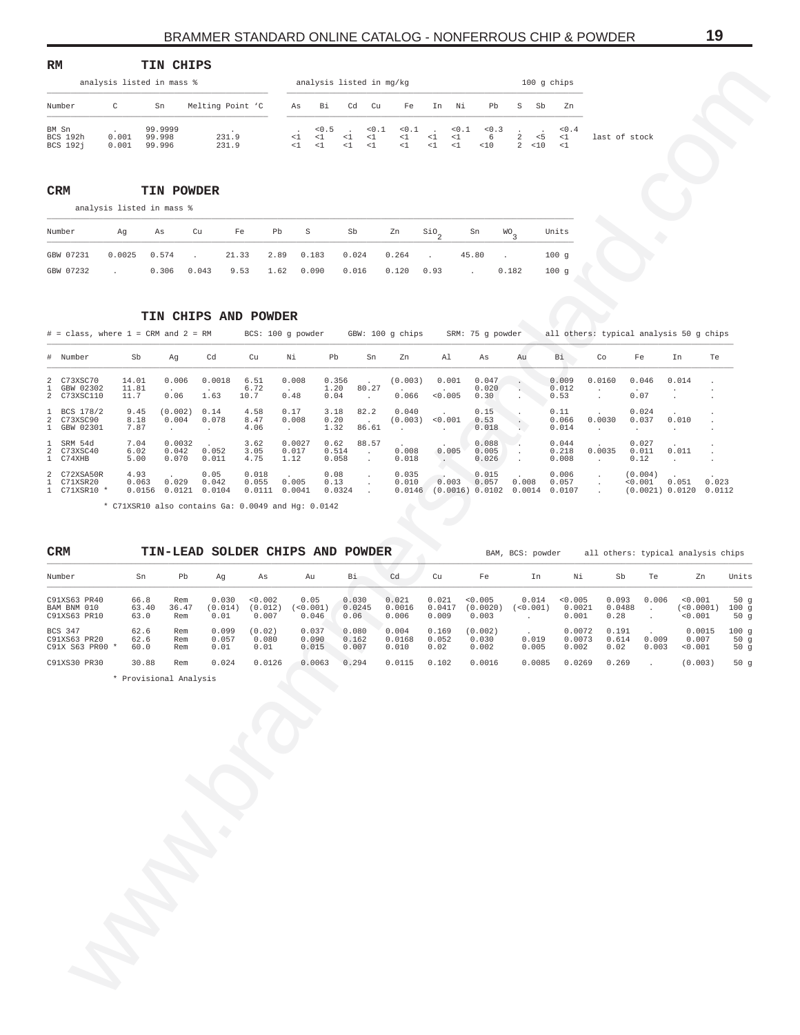<span id="page-18-0"></span>

| RM                                   |                           | TIN CHIPS                   |                  |                |                        |                          |                          |                   |                                 |                         |                    |                  |                |                   |               |
|--------------------------------------|---------------------------|-----------------------------|------------------|----------------|------------------------|--------------------------|--------------------------|-------------------|---------------------------------|-------------------------|--------------------|------------------|----------------|-------------------|---------------|
|                                      | analysis listed in mass % |                             |                  |                |                        |                          | analysis listed in mg/kg |                   |                                 |                         |                    |                  | $100$ q chips  |                   |               |
| Number                               | C                         | Sn                          | Melting Point 'C | As             | Bi                     | Cd                       | Cu                       | Fe                | In                              | Ni                      | Pb                 | S                | Sb             | Zn                |               |
| BM Sn<br>BCS 192h<br><b>BCS 1921</b> | 0.001<br>0.001            | 99.9999<br>99.998<br>99.996 | 231.9<br>231.9   | $\leq$ 1<br>-1 | < 0.5<br><1<br>$\lt$ 1 | $\sim$<br><1<br>$\leq$ 1 | < 0.1<br><1<br><1        | < 0.1<br><1<br><1 | $\sim$ $\sim$<br><1<br>$\leq$ 1 | < 0.1<br>$\leq 1$<br><1 | < 0.3<br>6<br>< 10 | 2<br>$2^{\circ}$ | $5 - 5$<br><10 | < 0.4<br><1<br><1 | last of stock |

# **CRM TIN POWDER**

| Number Ag As Cu Fe Pb S Sb Zn SiO <sub>2</sub> Sn WO <sub>2</sub> Units |  |  |  |  |  |  |
|-------------------------------------------------------------------------|--|--|--|--|--|--|
| GBW 07231 0.0025 0.574 . 21.33 2.89 0.183 0.024 0.264 . 45.80 . 100 g   |  |  |  |  |  |  |
| GBW 07232 . 0.306 0.043 9.53 1.62 0.090 0.016 0.120 0.93 . 0.182 100 g  |  |  |  |  |  |  |

# **TIN CHIPS AND POWDER**

|                                                               | analysis listed in mass %          | TTIA CITTLE                   |                                        |                           |                         |                            | analysis listed in mg/kg                       |                             |                                         |                                                          |                                             | 100 g chips               |                               |                                                   |                                 |                    |
|---------------------------------------------------------------|------------------------------------|-------------------------------|----------------------------------------|---------------------------|-------------------------|----------------------------|------------------------------------------------|-----------------------------|-----------------------------------------|----------------------------------------------------------|---------------------------------------------|---------------------------|-------------------------------|---------------------------------------------------|---------------------------------|--------------------|
| Number                                                        | C                                  | Sn                            | Melting Point 'C                       |                           | As                      | Βi                         | Cd<br>Cu                                       | Fe                          | Νi<br>In                                | Pb                                                       | S<br>Sb                                     | Zn                        |                               |                                                   |                                 |                    |
| BM Sn<br>BCS 192h<br><b>BCS 192j</b>                          | 0.001<br>0.001                     | 99.9999<br>99.998<br>99.996   | 231.9<br>231.9                         |                           | $\leq 1$<br><1          | < 0.5<br>< 1<br>$\leq 1$   | 0.1<br>$\leq 1$<br>$\leq 1$<br>< 1<br>$\leq 1$ | 0.1<br>$\leq 1$<br>$\leq 1$ | 0.1<br>${<}\,1$<br><1<br>$\!<\!1$<br><1 | 0.3<br>6<br>< 10                                         | $\overline{c}$<br>< 5<br>$2^{\circ}$<br><10 | $<0.4$<br><1<br><1        |                               | last of stock                                     |                                 |                    |
| CRM                                                           | analysis listed in mass %          | TIN POWDER                    |                                        |                           |                         |                            |                                                |                             |                                         |                                                          |                                             |                           |                               |                                                   |                                 |                    |
| Number                                                        | Ag                                 | As                            | Cu                                     | Pb<br>Fe                  | S                       |                            | Sb                                             | Zn                          | $\overline{S10}$                        | Sn                                                       | WO <sub>3</sub>                             | Units                     |                               |                                                   |                                 |                    |
| GBW 07231<br>GBW 07232                                        | 0.0025<br>$\mathbf{r}$             | 0.574<br>0.306                | 21.33<br>$\ddot{\phantom{a}}$<br>0.043 | 2.89<br>9.53<br>1.62      |                         | 0.183<br>0.090             | 0.024<br>0.016                                 | 0.264<br>0.120              | $\cdot$<br>0.93                         | 45.80                                                    | $\cdot$<br>0.182                            | 100g<br>100g              |                               |                                                   |                                 |                    |
| $#$ = class, where $1$ = CRM and $2$ = RM                     |                                    |                               | TIN CHIPS AND POWDER                   | BCS: 100 g powder         |                         |                            |                                                | GBW: 100 g chips            |                                         | SRM: 75 g powder                                         |                                             |                           |                               | all others: typical analysis 50 g chips           |                                 |                    |
| # Number                                                      | Sb                                 | Αg                            | Cd                                     | Cu                        | Νi                      | Pb                         | Sn                                             | Zn                          | Al                                      | As                                                       | Au                                          | Вi                        | Co                            | Fe                                                | In                              | Te                 |
| C73XSC70<br>2<br>GBW 02302<br>1<br>2<br>C73XSC110             | 14.01<br>11.81<br>11.7             | 0.006<br>0.06                 | 0.0018<br>1.63                         | 6.51<br>6.72<br>10.7      | 0.008<br>0.48           | 0.356<br>1.20<br>0.04      | 80.27<br>$\cdot$                               | (0.003)<br>0.066            | 0.001<br>0.005                          | 0.047<br>0.020<br>0.30                                   |                                             | 0.009<br>0.012<br>0.53    | 0.0160                        | 0.046<br>0.07                                     | 0.014                           |                    |
| BCS 178/2<br>л.<br>C73XSC90<br>2<br>$\mathbf{1}$<br>GBW 02301 | 9.45<br>8.18<br>7.87               | (0.002)<br>0.004<br>$\cdot$   | 0.14<br>0.078<br>$\cdot$               | 4.58<br>8.47<br>4.06      | 0.17<br>0.008<br>$\sim$ | 3.18<br>0.20<br>1.32       | 82.2<br>$\ddot{\phantom{1}}$<br>86.61          | 0.040<br>(0.003)<br>$\cdot$ | < 0.001<br>$\ddot{\phantom{a}}$         | 0.15<br>0.53<br>0.018                                    |                                             | 0.11<br>0.066<br>0.014    | 0.0030                        | 0.024<br>0.037<br>$\cdot$                         | 0.010<br>$\cdot$                |                    |
| SRM 54d<br>$\mathbf{1}$<br>2<br>C73XSC40<br>1 C74XHB          | 7.04<br>6.02<br>5.00               | 0.0032<br>0.042<br>0.070      | 0.052<br>0.011                         | 3.62<br>3.05<br>4.75      | 0.0027<br>0.017<br>1.12 | 0.62<br>0.514<br>0.058     | 88.57<br>$\ddot{\phantom{a}}$<br>$\cdot$       | 0.008<br>0.018              | 0.005<br>$\cdot$                        | 0.088<br>0.005<br>0.026                                  | $\ddot{\phantom{a}}$                        | 0.044<br>0.218<br>0.008   | 0.0035<br>$\cdot$             | 0.027<br>0.011<br>0.12                            | 0.011<br>$\cdot$                |                    |
| C72XSA50R<br>2<br>1 C71XSR20<br>1 C71XSR10 *                  | 4.93<br>0.063<br>0.0156            | 0.029                         | 0.05<br>0.042<br>$0.0121$ $0.0104$     | 0.018<br>0.055<br>0.0111  | 0.005<br>0.0041         | 0.08<br>0.13<br>0.0324     | $\cdot$<br>$\cdot$<br>$\cdot$                  | 0.035<br>0.010              | 0.003                                   | 0.015<br>0.057<br>$0.0146$ (0.0016) 0.0102 0.0014 0.0107 | 0.008                                       | 0.006<br>0.057            | $\cdot$<br>$\cdot$<br>$\cdot$ | (0.004)<br>0.001                                  | 0.051<br>(0.0021) 0.0120 0.0112 | 0.023              |
| CRM<br>Number                                                 | Sn                                 | Pb                            | TIN-LEAD SOLDER CHIPS AND POWDER<br>Αg | As                        |                         | Au                         | Bi.                                            | Cd                          | Cu                                      | Fe                                                       | BAM, BCS: powder<br>In                      | Νi                        |                               | all others: typical analysis chips<br>Sb<br>Te    | Zn                              | Units              |
| C91XS63 PR40<br>BAM BNM 010<br>C91XS63 PR10                   | 66.8<br>63.40<br>63.0              | Rem<br>36.47<br>Rem           | 0.030<br>(0.014)<br>0.01               | 0.002<br>(0.012)<br>0.007 |                         | 0.05<br>(< 0.001)<br>0.046 | 0.030<br>0.0245<br>0.06                        | 0.021<br>0.0016<br>0.006    | 0.021<br>0.0417<br>0.009                | < 0.005<br>(0.0020)<br>0.003                             | 0.014<br>(< 0.001)<br>$\cdot$               | 0.005<br>0.0021<br>0.001  | 0.093<br>0.28                 | 0.006<br>0.0488<br>$\sim$<br>$\ddot{\phantom{0}}$ | < 0.001<br>(<0.0001)<br>0.001   | 50g<br>100g<br>50g |
| BCS 347<br>C91XS63 PR20<br>C91X S63 PR00                      | 62.6<br>62.6<br>$^{\star}$<br>60.0 | Rem<br>Rem<br>Rem             | 0.099<br>0.057<br>0.01                 | (0.02)<br>0.080<br>0.01   |                         | 0.037<br>0.090<br>0.015    | 0.080<br>0.162<br>0.007                        | 0.004<br>0.0168<br>0.010    | 0.169<br>0.052<br>0.02                  | (0.002)<br>0.030<br>0.002                                | 0.019<br>0.005                              | 0.0072<br>0.0073<br>0.002 | 0.191<br>0.614<br>0.02        | 0.009<br>0.003                                    | 0.0015<br>0.007<br>< 0.001      | 100g<br>50g<br>50g |
| C91XS30 PR30                                                  | 30.88                              | Rem<br>* Provisional Analysis | 0.024                                  | 0.0126                    |                         | 0.0063                     | 0.294                                          | 0.0115                      | 0.102                                   | 0.0016                                                   | 0.0085                                      | 0.0269                    | 0.269                         |                                                   | (0.003)                         | 50g                |
|                                                               |                                    |                               |                                        |                           |                         |                            |                                                |                             |                                         |                                                          |                                             |                           |                               |                                                   |                                 |                    |

| <b>CRM</b>                                        |                       |                     |                          |                             | TIN-LEAD SOLDER CHIPS AND | POWDER                  |                          |                          |                              | BAM, BCS: powder    |                            |                         |                | all others: typical analysis chips |                          |
|---------------------------------------------------|-----------------------|---------------------|--------------------------|-----------------------------|---------------------------|-------------------------|--------------------------|--------------------------|------------------------------|---------------------|----------------------------|-------------------------|----------------|------------------------------------|--------------------------|
| Number                                            | Sn                    | Pb                  | Αq                       | As                          | Au                        | Bi                      | Cd                       | Cu                       | Fe                           | In                  | Νi                         | Sb                      | Te             | Zn                                 | Units                    |
| C91XS63 PR40<br>BAM BNM 010<br>C91XS63 PR10       | 66.8<br>63.40<br>63.0 | Rem<br>36.47<br>Rem | 0.030<br>(0.014)<br>0.01 | < 0.002<br>(0.012)<br>0.007 | 0.05<br>< 0.001<br>0.046  | 0.030<br>0.0245<br>0.06 | 0.021<br>0.0016<br>0.006 | 0.021<br>0.0417<br>0.009 | < 0.005<br>(0.0020)<br>0.003 | 0.014<br>( < 0.001) | < 0.005<br>0.0021<br>0.001 | 0.093<br>0.0488<br>0.28 | 0.006          | < 0.001<br>(<0.0001)<br>< 0.001    | 50 $q$<br>100q<br>50 $q$ |
| <b>BCS 347</b><br>C91XS63 PR20<br>C91X S63 PR00 * | 62.6<br>62.6<br>60.0  | Rem<br>Rem<br>Rem   | 0.099<br>0.057<br>0.01   | (0.02)<br>0.080<br>0.01     | 0.037<br>0.090<br>0.015   | 0.080<br>0.162<br>0.007 | 0.004<br>0.0168<br>0.010 | 0.169<br>0.052<br>0.02   | (0.002)<br>0.030<br>0.002    | 0.019<br>0.005      | 0.0072<br>0.0073<br>0.002  | 0.191<br>0.614<br>0.02  | 0.009<br>0.003 | 0.0015<br>0.007<br>< 0.001         | 100q<br>50 $q$<br>50 $q$ |
| C91XS30 PR30                                      | 30.88                 | Rem                 | 0.024                    | 0.0126                      | 0.0063                    | 0.294                   | 0.0115                   | 0.102                    | 0.0016                       | 0.0085              | 0.0269                     | 0.269                   |                | (0.003)                            | 50 $q$                   |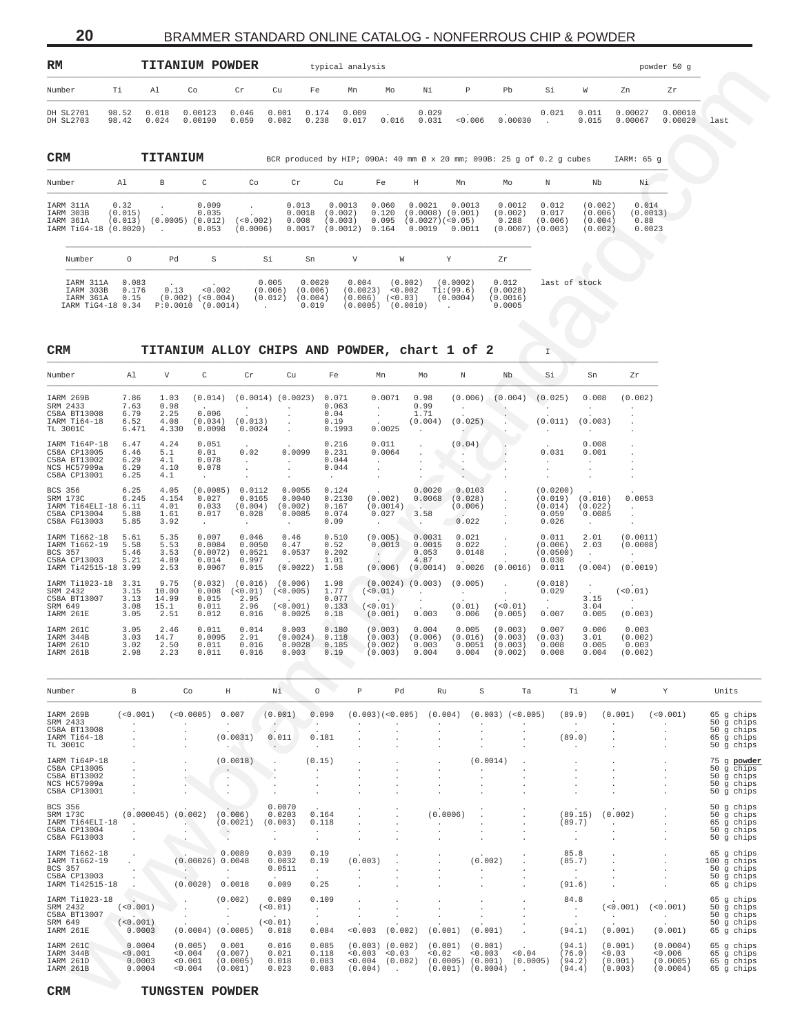20

# BRAMMER STANDARD ONLINE CATALOG - NONFERROUS CHIP & POWDER

<span id="page-19-0"></span>

| RM                                                           |                                             | <b>TITANIUM POWDER</b>        |                                    |                                               |                                       | typical analysis                         |                                  |                                                                         |                                             |                                                                       |                                      |                                          |                                     | powder 50 g        |      |
|--------------------------------------------------------------|---------------------------------------------|-------------------------------|------------------------------------|-----------------------------------------------|---------------------------------------|------------------------------------------|----------------------------------|-------------------------------------------------------------------------|---------------------------------------------|-----------------------------------------------------------------------|--------------------------------------|------------------------------------------|-------------------------------------|--------------------|------|
| Number                                                       | Τi                                          | Al                            | Co                                 | Cr<br>Cu                                      | Fe                                    | Mn                                       | Mo                               | Νi                                                                      | Р                                           | Pb                                                                    | Si                                   | W                                        | Zn                                  | Zr                 |      |
| DH SL2701<br>DH SL2703                                       | 98.52<br>98.42                              | 0.018<br>0.024                | 0.00123<br>0.00190                 | 0.046<br>0.001<br>0.002<br>0.059              | 0.174<br>0.238                        | 0.009<br>0.017                           | $\cdot$<br>0.016                 | 0.029<br>0.031                                                          | $\ddot{\phantom{a}}$<br>< 0.006             | $\ddot{\phantom{0}}$<br>0.00030                                       | 0.021<br>$\sim$                      | 0.011<br>0.015                           | 0.00027<br>0.00067                  | 0.00010<br>0.00020 | last |
| CRM                                                          |                                             | TITANIUM                      |                                    |                                               |                                       |                                          |                                  |                                                                         |                                             | BCR produced by HIP; 090A: 40 mm Ø x 20 mm; 090B: 25 q of 0.2 q cubes |                                      |                                          | IARM: 65 g                          |                    |      |
| Number                                                       | Al                                          | В                             | C                                  | Co                                            | Cr                                    | Cu                                       | Fe                               | Η                                                                       | Mn                                          | Mо                                                                    | N                                    | Nb                                       | Νi                                  |                    |      |
| IARM 311A<br>IARM 303B<br>IARM 361A<br>IARM TiG4-18 (0.0020) | 0.32<br>(0.015)<br>(0.013)                  | $\cdot$<br>(0.0005)<br>$\sim$ | 0.009<br>0.035<br>(0.012)<br>0.053 | $\ddot{\phantom{a}}$<br>$(0.002)$<br>(0.0006) | 0.013<br>0.0018<br>0.008<br>0.0017    | 0.0013<br>(0.002)<br>(0.003)<br>(0.0012) | 0.060<br>0.120<br>0.095<br>0.164 | 0.0021<br>$(0.0008)$ $(0.001)$<br>(0.0027)( <sub>0.05</sub> )<br>0.0019 | 0.0013<br>0.0011                            | 0.0012<br>(0.002)<br>0.288<br>(0.0007)                                | 0.012<br>0.017<br>(0.006)<br>(0.003) | (0.002)<br>(0.006)<br>(0.004)<br>(0.002) | 0.014<br>(0.0013)<br>0.88<br>0.0023 |                    |      |
| Number                                                       | $\circ$                                     | Pd                            | S                                  | Si                                            | Sn                                    | V                                        |                                  | W                                                                       | Y                                           | Zr                                                                    |                                      |                                          |                                     |                    |      |
| IARM 311A<br>IARM 303B<br>IARM 361A                          | 0.083<br>0.176<br>0.15<br>IARM TiG4-18 0.34 | 0.13<br>(0.002)<br>P:0.0010   | < 0.002<br>$< 0.004$ )<br>(0.0014) | 0.005<br>(0.006)<br>(0.012)<br>$\cdot$        | 0.0020<br>(0.006)<br>(0.004)<br>0.019 | 0.004<br>(0.0023)<br>(0.006)<br>(0.0005) |                                  | (0.002)<br>< 0.002<br>$< 0.03$ )<br>(0.0010)                            | (0.0002)<br>Ti:(99.6)<br>(0.0004)<br>$\sim$ | 0.012<br>(0.0028)<br>(0.0016)<br>0.0005                               | last of stock                        |                                          |                                     |                    |      |

 $\bar{\mathbb{I}}$ 

 $\texttt{CRM}$ 

 $\ensuremath{\mathsf{CRM}}$ 

TITANIUM ALLOY CHIPS AND POWDER, chart 1 of 2

| Number                                                                                   | Al                                    | $\mathbf{V}$                           | C                                                       | Cr                                                        | Cu                                              | Fe                                                           | Mn                                                               | Mo                                             | N                                                          | Nb                                       | Si                                               | Sn                                             | Zr                                                 |
|------------------------------------------------------------------------------------------|---------------------------------------|----------------------------------------|---------------------------------------------------------|-----------------------------------------------------------|-------------------------------------------------|--------------------------------------------------------------|------------------------------------------------------------------|------------------------------------------------|------------------------------------------------------------|------------------------------------------|--------------------------------------------------|------------------------------------------------|----------------------------------------------------|
| IARM 269B<br>SRM 2433<br>C58A BT13008<br>IARM Ti64-18<br>TL 3001C                        | 7.86<br>7.63<br>6.79<br>6.52<br>6.471 | 1.03<br>0.98<br>2.25<br>4.08<br>4.330  | (0.014)<br><b>Service</b><br>0.006<br>(0.034)<br>0.0098 | $\ddot{\phantom{a}}$<br>$\mathbf{r}$<br>(0.013)<br>0.0024 | $(0.0014)$ $(0.0023)$                           | 0.071<br>0.063<br>0.04<br>0.19<br>0.1993                     | 0.0071<br>$\mathbf{r}$<br>$\mathbf{r}$<br>0.0025                 | 0.98<br>0.99<br>1.71<br>(0.004)<br>$\Delta$    | (0.006)<br>(0.025)                                         | (0.004)                                  | (0.025)<br>(0.011)                               | 0.008<br>(0.003)                               | (0.002)                                            |
| IARM Ti64P-18<br>C58A CP13005<br>C58A BT13002<br>NCS HC57909a<br>C58A CP13001            | 6.47<br>6.46<br>6.29<br>6.29<br>6.25  | 4.24<br>5.1<br>4.1<br>4.10<br>4.1      | 0.051<br>0.01<br>0.078<br>0.078<br>$\sim$               | $\sim$<br>0.02<br>$\mathbf{r}$                            | 0.0099                                          | 0.216<br>0.231<br>0.044<br>0.044<br><b>Contract Contract</b> | 0.011<br>0.0064<br>$\sim$<br>$\sim$<br>$\ddot{\phantom{0}}$      |                                                | (0.04)                                                     |                                          | $\sim$<br>0.031                                  | 0.008<br>0.001                                 |                                                    |
| <b>BCS 356</b><br>SRM 173C<br>IARM T164ELI-18<br>C58A CP13004<br>C58A FG13003            | 6.25<br>6.245<br>6.11<br>5.88<br>5.85 | 4.05<br>4.154<br>4.01<br>1.61<br>3.92  | (0.0085)<br>0.027<br>0.033<br>0.017<br>$\sim$           | 0.0112<br>0.0165<br>(0.004)<br>0.028<br><b>Service</b>    | 0.0055<br>0.0040<br>(0.002)<br>0.0085<br>$\sim$ | 0.124<br>0.2130<br>0.167<br>0.074<br>0.09                    | $\sim$ 100 $\pm$<br>(0.002)<br>(0.0014)<br>0.027<br>$\mathbf{L}$ | 0.0020<br>0.0068<br>Value of<br>3.58<br>$\sim$ | 0.0103<br>(0.028)<br>(0.006)<br>$\sim$<br>0.022            |                                          | (0.0200)<br>(0.019)<br>(0.014)<br>0.059<br>0.026 | (0.010)<br>(0.022)<br>0.0085<br>$\sim$         | 0.0053<br>$\ddot{\phantom{0}}$                     |
| IARM T1662-18<br>IARM T1662-19<br><b>BCS 357</b><br>C58A CP13003<br>IARM T142515-18 3.99 | 5.61<br>5.58<br>5.46<br>5.21          | 5.35<br>5.53<br>3.53<br>4.89<br>2.53   | 0.007<br>0.0084<br>(0.0072)<br>0.014<br>0.0067          | 0.046<br>0.0050<br>0.0521<br>0.997<br>0.015               | 0.46<br>0.47<br>0.0537<br>$\sim$<br>(0.0022)    | 0.510<br>0.52<br>0.202<br>1.01<br>1.58                       | (0.005)<br>0.0013<br>$\sim$<br>(0.006)                           | 0.0031<br>0.0015<br>0.053<br>4.87<br>(0.0014)  | 0.021<br>0.022<br>0.0148<br>$\ddot{\phantom{a}}$<br>0.0026 | (0.0016)                                 | 0.011<br>(0.006)<br>(0.0500)<br>0.038<br>0.011   | 2.01<br>2.03<br>$\mathcal{L}^{\pm}$<br>(0.004) | (0.0011)<br>(0.0008)<br><b>Service</b><br>(0.0019) |
| IARM Ti1023-18<br>SRM 2432<br>C58A BT13007<br>SRM 649<br>IARM 261E                       | 3.31<br>3.15<br>3.13<br>3.08<br>3.05  | 9.75<br>10.00<br>14.99<br>15.1<br>2.51 | (0.032)<br>0.008<br>0.015<br>0.011<br>0.012             | (0.016)<br>(<0.01)<br>2.95<br>2.96<br>0.016               | (0.006)<br>(<0.005)<br>(<0.001)<br>0.0025       | 1.98<br>1.77<br>0.077<br>0.133<br>0.18                       | $(0.0024)$ $(0.003)$<br>(<0.01)<br>(< 0.01)<br>(0.001)           | $\mathbf{r}$<br>0.003                          | (0.005)<br>$\cdot$<br>(0.01)<br>0.006                      | $\mathbf{r}$<br>(< 0.01)<br>(0.005)      | (0.018)<br>0.029<br>$\sim$<br>0.007              | $\ddot{\phantom{a}}$<br>3.15<br>3.04<br>0.005  | (<0.01)<br>(0.003)                                 |
| IARM 261C<br>IARM 344B<br>IARM 261D<br>IARM 261B                                         | 3.05<br>3.03<br>3.02<br>2.98          | 2.46<br>14.7<br>2.50<br>2.23           | 0.011<br>0.0095<br>0.011<br>0.011                       | 0.014<br>2.91<br>0.016<br>0.016                           | 0.003<br>(0.0024)<br>0.0028<br>0.003            | 0.180<br>0.118<br>0.185<br>0.19                              | (0.003)<br>(0.003)<br>(0.002)<br>(0.003)                         | 0.004<br>(0.006)<br>0.003<br>0.004             | 0.005<br>(0.016)<br>0.0051<br>0.004                        | (0.003)<br>(0.003)<br>(0.003)<br>(0.002) | 0.007<br>(0.03)<br>0.008<br>0.008                | 0.006<br>3.01<br>0.005<br>0.004                | 0.003<br>(0.002)<br>0.003<br>(0.002)               |

| Number                                                                              | В                                     | Co                                     | Н                                       | Νi                                     | 0                                 | P                             | Pd                                       | Ru                                       | S                                         | Ta                   | Τi                                   | W                                       | Y                                           | Units                                                               |
|-------------------------------------------------------------------------------------|---------------------------------------|----------------------------------------|-----------------------------------------|----------------------------------------|-----------------------------------|-------------------------------|------------------------------------------|------------------------------------------|-------------------------------------------|----------------------|--------------------------------------|-----------------------------------------|---------------------------------------------|---------------------------------------------------------------------|
| IARM 269B<br>SRM 2433<br>C58A BT13008<br>IARM Ti64-18<br>TL 3001C                   | (< 0.001)                             | (< 0.0005)                             | 0.007<br>(0.0031)                       | (0.001)<br>0.011                       | 0.090<br>0.181                    |                               | (0.003)( <sub>0.005</sub> )              | (0.004)                                  |                                           | $(0.003)$ $(<0.005)$ | (89.9)<br>(89.0)                     | (0.001)                                 | (< 0.001)                                   | 65 q chips<br>50 q chips<br>50 q chips<br>65 q chips<br>50 q chips  |
| IARM T164P-18<br>C58A CP13005<br>C58A BT13002<br>NCS HC57909a<br>C58A CP13001       |                                       |                                        | (0.0018)                                |                                        | (0.15)                            |                               |                                          |                                          | (0.0014)                                  |                      |                                      |                                         |                                             | 75 g powder<br>50 g chips<br>50 g chips<br>50 g chips<br>50 g chips |
| <b>BCS 356</b><br>SRM 173C<br>IARM Ti64ELI-18<br>C58A CP13004<br>C58A FG13003       | (0.000045)                            | (0.002)                                | (0.006)<br>(0.0021)                     | 0.0070<br>0.0203<br>(0.003)            | 0.164<br>0.118                    |                               |                                          | (0.0006)                                 |                                           |                      | (89.15)<br>(89.7)                    | (0.002)                                 |                                             | 50 g chips<br>50 q chips<br>65 q chips<br>50 g chips<br>50 g chips  |
| IARM T1662-18<br>IARM T1662-19<br><b>BCS 357</b><br>C58A CP13003<br>IARM T142515-18 |                                       | (0.00026)<br>(0.0020)                  | 0.0089<br>0.0048<br>0.0018              | 0.039<br>0.0032<br>0.0511<br>0.009     | 0.19<br>0.19<br>$\lambda$<br>0.25 | (0.003)                       |                                          |                                          | (0.002)                                   |                      | 85.8<br>(85.7)<br>(91.6)             |                                         |                                             | 65 g chips<br>100 g chips<br>50 g chips<br>50 q chips<br>65 q chips |
| IARM Ti1023-18<br>SRM 2432<br>C58A BT13007<br>SRM 649<br>IARM 261E                  | (< 0.001)<br>(<0.001)<br>0.0003       | $(0.0004)$ $(0.0005)$                  | (0.002)                                 | 0.009<br>( < 0.01)<br>(<0.01)<br>0.018 | 0.109<br>0.084                    | < 0.003                       | (0.002)                                  | (0.001)                                  | (0.001)                                   |                      | 84.8<br>(94.1)                       | ( < 0.001)<br>(0.001)                   | (< 0.001)<br>(0.001)                        | 65 g chips<br>50 g chips<br>50 g chips<br>50 q chips<br>65 g chips  |
| IARM 261C<br>IARM 344B<br>IARM 261D<br>IARM 261B                                    | 0.0004<br>< 0.001<br>0.0003<br>0.0004 | (0.005)<br>< 0.004<br>< 0.001<br>0.004 | 0.001<br>(0.007)<br>(0.0005)<br>(0.001) | 0.016<br>0.021<br>0.018<br>0.023       | 0.085<br>0.118<br>0.083<br>0.083  | < 0.003<br>< 0.004<br>(0.004) | $(0.003)$ $(0.002)$<br>< 0.03<br>(0.002) | (0.001)<br>< 0.02<br>(0.0005)<br>(0.001) | (0.001)<br>< 0.003<br>(0.001)<br>(0.0004) | < 0.04<br>(0.0005)   | (94.1)<br>(76.0)<br>(94.2)<br>(94.4) | (0.001)<br>< 0.03<br>(0.001)<br>(0.003) | (0.0004)<br>< 0.006<br>(0.0005)<br>(0.0004) | 65 g chips<br>65 q chips<br>65 g chips<br>65 q chips                |

TUNGSTEN POWDER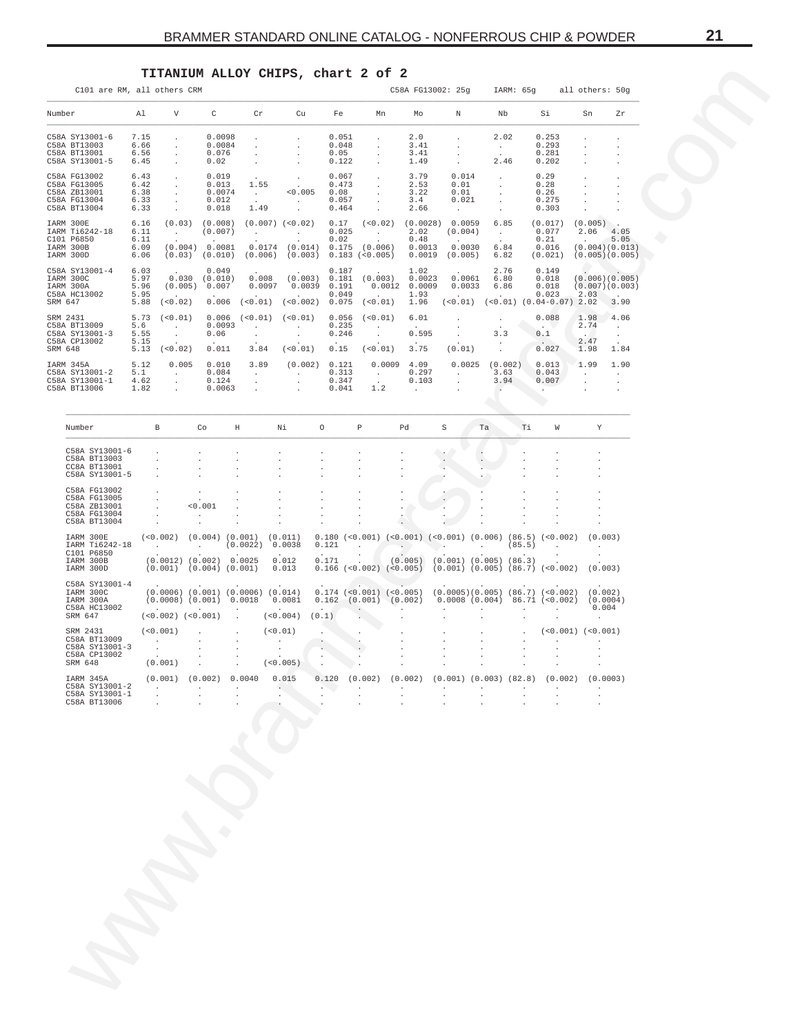# **TITANIUM ALLOY CHIPS, chart 2 of 2**

<span id="page-20-0"></span>

|                                                                              |                                      | TITANIUM ALLOY CHIPS, chart 2 of 2                                                                                            |                                                         |                                                             |                                                                                                                            |                                          |                                                                   |                                                 |                                                                           |                                                                                                                                                                                   |                                                                                                |                                          |                                             |  |  |
|------------------------------------------------------------------------------|--------------------------------------|-------------------------------------------------------------------------------------------------------------------------------|---------------------------------------------------------|-------------------------------------------------------------|----------------------------------------------------------------------------------------------------------------------------|------------------------------------------|-------------------------------------------------------------------|-------------------------------------------------|---------------------------------------------------------------------------|-----------------------------------------------------------------------------------------------------------------------------------------------------------------------------------|------------------------------------------------------------------------------------------------|------------------------------------------|---------------------------------------------|--|--|
| C101 are RM, all others CRM                                                  |                                      |                                                                                                                               |                                                         |                                                             |                                                                                                                            |                                          |                                                                   |                                                 |                                                                           | C58A FG13002: 25g IARM: 65g all others: 50g                                                                                                                                       |                                                                                                |                                          |                                             |  |  |
| Number                                                                       | Al                                   | V                                                                                                                             | C                                                       | Cr                                                          | Cu                                                                                                                         | Fe                                       | Mn                                                                | Mo                                              | N                                                                         | Nb                                                                                                                                                                                | Si                                                                                             | Sn                                       | Ζr                                          |  |  |
| C58A SY13001-6<br>C58A BT13003<br>C58A BT13001<br>C58A SY13001-5             | 7.15<br>6.66<br>6.56<br>6.45         | $\sim$ $\sim$<br>$\sim 100$<br>$\sim$<br>$\sim$ 100 $\mu$                                                                     | 0.0098<br>0.0084<br>0.076<br>0.02                       | $\sim$<br>$\cdot$                                           |                                                                                                                            | 0.051<br>0.048<br>0.05<br>0.122          | $\sim$                                                            | 2.0<br>3.41<br>3.41<br>1.49                     | $\cdot$<br>$\cdot$<br>$\cdot$                                             | 2.02<br>$\sim$ $-$<br>2.46                                                                                                                                                        | 0.253<br>0.293<br>0.281<br>0.202                                                               |                                          |                                             |  |  |
| C58A FG13002<br>C58A FG13005<br>C58A ZB13001<br>C58A FG13004<br>C58A BT13004 | 6.43<br>6.42<br>6.38<br>6.33<br>6.33 | $\sim 100$<br>$\sim 100$ km s $^{-1}$<br>$\sim 100$ km $^{-1}$<br>$\sim$ $\sim$<br>$\sim$ 100 $\pm$                           | 0.019<br>0.013<br>0.0074<br>0.012<br>0.018              | 1.55<br><b>Contract</b><br>1.49                             | $\sim$<br>0.005<br><b>Contractor</b><br>$\sim$                                                                             | 0.067<br>0.473<br>0.08<br>0.057<br>0.464 | $\sim$<br>$\sim 100$ km s $^{-1}$<br>$\sim 10^{-1}$<br>$\sim 100$ | 3.79<br>2.53<br>3.22<br>3.4<br>2.66             | 0.014<br>0.01<br>0.01<br>0.021<br><b>Service</b>                          | $\sim$ 100 $\pm$<br>$\sim$<br>$\sim$<br>$\cdot$                                                                                                                                   | 0.29<br>0.28<br>0.26<br>0.275<br>0.303                                                         |                                          |                                             |  |  |
| IARM 300E<br>IARM Ti6242-18<br>C101 P6850<br>IARM 300B<br>IARM 300D          | 6.16<br>6.11<br>6.11<br>6.09<br>6.06 | $(0.03)$ $(0.008)$<br><b>Contractor</b>                                                                                       | (0.007)<br>(0.004) 0.0081<br>$(0.03)$ $(0.010)$         | <b>Contractor</b>                                           | $(0.007)$ $(<0.02)$<br><b>Contractor</b><br>$0.0174$ $(0.014)$ $0.175$ $(0.006)$<br>$(0.006)$ $(0.003)$ $0.183$ $(<0.005)$ | 0.025<br>0.02                            | <b>Contractor</b>                                                 | 2.02<br>0.48<br>0.0013                          | $0.17$ (<0.02) (0.0028) 0.0059<br>(0.004)<br>0.0030<br>$0.0019$ $(0.005)$ | 6.85<br>$\sim 10^{-10}$ m $^{-1}$<br>6.84<br>6.82                                                                                                                                 | $(0.017)$ $(0.005)$<br>0.077<br>0.21<br>$0.016$ $(0.004)(0.013)$<br>$(0.021)$ $(0.005)(0.005)$ | 2.06 4.05                                | 5.05                                        |  |  |
| C58A SY13001-4<br>IARM 300C<br>IARM 300A<br>C58A HC13002<br>SRM 647          | 6.03<br>5.97<br>5.96<br>5.95<br>5.88 | (<0.02)                                                                                                                       | 0.049<br>$0.030$ $(0.010)$<br>$(0.005)$ 0.007<br>0.006  |                                                             | $0.008$ (0.003) 0.181 (0.003)<br>$0.0097$ 0.0039 0.191<br>$(<0.01)$ $(<0.002)$ 0.075                                       | 0.187<br>0.049                           | <b>Contractor</b><br>(< 0.01)                                     | 1.02<br>0.0023<br>0.0012 0.0009<br>1.93<br>1.96 | $0.0061$ $6.80$<br>0.0033                                                 | 2.76<br>6.86<br>$(<0.01)$ $(<0.01)$ $(0.04-0.07)$ 2.02                                                                                                                            | 0.149<br>0.018<br>0.018<br>0.023                                                               | (0.006)(0.005)<br>(0.007)(0.003)<br>2.03 | 3.90                                        |  |  |
| SRM 2431<br>C58A BT13009<br>C58A SY13001-3<br>C58A CP13002<br>SRM 648        | 5.6<br>5.55<br>5.15<br>5.13          | $5.73$ (<0.01)<br><b>Contractor</b><br>$\sim 100$<br>(< 0.02)                                                                 | 0.0093<br>0.06<br>0.011                                 | $0.006$ (<0.01) (<0.01)<br>$\sim 100$<br>$\sim$ $-$<br>3.84 | <b>Contractor</b><br>$\cdot$<br>(< 0.01)                                                                                   | 0.056<br>0.235<br>0.246<br>0.15          | (< 0.01)<br>(<0.01)                                               | 6.01<br>0.595<br>3.75                           | (0.01)                                                                    | $\cdot$<br>3.3<br>$\sim$                                                                                                                                                          | 0.088<br>. . V<br>0.1<br>0.027                                                                 | 1.98<br>2.74<br>2.47<br>1.98             | 4.06<br>$\sim$ 10 $\sim$<br>$\cdot$<br>1.84 |  |  |
| IARM 345A<br>C58A SY13001-2<br>C58A SY13001-1<br>C58A BT13006                | 5.12<br>5.1<br>4.62<br>1.82          | 0.005<br><b>Contractor</b><br>$\sim$<br>$\sim$                                                                                | 0.010<br>0.084<br>0.124<br>0.0063                       | 3.89<br><b>Contract</b><br>$\sim$ $-$<br>$\sim$             | <b>Contractor</b><br>$\cdot$<br>$\cdot$                                                                                    | (0.002) 0.121<br>0.313<br>0.347<br>0.041 | <b>Contractor</b><br>$\sim$<br>1.2                                | $0.0009$ 4.09<br>0.297<br>0.103<br>$\sim$       | 0.0025<br><b>Contract Contract</b>                                        | $(0.002)$ 0.013<br>3.63<br>3.94                                                                                                                                                   | 0.043<br>0.007<br>$\cdot$                                                                      | 1.99<br>$\sim$ $\sim$                    | 1.90<br>$\cdot$                             |  |  |
| Number                                                                       |                                      | $\mathbf{B}$                                                                                                                  | Co                                                      | Н                                                           | Νi                                                                                                                         | $\circ$                                  | $\mathbb P$                                                       | Pd                                              | S                                                                         | Τi<br>Ta                                                                                                                                                                          | W                                                                                              | Y                                        |                                             |  |  |
| C58A SY13001-6<br>C58A BT13003<br>CC8A BT13001<br>C58A SY13001-5             |                                      |                                                                                                                               |                                                         |                                                             |                                                                                                                            |                                          |                                                                   |                                                 |                                                                           |                                                                                                                                                                                   |                                                                                                |                                          |                                             |  |  |
| C58A FG13002<br>C58A FG13005<br>C58A ZB13001<br>C58A FG13004<br>C58A BT13004 |                                      | $\cdot$                                                                                                                       | < 0.001<br>$\sim$ $\sim$                                |                                                             |                                                                                                                            |                                          |                                                                   |                                                 |                                                                           |                                                                                                                                                                                   |                                                                                                |                                          |                                             |  |  |
| IARM 300E<br>IARM Ti6242-18<br>C101 P6850<br>IARM 300B<br>IARM 300D          |                                      | $(<0.002)$ $(0.004)$ $(0.001)$ $(0.011)$<br><b>Contractor</b><br>$(0.0012)$ $(0.002)$ 0.0025<br>$(0.001)$ $(0.004)$ $(0.001)$ | <b>Contractor</b>                                       | $(0.0022)$ 0.0038                                           | 0.012<br>0.013                                                                                                             |                                          | $\begin{array}{ccc} 0.121 & & \\ \end{array}$                     |                                                 | <b>Contract Contract Contract</b>                                         | $0.180$ (<0.001) (<0.001) (<0.001) (0.006) (86.5) (<0.002) (0.003)<br>$0.171$ (0.005) (0.001) (0.005) (86.3)<br>$0.166$ (<0.002) (<0.005) (0.001) (0.005) (86.7) (<0.002) (0.003) | $(85.5)$ .<br><b>Contract</b>                                                                  | <b>Contractor</b>                        |                                             |  |  |
| C58A SY13001-4<br>IARM 300C<br>IARM 300A<br>C58A HC13002<br>SRM 647          |                                      | $(0.0006)$ $(0.001)$ $(0.0006)$ $(0.014)$<br>$(0.0008)$ $(0.001)$ 0.0018 0.0081<br>$(<0.002)$ $(<0.001)$ .                    |                                                         |                                                             | (< 0.004)                                                                                                                  | (0.1)                                    |                                                                   | $\sim$                                          |                                                                           | $0.174 ~(<0.001) ~(<0.005) ~(0.0005) (0.005) ~(86.7) ~(<0.002) ~(0.002)$<br>$0.162$ $(0.001)$ $(0.002)$ 0.0008 $(0.004)$ 86.71 $(<0.002)$ $(0.0004)$                              | $\sim 10^{-10}$                                                                                | 0.004                                    |                                             |  |  |
| SRM 2431<br>C58A BT13009<br>C58A SY13001-3<br>C58A CP13002<br>SRM 648        |                                      | (< 0.001)<br><b>Contract</b><br>$\cdot$<br>(0.001)                                                                            | the committee of the com-<br>$\sim$ 100 $\pm$<br>$\sim$ |                                                             | (< 0.01)<br>(< 0.005)                                                                                                      | ALC: N                                   | $\sim$ $\,$                                                       |                                                 |                                                                           |                                                                                                                                                                                   |                                                                                                | $(<0.001)$ $(<0.001)$                    |                                             |  |  |
| IARM 345A<br>C58A SY13001-2<br>C58A SY13001-1<br>C58A BT13006                |                                      | $(0.001)$ $(0.002)$ 0.0040 0.015                                                                                              |                                                         |                                                             |                                                                                                                            | $\sim$ $\sim$                            |                                                                   |                                                 |                                                                           | $0.120$ $(0.002)$ $(0.002)$ $(0.001)$ $(0.003)$ $(82.8)$ $(0.002)$ $(0.0003)$                                                                                                     |                                                                                                |                                          |                                             |  |  |
|                                                                              |                                      |                                                                                                                               |                                                         |                                                             |                                                                                                                            |                                          |                                                                   |                                                 |                                                                           |                                                                                                                                                                                   |                                                                                                |                                          |                                             |  |  |
|                                                                              |                                      |                                                                                                                               |                                                         |                                                             |                                                                                                                            |                                          |                                                                   |                                                 |                                                                           |                                                                                                                                                                                   |                                                                                                |                                          |                                             |  |  |
|                                                                              |                                      |                                                                                                                               |                                                         |                                                             |                                                                                                                            |                                          |                                                                   |                                                 |                                                                           |                                                                                                                                                                                   |                                                                                                |                                          |                                             |  |  |
|                                                                              |                                      |                                                                                                                               |                                                         |                                                             |                                                                                                                            |                                          |                                                                   |                                                 |                                                                           |                                                                                                                                                                                   |                                                                                                |                                          |                                             |  |  |
|                                                                              |                                      |                                                                                                                               |                                                         |                                                             |                                                                                                                            |                                          |                                                                   |                                                 |                                                                           |                                                                                                                                                                                   |                                                                                                |                                          |                                             |  |  |
|                                                                              |                                      |                                                                                                                               |                                                         |                                                             |                                                                                                                            |                                          |                                                                   |                                                 |                                                                           |                                                                                                                                                                                   |                                                                                                |                                          |                                             |  |  |
|                                                                              |                                      |                                                                                                                               |                                                         |                                                             |                                                                                                                            |                                          |                                                                   |                                                 |                                                                           |                                                                                                                                                                                   |                                                                                                |                                          |                                             |  |  |

| Number                       | B                     | Co                 | Н                 | Νi             | $\circ$            | P                   | Pd                  | S                     | Ta                 | Ti     | W                   | Y         |
|------------------------------|-----------------------|--------------------|-------------------|----------------|--------------------|---------------------|---------------------|-----------------------|--------------------|--------|---------------------|-----------|
| C58A SY13001-6               |                       |                    |                   |                |                    |                     |                     |                       |                    |        |                     |           |
| C58A BT13003                 |                       |                    |                   |                |                    |                     |                     |                       |                    |        |                     |           |
| CC8A BT13001                 |                       |                    |                   |                |                    |                     |                     |                       |                    |        |                     |           |
| C58A SY13001-5               |                       |                    |                   |                |                    |                     |                     |                       |                    |        |                     |           |
| C58A FG13002                 |                       |                    |                   |                |                    |                     |                     |                       |                    |        |                     |           |
| C58A FG13005                 |                       |                    |                   |                |                    |                     |                     |                       |                    |        |                     |           |
| C58A ZB13001                 |                       | < 0.001            |                   |                |                    |                     |                     |                       |                    |        |                     |           |
| C58A FG13004<br>C58A BT13004 |                       |                    |                   |                |                    |                     |                     |                       |                    |        |                     |           |
|                              |                       |                    |                   |                |                    |                     |                     |                       |                    |        |                     |           |
| IARM 300E                    | (0.002)               | (0.004)            | (0.001)           | (0.011)        | 0.180              | (< 0.001)           |                     | $(<0.001)$ $(<0.001)$ | (0.006)            | (86.5) | (< 0.0021           | (0.003)   |
| IARM T16242-18               |                       |                    | (0.0022)          | 0.0038         | 0.121              |                     |                     |                       |                    | (85.5) |                     |           |
| C101 P6850                   |                       |                    |                   | $\cdot$        |                    |                     |                     |                       |                    |        |                     |           |
| IARM 300B<br>IARM 300D       | (0.0012)<br>(0.001)   | (0.002)<br>(0.004) | 0.0025<br>(0.001) | 0.012<br>0.013 | 0.171              | $0.166$ $(0.002)$   | (0.005)<br>(<0.005) | (0.001)<br>(0.001)    | (0.005)<br>(0.005) | 86.3)  | $(86.7)$ $(0.002)$  | (0.003)   |
|                              |                       |                    |                   |                |                    |                     |                     |                       |                    |        |                     |           |
| C58A SY13001-4               |                       |                    |                   |                |                    |                     |                     |                       |                    |        |                     |           |
| IARM 300C                    | $(0.0006)$ $(0.001)$  |                    | (0.0006)          | (0.014)        |                    | $0.174$ $(< 0.001)$ | (<0.005)            |                       | (0.0005)(0.005)    |        | $(86.7)$ $(<0.002)$ | (0.002)   |
| IARM 300A                    | (0.0008)              | (0.001)            | 0.0018            | 0.0081         | 0.162              | (0.001)             | (0.002)             |                       | 0.0008(0.004)      | 86.71  | (< 0.0021           | (0.0004)  |
| C58A HC13002<br>SRM 647      | $(<0.002)$ $(<0.001)$ |                    |                   | (<0.004)       | $\bullet$<br>(0.1) |                     |                     |                       |                    |        |                     | 0.004     |
|                              |                       |                    |                   |                |                    |                     |                     |                       |                    |        |                     |           |
| SRM 2431                     | ( < 0.001)            |                    |                   | (0.01)         |                    |                     |                     |                       |                    |        | ( < 0.001)          | (< 0.001) |
| C58A BT13009                 |                       |                    |                   |                |                    |                     |                     |                       |                    |        |                     |           |
| C58A SY13001-3               |                       |                    |                   |                |                    |                     |                     |                       |                    |        |                     |           |
| C58A CP13002<br>SRM 648      | (0.001)               |                    |                   | (<0.005)       |                    |                     |                     |                       |                    |        |                     |           |
|                              |                       |                    |                   |                |                    |                     |                     |                       |                    |        |                     |           |
| IARM 345A                    | (0.001                | (0.002)            | 0.0040            | 0.015          | 0.120              | (0.002)             | (0.002)             | (0.001)               | (0.003)            | 82.8   | (0.002)             | (0.0003)  |
| C58A SY13001-2               |                       |                    |                   |                |                    |                     |                     |                       |                    |        |                     |           |
| C58A SY13001-1               |                       |                    |                   |                |                    |                     |                     |                       |                    |        |                     |           |
| C58A BT13006                 |                       |                    |                   |                |                    |                     |                     |                       |                    |        |                     |           |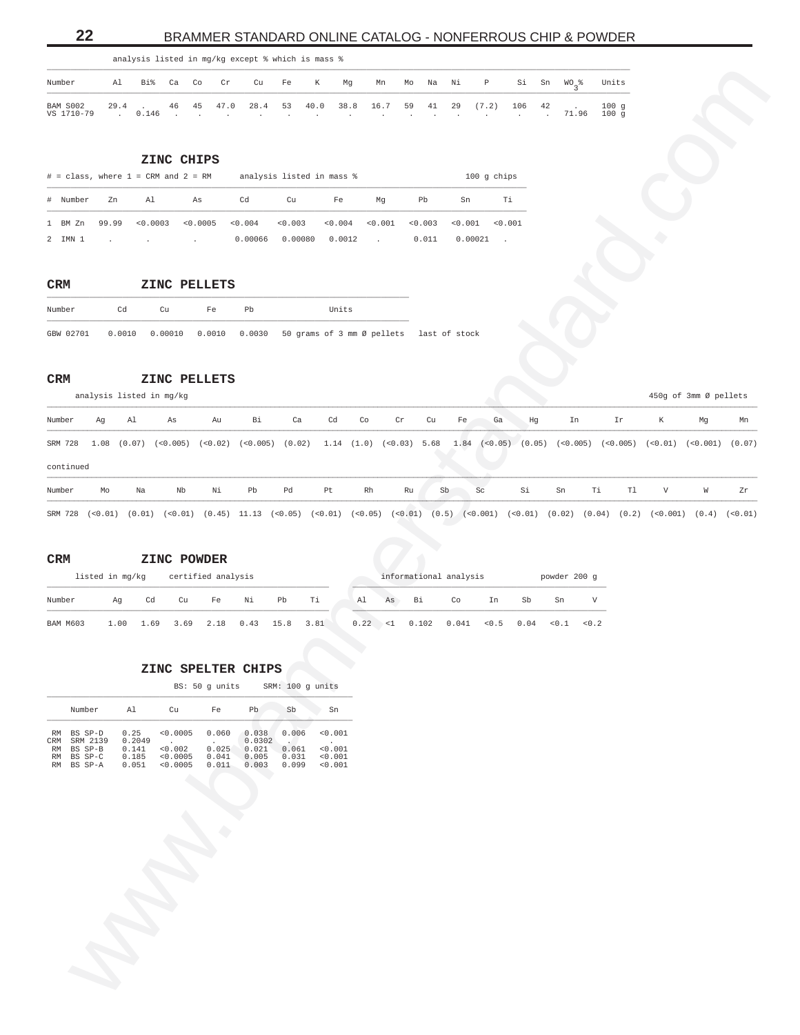# **22** BRAMMER STANDARD ONLINE CATALOG - NONFERROUS CHIP & POWDER

<span id="page-21-0"></span>

|                                                                                                       |  |  | analysis listed in mg/kg except % which is mass % |  |  |  |  |  |                                                           |              |
|-------------------------------------------------------------------------------------------------------|--|--|---------------------------------------------------|--|--|--|--|--|-----------------------------------------------------------|--------------|
| Number                                                                                                |  |  |                                                   |  |  |  |  |  | Al Bi% Ca Co Cr Cu Fe K Mg Mn Mo Na Ni P Si Sn WO_% Units |              |
| BAM S002 29.4 . 46 45 47.0 28.4 53 40.0 38.8 16.7 59 41 29 (7.2) 106 42 . 100 g<br>VS 1710-79 . 0.146 |  |  |                                                   |  |  |  |  |  | . 71.96                                                   | $100 \sigma$ |

|          |       | $#$ = class, where $1$ = CRM and $2$ = RM           |          |                     | analysis listed in mass % |         |               |                     |         | $100$ q chips |
|----------|-------|-----------------------------------------------------|----------|---------------------|---------------------------|---------|---------------|---------------------|---------|---------------|
| # Number | Zn    | Al                                                  | As       | Cd                  | Cu                        | Fe      | Mq            | Pb                  | Sn      | Τi            |
| 1 BM Zn  | 99.99 | < 0.0003                                            | < 0.0005 | $< 0.004$ $< 0.003$ |                           | < 0.004 | < 0.001       | $< 0.003$ $< 0.001$ |         | < 0.001       |
| 2 IMN 1  |       | the contract of the contract of the contract of the |          | 0.00066             | 0.00080                   | 0.0012  | $\sim$ $\sim$ | 0.011               | 0.00021 |               |

### **CRM ZINC PELLETS** \_\_\_\_\_\_\_\_\_\_\_\_\_\_\_\_\_\_\_\_\_\_\_\_\_\_\_\_\_\_\_\_\_\_\_\_\_\_\_\_\_\_\_\_\_\_\_\_\_\_\_\_\_\_\_\_\_\_\_\_\_\_\_\_\_\_\_\_\_\_\_\_\_\_\_\_\_

| Number | Cd. | Cu | Fe | Ph | Units                                                                           |  |
|--------|-----|----|----|----|---------------------------------------------------------------------------------|--|
|        |     |    |    |    | GBW 02701 0.0010 0.00010 0.0010 0.0030 50 grams of 3 mm Ø pellets last of stock |  |

### **CRM ZINC PELLETS**

| Number                                                               |                          | Al             | Bi%                                       | Ca       | Co                                     | Cr                                          | Cu                                | Fe                                                                          | К                                                                                                                                          | Mg                  | Mn                      | Na<br>Mo                     | Νi            | Ρ                                  | Si              | Sn<br>$WO_3$ %         |     | Units        |             |                       |    |
|----------------------------------------------------------------------|--------------------------|----------------|-------------------------------------------|----------|----------------------------------------|---------------------------------------------|-----------------------------------|-----------------------------------------------------------------------------|--------------------------------------------------------------------------------------------------------------------------------------------|---------------------|-------------------------|------------------------------|---------------|------------------------------------|-----------------|------------------------|-----|--------------|-------------|-----------------------|----|
| BAM S002<br>VS 1710-79                                               |                          | 29.4<br>$\sim$ | 0.146                                     | 46       | 45                                     | 47.0                                        | 28.4                              | 53                                                                          | 40.0                                                                                                                                       | 38.8                | 16.7                    | 59<br>41                     | 29            | (7.2)                              | 106<br>$\Delta$ | 42<br>71.96<br>$\cdot$ |     | 100g<br>100g |             |                       |    |
|                                                                      |                          |                |                                           |          | ZINC CHIPS                             |                                             |                                   |                                                                             |                                                                                                                                            |                     |                         |                              |               |                                    |                 |                        |     |              |             |                       |    |
| $#$ = class, where $1$ = CRM and $2$ = RM                            |                          |                |                                           |          |                                        |                                             | Cd                                |                                                                             | analysis listed in mass %                                                                                                                  |                     |                         |                              |               | 100 g chips                        |                 |                        |     |              |             |                       |    |
| # Number<br>1 BM Zn<br>2 IMN 1                                       |                          | Zn<br>99.99    | Al                                        | < 0.0003 | As<br>< 0.0005<br>$\ddot{\phantom{a}}$ |                                             | < 0.004<br>0.00066                | Cu<br>< 0.003<br>0.00080                                                    | Fe<br>0.0012                                                                                                                               | $< 0.004$ $< 0.001$ | Mg<br><b>Contractor</b> | Pb<br>0.003<br>0.011         | Sn<br>< 0.001 | Τi<br>< 0.001<br>0.00021<br>$\sim$ |                 |                        |     |              |             |                       |    |
| CRM                                                                  |                          |                |                                           |          |                                        | ZINC PELLETS                                |                                   |                                                                             |                                                                                                                                            |                     |                         |                              |               |                                    |                 |                        |     |              |             |                       |    |
| Number                                                               |                          | Cd             |                                           | Cu       |                                        | Fe                                          | Pb                                |                                                                             | Units                                                                                                                                      |                     |                         |                              |               |                                    |                 |                        |     |              |             |                       |    |
| GBW 02701<br>$\mathtt{CRM}$                                          | analysis listed in mg/kg |                |                                           |          |                                        | $0.0010$ $0.00010$ $0.0010$<br>ZINC PELLETS |                                   |                                                                             | 0.0030 50 grams of 3 mm Ø pellets last of stock                                                                                            |                     |                         |                              |               |                                    |                 |                        |     |              |             | 450g of 3mm Ø pellets |    |
| Number                                                               | Ag                       |                | Al                                        | As       |                                        | Au                                          | Bi                                | Ca                                                                          | Cd                                                                                                                                         | Co                  | Cr                      | Cu                           | Fe            | Ga                                 | Hg              | In                     |     | Ir           | К           | Mg                    | Mn |
| continued                                                            |                          |                |                                           |          |                                        |                                             |                                   |                                                                             | SRM 728 1.08 (0.07) (<0.005) (<0.005) (<0.02) (0.02) 1.14 (1.0) (<0.03) 5.68 1.84 (<0.05) (0.05) (<0.005) (<0.005) (<0.01) (<0.001) (0.07) |                     |                         |                              |               |                                    |                 |                        |     |              |             |                       |    |
| Number                                                               | Mo                       |                | Na                                        |          | Nb                                     | Νi                                          | Pb                                | Pd                                                                          | Pt                                                                                                                                         | Rh                  |                         | Ru                           | Sb            | Sc                                 | Si              | Sn                     | Тi  | T1           | $\mathbf V$ | ${\tt W}$             | Zr |
| $\mathtt{CRM}$<br>Number                                             | listed in mg/kg          | Ag             | Cd                                        |          | Cu                                     | ZINC POWDER<br>certified analysis<br>Fe     | Νi                                | Pb                                                                          | Тi                                                                                                                                         | A1                  | As                      | informational analysis<br>Bi | Co            | In                                 | Sb              | powder 200 g<br>Sn     | V   |              |             |                       |    |
| <b>BAM M603</b>                                                      |                          | 1.00           | 1.69                                      |          | 3.69                                   | 2.18                                        | 0.43                              | 15.8                                                                        | 3.81                                                                                                                                       |                     |                         | $0.22$ <1 0.102 0.041        |               | < 0.5                              | 0.04            | 0.1                    | 0.2 |              |             |                       |    |
|                                                                      |                          |                |                                           |          |                                        |                                             | ZINC SPELTER CHIPS                |                                                                             |                                                                                                                                            |                     |                         |                              |               |                                    |                 |                        |     |              |             |                       |    |
|                                                                      |                          |                |                                           |          |                                        | BS: 50 g units                              |                                   |                                                                             | SRM: 100 g units                                                                                                                           |                     |                         |                              |               |                                    |                 |                        |     |              |             |                       |    |
|                                                                      | Number                   |                | Al                                        |          | Cu                                     | Fe                                          | Pb                                | Sb                                                                          | Sn                                                                                                                                         |                     |                         |                              |               |                                    |                 |                        |     |              |             |                       |    |
| RM BS SP-D<br>CRM SRM 2139<br>RM BS SP-B<br>RM BS SP-C<br>RM BS SP-A |                          |                | 0.25<br>0.2049<br>0.141<br>0.185<br>0.051 | < 0.002  | < 0.0005<br>< 0.0005<br>< 0.0005       | 0.060<br>$\sim$<br>0.025<br>0.041<br>0.011  | 0.038<br>0.0302<br>0.005<br>0.003 | 0.006<br><b>Contract Contract Contract</b><br>0.021 0.061<br>0.031<br>0.099 | < 0.001<br>< 0.001<br>< 0.001<br>< 0.001                                                                                                   |                     |                         |                              |               |                                    |                 |                        |     |              |             |                       |    |
|                                                                      |                          |                |                                           |          |                                        |                                             |                                   |                                                                             |                                                                                                                                            |                     |                         |                              |               |                                    |                 |                        |     |              |             |                       |    |

# **CRM ZINC POWDER**

|                 | listed in mg/kg |    | certified analysis            |    |    |    |      |    |    |    | informational analysis                             |     |    | powder 200 q |  |
|-----------------|-----------------|----|-------------------------------|----|----|----|------|----|----|----|----------------------------------------------------|-----|----|--------------|--|
| Number          | Αq              | Cd | Cu                            | Fe | Ni | Pb | . Ti | Al | As | Bi | Co                                                 | In. | Sb | Sn           |  |
| <b>BAM M603</b> | 1.00            |    | 1.69 3.69 2.18 0.43 15.8 3.81 |    |    |    |      |    |    |    | $0.22 \times 1$ 0.102 0.041 < 0.5 0.04 < 0.1 < 0.2 |     |    |              |  |

# **ZINC SPELTER CHIPS**

|        |    |    | BS: 50 q units |    |    | SRM: 100 q units |
|--------|----|----|----------------|----|----|------------------|
| Number | AΙ | Cu | Fe             | Ph | Sb | Sn               |

| BS SP-D    | 0.25   | < 0.0005 | 0.060 | 0.038  | 0.006 | < 0.001 |
|------------|--------|----------|-------|--------|-------|---------|
| SRM 2139   | 0.2049 |          |       | 0.0302 |       |         |
| BS SP-B    | 0.141  | < 0.002  | 0.025 | 0.021  | 0.061 | < 0.001 |
| RM BS SP-C | 0.185  | < 0.0005 | 0.041 | 0.005  | 0.031 | < 0.001 |
| RM BS SP-A | 0.051  | < 0.0005 | 0.011 | 0.003  | 0.099 | < 0.001 |
|            |        |          |       |        |       |         |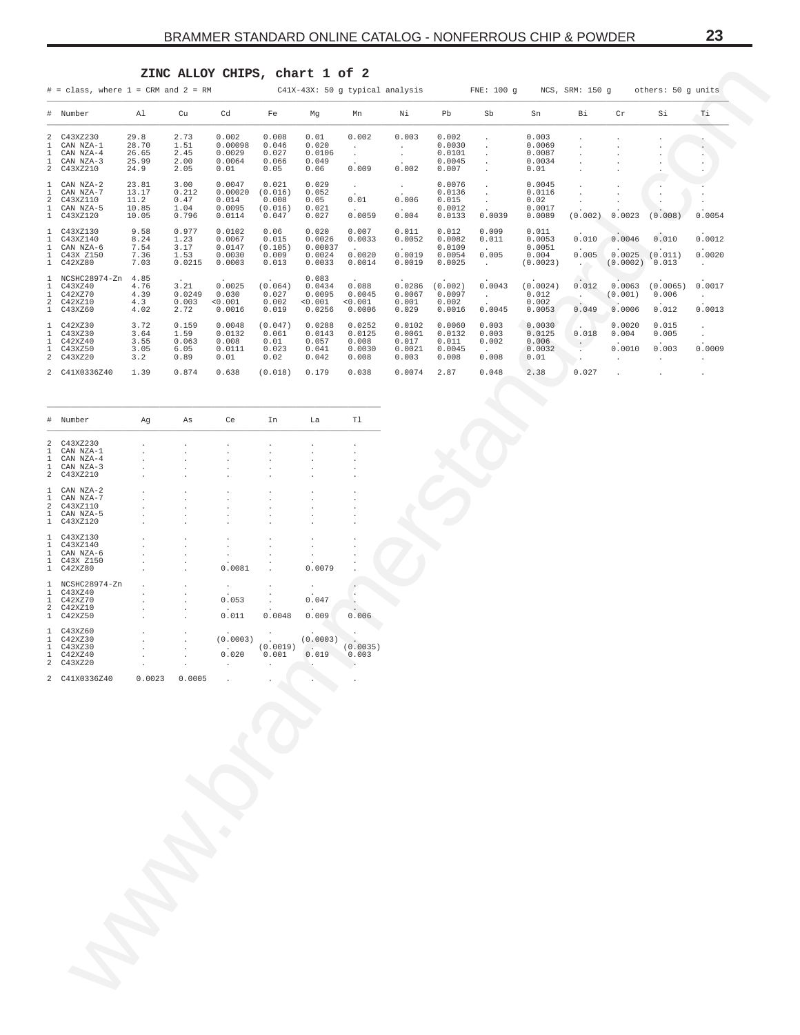# ZINC ALLOY CHIPS, chart 1 of 2

<span id="page-22-0"></span>

|                                    | $#$ = class, where $1$ = CRM and $2$ = RM                       |                                          |                                         |                                                |                                               | C41X-43X: 50 g typical analysis                |                                                                |                                              |                                               | FNE: 100 q                        |                                                | NCS, SRM: 150 q              |                              | others: 50 q units                              |                                          |
|------------------------------------|-----------------------------------------------------------------|------------------------------------------|-----------------------------------------|------------------------------------------------|-----------------------------------------------|------------------------------------------------|----------------------------------------------------------------|----------------------------------------------|-----------------------------------------------|-----------------------------------|------------------------------------------------|------------------------------|------------------------------|-------------------------------------------------|------------------------------------------|
|                                    | # Number                                                        | Al                                       | Cu                                      | Cd                                             | Fe                                            | Mq                                             | Mn                                                             | Νi                                           | Pb                                            | Sb                                | Sn                                             | Βi                           | Cr                           | Si                                              | Ti                                       |
| 1<br>$\mathbf{1}$                  | 2 C43XZ230<br>CAN NZA-1<br>CAN NZA-4<br>CAN NZA-3<br>2 C43XZ210 | 29.8<br>28.70<br>26.65<br>25.99<br>24.9  | 2.73<br>1.51<br>2.45<br>2.00<br>2.05    | 0.002<br>0.00098<br>0.0029<br>0.0064<br>0.01   | 0.008<br>0.046<br>0.027<br>0.066<br>0.05      | 0.01<br>0.020<br>0.0106<br>0.049<br>0.06       | 0.002<br>$\cdot$<br>$\ddot{\phantom{0}}$<br>0.009              | 0.003<br>0.002                               | 0.002<br>0.0030<br>0.0101<br>0.0045<br>0.007  |                                   | 0.003<br>0.0069<br>0.0087<br>0.0034<br>0.01    |                              |                              |                                                 |                                          |
| 2<br>$\mathbf{1}$<br>$\mathbf{1}$  | CAN NZA-2<br>CAN NZA-7<br>C43XZ110<br>CAN NZA-5<br>C43XZ120     | 23.81<br>13.17<br>11.2<br>10.85<br>10.05 | 3.00<br>0.212<br>0.47<br>1.04<br>0.796  | 0.0047<br>0.00020<br>0.014<br>0.0095<br>0.0114 | 0.021<br>(0.016)<br>0.008<br>(0.016)<br>0.047 | 0.029<br>0.052<br>0.05<br>0.021<br>0.027       | $\ddot{\phantom{0}}$<br>0.01<br>$\ddot{\phantom{0}}$<br>0.0059 | 0.006<br>0.004                               | 0.0076<br>0.0136<br>0.015<br>0.0012<br>0.0133 | 0.0039                            | 0.0045<br>0.0116<br>0.02<br>0.0017<br>0.0089   | (0.002)                      | 0.0023                       | (0.008)                                         | 0.0054                                   |
| $\mathbf{1}$<br>$\mathbf{1}$<br>1. | 1 C43XZ130<br>C43XZ140<br>CAN NZA-6<br>C43X Z150<br>1 C42XZ80   | 9.58<br>8.24<br>7.54<br>7.36<br>7.03     | 0.977<br>1.23<br>3.17<br>1.53<br>0.0215 | 0.0102<br>0.0067<br>0.0147<br>0.0030<br>0.0003 | 0.06<br>0.015<br>(0.105)<br>0.009<br>0.013    | 0.020<br>0.0026<br>0.00037<br>0.0024<br>0.0033 | 0.007<br>0.0033<br>0.0020<br>0.0014                            | 0.011<br>0.0052<br>0.0019<br>0.0019          | 0.012<br>0.0082<br>0.0109<br>0.0054<br>0.0025 | 0.009<br>0.011<br>0.005<br>$\sim$ | 0.011<br>0.0053<br>0.0051<br>0.004<br>(0.0023) | 0.010<br>0.005<br>$\sim$ $-$ | 0.0046<br>0.0025<br>(0.0002) | 0.010<br>(0.011)<br>0.013                       | 0.0012<br>0.0020<br>$\cdot$              |
| 1<br>$\mathfrak{D}$                | NCSHC28974-Zn<br>C43XZ40<br>C42XZ70<br>C42XZ10<br>1 C43XZ60     | 4.85<br>4.76<br>4.39<br>4.3<br>4.02      | 3.21<br>0.0249<br>0.003<br>2.72         | 0.0025<br>0.030<br>< 0.001<br>0.0016           | (0.064)<br>0.027<br>0.002<br>0.019            | 0.083<br>0.0434<br>0.0095<br>< 0.001<br>0.0256 | 0.088<br>0.0045<br>< 0.001<br>0.0006                           | 0.0286<br>0.0067<br>0.001<br>0.029           | (0.002)<br>0.0097<br>0.002<br>0.0016          | 0.0043<br>0.0045                  | (0.0024)<br>0.012<br>0.002<br>0.0053           | 0.012<br>0.049               | 0.0063<br>(0.001)<br>0.0006  | (0.0065)<br>0.006<br>0.012                      | 0.0017<br>$\ddot{\phantom{0}}$<br>0.0013 |
| $\mathbf{1}$                       | C42XZ30<br>C43XZ30<br>C42XZ40<br>C43XZ50<br>2 C43XZ20           | 3.72<br>3.64<br>3.55<br>3.05<br>3.2      | 0.159<br>1.59<br>0.063<br>6.05<br>0.89  | 0.0048<br>0.0132<br>0.008<br>0.0111<br>0.01    | (0.047)<br>0.061<br>0.01<br>0.023<br>0.02     | 0.0288<br>0.0143<br>0.057<br>0.041<br>0.042    | 0.0252<br>0.0125<br>0.008<br>0.0030<br>0.008                   | 0.0102<br>0.0061<br>0.017<br>0.0021<br>0.003 | 0.0060<br>0.0132<br>0.011<br>0.0045<br>0.008  | 0.003<br>0.003<br>0.002<br>0.008  | 0.0030<br>0.0125<br>0.006<br>0.0032<br>0.01    | 0.018                        | 0.0020<br>0.004<br>0.0010    | 0.015<br>0.005<br>0.003<br>$\ddot{\phantom{0}}$ | 0.0009<br>$\cdot$                        |
|                                    | 2 C41X0336Z40                                                   | 1.39                                     | 0.874                                   | 0.638                                          | (0.018)                                       | 0.179                                          | 0.038                                                          | 0.0074                                       | 2.87                                          | 0.048                             | 2.38                                           | 0.027                        |                              |                                                 |                                          |

| #              | Number                     | Ag     | As     | Ce       | In       | La       | Tl       |
|----------------|----------------------------|--------|--------|----------|----------|----------|----------|
| 2              | C43XZ230                   |        |        |          |          |          |          |
| 1              | CAN NZA-1                  |        |        |          |          |          |          |
| 1<br>1         | $CAN$ $NZA-4$<br>CAN NZA-3 |        |        |          |          |          |          |
| $\mathfrak{D}$ | C43XZ210                   |        |        |          |          |          |          |
|                |                            |        |        |          |          |          |          |
| 1              | CAN NZA-2                  |        |        |          |          |          |          |
| 1              | CAN NZA-7                  |        |        |          |          |          |          |
| 2              | C43XZ110                   |        |        |          |          |          |          |
| 1              | CAN NZA-5                  |        |        |          |          |          |          |
| 1              | C43XZ120                   |        |        |          |          |          |          |
|                |                            |        |        |          |          |          |          |
| 1              | C43XZ130                   |        |        |          |          |          |          |
| 1              | C43XZ140                   |        |        |          |          |          |          |
| 1              | CAN NZA-6                  |        |        |          |          |          |          |
| 1              | C43X Z150                  |        |        |          |          |          |          |
| 1              | C42XZ80                    |        |        | 0.0081   |          | 0.0079   |          |
|                |                            |        |        |          |          |          |          |
| 1              | NCSHC28974-Zn              |        |        |          |          |          |          |
| 1              | C43XZ40                    |        |        |          |          |          |          |
| 1              | C42XZ70                    |        |        | 0.053    |          | 0.047    |          |
| $\overline{a}$ | C42XZ10                    |        |        |          |          |          |          |
| 1              | C42XZ50                    |        |        | 0.011    | 0.0048   | 0.009    | 0.006    |
|                | C43XZ60                    |        |        |          |          |          |          |
| 1<br>1         | C42XZ30                    |        |        | (0.0003) |          | (0.0003) |          |
| 1              | C43XZ30                    |        |        |          | (0.0019) |          | (0.0035) |
| 1              | C42XZ40                    |        |        | 0.020    | 0.001    | 0.019    | 0.003    |
| $\mathfrak{D}$ | C43XZ20                    |        |        |          |          |          |          |
|                |                            |        |        |          |          |          |          |
| $\mathfrak{D}$ | C41X0336Z40                | 0.0023 | 0.0005 |          |          |          |          |